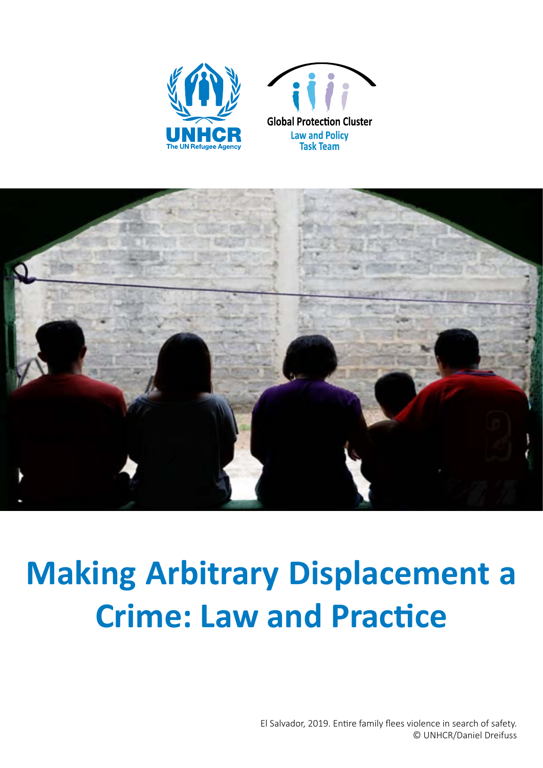



# **Making Arbitrary Displacement a Crime: Law and Practice**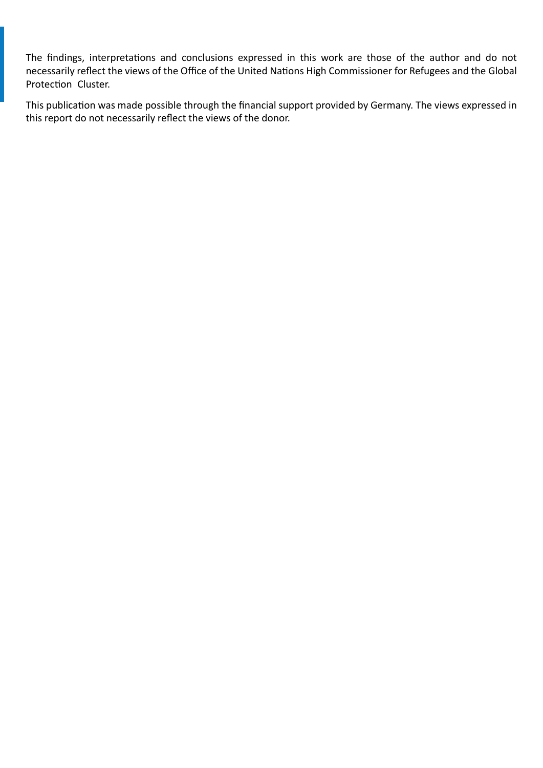The findings, interpretations and conclusions expressed in this work are those of the author and do not necessarily reflect the views of the Office of the United Nations High Commissioner for Refugees and the Global Protection Cluster.

This publication was made possible through the financial support provided by Germany. The views expressed in this report do not necessarily reflect the views of the donor.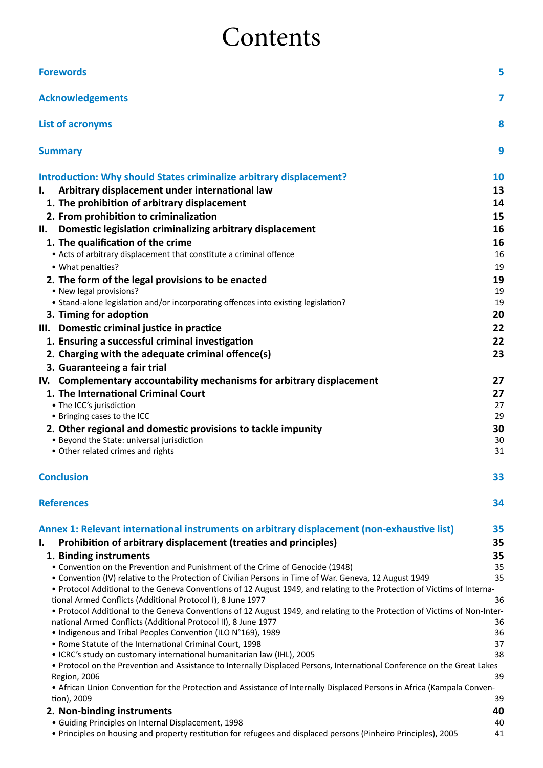## Contents

| <b>Forewords</b>                                                                                                           | 5         |
|----------------------------------------------------------------------------------------------------------------------------|-----------|
| <b>Acknowledgements</b>                                                                                                    | 7         |
| <b>List of acronyms</b>                                                                                                    | 8         |
| <b>Summary</b>                                                                                                             | 9         |
| Introduction: Why should States criminalize arbitrary displacement?                                                        | <b>10</b> |
|                                                                                                                            |           |
| Arbitrary displacement under international law<br>L.                                                                       | 13        |
| 1. The prohibition of arbitrary displacement                                                                               | 14        |
| 2. From prohibition to criminalization                                                                                     | 15        |
| Domestic legislation criminalizing arbitrary displacement<br>II.                                                           | 16        |
| 1. The qualification of the crime                                                                                          | 16        |
| • Acts of arbitrary displacement that constitute a criminal offence                                                        | 16        |
| • What penalties?                                                                                                          | 19        |
| 2. The form of the legal provisions to be enacted                                                                          | 19        |
| • New legal provisions?                                                                                                    | 19        |
| • Stand-alone legislation and/or incorporating offences into existing legislation?                                         | 19        |
| 3. Timing for adoption                                                                                                     | 20        |
| III. Domestic criminal justice in practice                                                                                 | 22        |
| 1. Ensuring a successful criminal investigation                                                                            | 22        |
| 2. Charging with the adequate criminal offence(s)                                                                          | 23        |
| 3. Guaranteeing a fair trial                                                                                               |           |
| IV. Complementary accountability mechanisms for arbitrary displacement                                                     | 27        |
| 1. The International Criminal Court                                                                                        | 27        |
| • The ICC's jurisdiction                                                                                                   | 27        |
| • Bringing cases to the ICC                                                                                                | 29        |
| 2. Other regional and domestic provisions to tackle impunity<br>• Beyond the State: universal jurisdiction                 | 30        |
| • Other related crimes and rights                                                                                          | 30<br>31  |
| <b>Conclusion</b>                                                                                                          | 33        |
| <b>References</b>                                                                                                          | 34        |
| Annex 1: Relevant international instruments on arbitrary displacement (non-exhaustive list)                                | 35        |
| Prohibition of arbitrary displacement (treaties and principles)<br>I.                                                      | 35        |
| 1. Binding instruments                                                                                                     | 35        |
| • Convention on the Prevention and Punishment of the Crime of Genocide (1948)                                              | 35        |
| • Convention (IV) relative to the Protection of Civilian Persons in Time of War. Geneva, 12 August 1949                    | 35        |
| • Protocol Additional to the Geneva Conventions of 12 August 1949, and relating to the Protection of Victims of Interna-   |           |
| tional Armed Conflicts (Additional Protocol I), 8 June 1977                                                                | 36        |
| • Protocol Additional to the Geneva Conventions of 12 August 1949, and relating to the Protection of Victims of Non-Inter- |           |
| national Armed Conflicts (Additional Protocol II), 8 June 1977                                                             | 36        |
| • Indigenous and Tribal Peoples Convention (ILO N°169), 1989<br>• Rome Statute of the International Criminal Court, 1998   | 36<br>37  |
| • ICRC's study on customary international humanitarian law (IHL), 2005                                                     | 38        |
| . Protocol on the Prevention and Assistance to Internally Displaced Persons, International Conference on the Great Lakes   |           |
| Region, 2006                                                                                                               | 39        |
| • African Union Convention for the Protection and Assistance of Internally Displaced Persons in Africa (Kampala Conven-    |           |
| tion), 2009                                                                                                                | 39        |
| 2. Non-binding instruments                                                                                                 | 40        |
| • Guiding Principles on Internal Displacement, 1998                                                                        | 40        |
| • Principles on housing and property restitution for refugees and displaced persons (Pinheiro Principles), 2005            | 41        |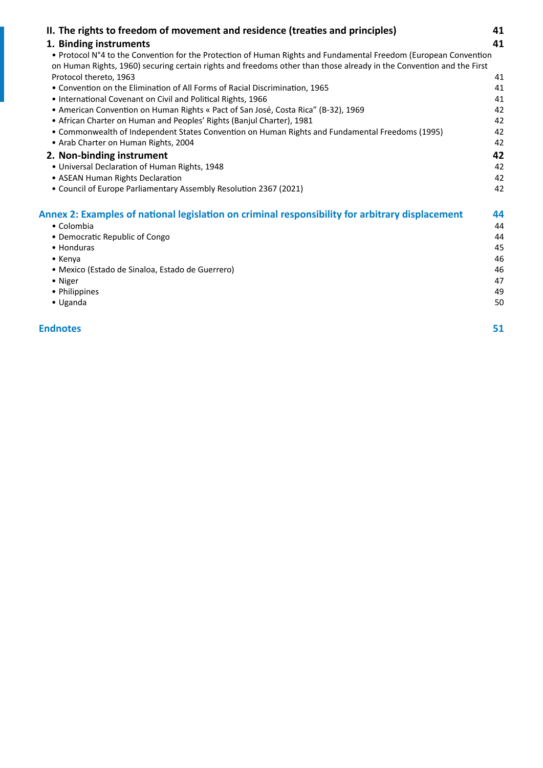| II. The rights to freedom of movement and residence (treaties and principles)                                                                                                                                                            | 41 |
|------------------------------------------------------------------------------------------------------------------------------------------------------------------------------------------------------------------------------------------|----|
| 1. Binding instruments                                                                                                                                                                                                                   | 41 |
| • Protocol N°4 to the Convention for the Protection of Human Rights and Fundamental Freedom (European Convention<br>on Human Rights, 1960) securing certain rights and freedoms other than those already in the Convention and the First |    |
| Protocol thereto, 1963                                                                                                                                                                                                                   | 41 |
| • Convention on the Elimination of All Forms of Racial Discrimination, 1965                                                                                                                                                              | 41 |
| • International Covenant on Civil and Political Rights, 1966                                                                                                                                                                             | 41 |
| • American Convention on Human Rights « Pact of San José, Costa Rica" (B-32), 1969                                                                                                                                                       | 42 |
| • African Charter on Human and Peoples' Rights (Banjul Charter), 1981                                                                                                                                                                    | 42 |
| • Commonwealth of Independent States Convention on Human Rights and Fundamental Freedoms (1995)                                                                                                                                          | 42 |
| • Arab Charter on Human Rights, 2004                                                                                                                                                                                                     | 42 |
| 2. Non-binding instrument                                                                                                                                                                                                                | 42 |
| • Universal Declaration of Human Rights, 1948                                                                                                                                                                                            | 42 |
| • ASEAN Human Rights Declaration                                                                                                                                                                                                         | 42 |
| • Council of Europe Parliamentary Assembly Resolution 2367 (2021)                                                                                                                                                                        | 42 |
| Annex 2: Examples of national legislation on criminal responsibility for arbitrary displacement                                                                                                                                          | 44 |
| • Colombia                                                                                                                                                                                                                               | 44 |
| • Democratic Republic of Congo                                                                                                                                                                                                           | 44 |
| • Honduras                                                                                                                                                                                                                               | 45 |
| $\bullet$ Kenya                                                                                                                                                                                                                          | 46 |
| · Mexico (Estado de Sinaloa, Estado de Guerrero)                                                                                                                                                                                         | 46 |
| • Niger                                                                                                                                                                                                                                  | 47 |
| • Philippines                                                                                                                                                                                                                            | 49 |
| • Uganda                                                                                                                                                                                                                                 | 50 |
|                                                                                                                                                                                                                                          |    |

**[Endnotes](#page-50-0) 51**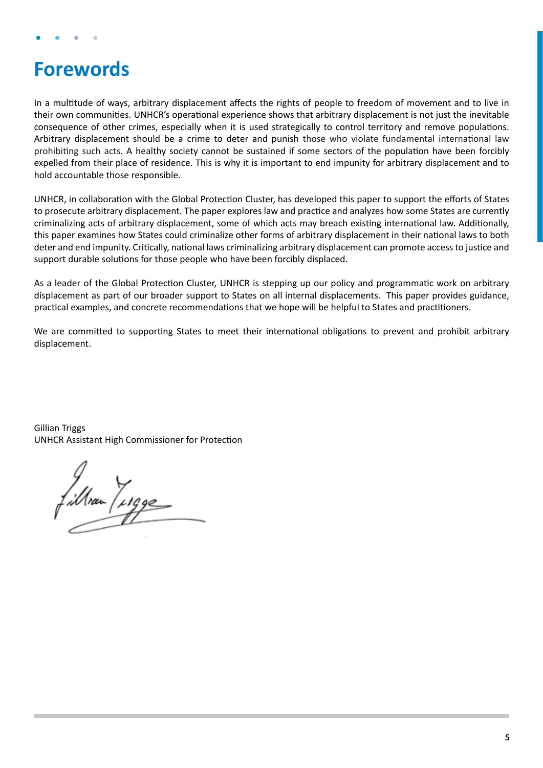## <span id="page-4-0"></span>**Forewords**

In a multitude of ways, arbitrary displacement affects the rights of people to freedom of movement and to live in their own communities. UNHCR's operational experience shows that arbitrary displacement is not just the inevitable consequence of other crimes, especially when it is used strategically to control territory and remove populations. Arbitrary displacement should be a crime to deter and punish those who violate fundamental international law prohibiting such acts. A healthy society cannot be sustained if some sectors of the population have been forcibly expelled from their place of residence. This is why it is important to end impunity for arbitrary displacement and to hold accountable those responsible.

UNHCR, in collaboration with the Global Protection Cluster, has developed this paper to support the efforts of States to prosecute arbitrary displacement. The paper explores law and practice and analyzes how some States are currently criminalizing acts of arbitrary displacement, some of which acts may breach existing international law. Additionally, this paper examines how States could criminalize other forms of arbitrary displacement in their national laws to both deter and end impunity. Critically, national laws criminalizing arbitrary displacement can promote access to justice and support durable solutions for those people who have been forcibly displaced.

As a leader of the Global Protection Cluster, UNHCR is stepping up our policy and programmatic work on arbitrary displacement as part of our broader support to States on all internal displacements. This paper provides guidance, practical examples, and concrete recommendations that we hope will be helpful to States and practitioners.

We are committed to supporting States to meet their international obligations to prevent and prohibit arbitrary displacement.

Gillian Triggs UNHCR Assistant High Commissioner for Protection

fillvan / 1990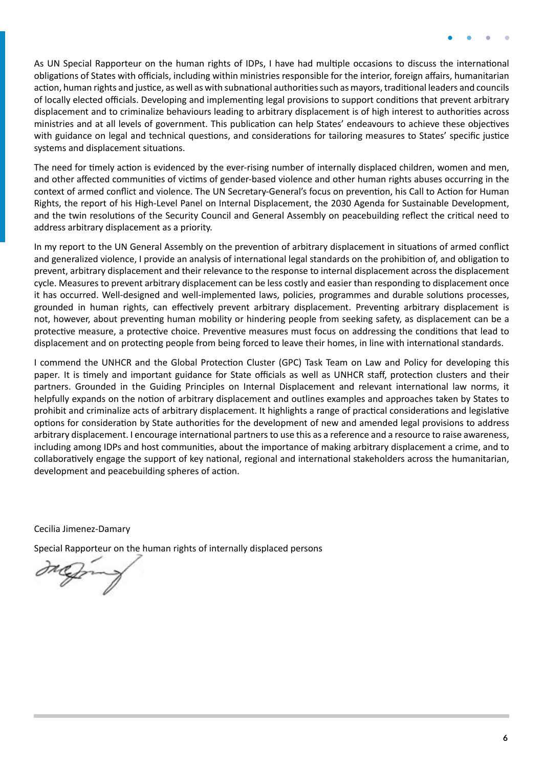As UN Special Rapporteur on the human rights of IDPs, I have had multiple occasions to discuss the international obligations of States with officials, including within ministries responsible for the interior, foreign affairs, humanitarian action, human rights and justice, as well as with subnational authorities such as mayors, traditional leaders and councils of locally elected officials. Developing and implementing legal provisions to support conditions that prevent arbitrary displacement and to criminalize behaviours leading to arbitrary displacement is of high interest to authorities across ministries and at all levels of government. This publication can help States' endeavours to achieve these objectives with guidance on legal and technical questions, and considerations for tailoring measures to States' specific justice systems and displacement situations.

The need for timely action is evidenced by the ever-rising number of internally displaced children, women and men, and other affected communities of victims of gender-based violence and other human rights abuses occurring in the context of armed conflict and violence. The UN Secretary-General's focus on prevention, his Call to Action for Human Rights, the report of his High-Level Panel on Internal Displacement, the 2030 Agenda for Sustainable Development, and the twin resolutions of the Security Council and General Assembly on peacebuilding reflect the critical need to address arbitrary displacement as a priority.

In my report to the UN General Assembly on the prevention of arbitrary displacement in situations of armed conflict and generalized violence, I provide an analysis of international legal standards on the prohibition of, and obligation to prevent, arbitrary displacement and their relevance to the response to internal displacement across the displacement cycle. Measures to prevent arbitrary displacement can be less costly and easier than responding to displacement once it has occurred. Well-designed and well-implemented laws, policies, programmes and durable solutions processes, grounded in human rights, can effectively prevent arbitrary displacement. Preventing arbitrary displacement is not, however, about preventing human mobility or hindering people from seeking safety, as displacement can be a protective measure, a protective choice. Preventive measures must focus on addressing the conditions that lead to displacement and on protecting people from being forced to leave their homes, in line with international standards.

I commend the UNHCR and the Global Protection Cluster (GPC) Task Team on Law and Policy for developing this paper*.* It is timely and important guidance for State officials as well as UNHCR staff, protection clusters and their partners. Grounded in the Guiding Principles on Internal Displacement and relevant international law norms, it helpfully expands on the notion of arbitrary displacement and outlines examples and approaches taken by States to prohibit and criminalize acts of arbitrary displacement. It highlights a range of practical considerations and legislative options for consideration by State authorities for the development of new and amended legal provisions to address arbitrary displacement. I encourage international partners to use this as a reference and a resource to raise awareness, including among IDPs and host communities, about the importance of making arbitrary displacement a crime, and to collaboratively engage the support of key national, regional and international stakeholders across the humanitarian, development and peacebuilding spheres of action.

Cecilia Jimenez-Damary

Special Rapporteur on the human rights of internally displaced persons

reform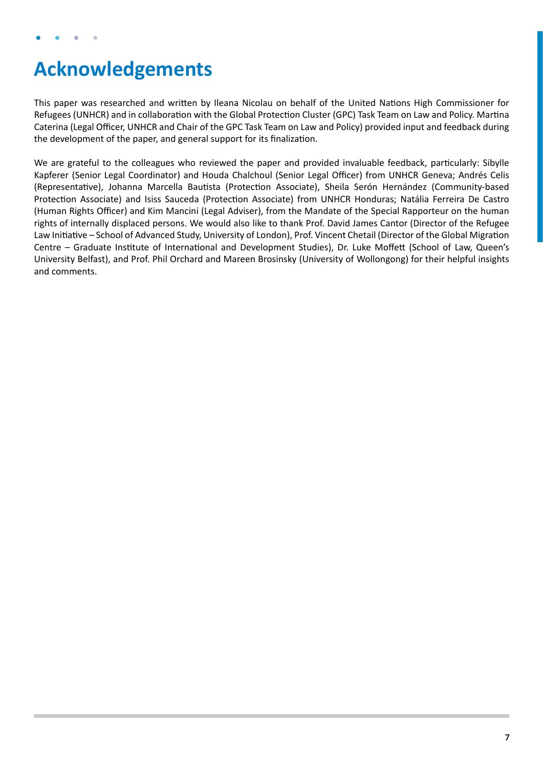## <span id="page-6-0"></span>**Acknowledgements**

This paper was researched and written by Ileana Nicolau on behalf of the United Nations High Commissioner for Refugees (UNHCR) and in collaboration with the Global Protection Cluster (GPC) Task Team on Law and Policy. Martina Caterina (Legal Officer, UNHCR and Chair of the GPC Task Team on Law and Policy) provided input and feedback during the development of the paper, and general support for its finalization.

We are grateful to the colleagues who reviewed the paper and provided invaluable feedback, particularly: Sibylle Kapferer (Senior Legal Coordinator) and Houda Chalchoul (Senior Legal Officer) from UNHCR Geneva; Andrés Celis (Representative), Johanna Marcella Bautista (Protection Associate), Sheila Serón Hernández (Community-based Protection Associate) and Isiss Sauceda (Protection Associate) from UNHCR Honduras; Natália Ferreira De Castro (Human Rights Officer) and Kim Mancini (Legal Adviser), from the Mandate of the Special Rapporteur on the human rights of internally displaced persons. We would also like to thank Prof. David James Cantor (Director of the Refugee Law Initiative – School of Advanced Study, University of London), Prof. Vincent Chetail (Director of the Global Migration Centre – Graduate Institute of International and Development Studies), Dr. Luke Moffett (School of Law, Queen's University Belfast), and Prof. Phil Orchard and Mareen Brosinsky (University of Wollongong) for their helpful insights and comments.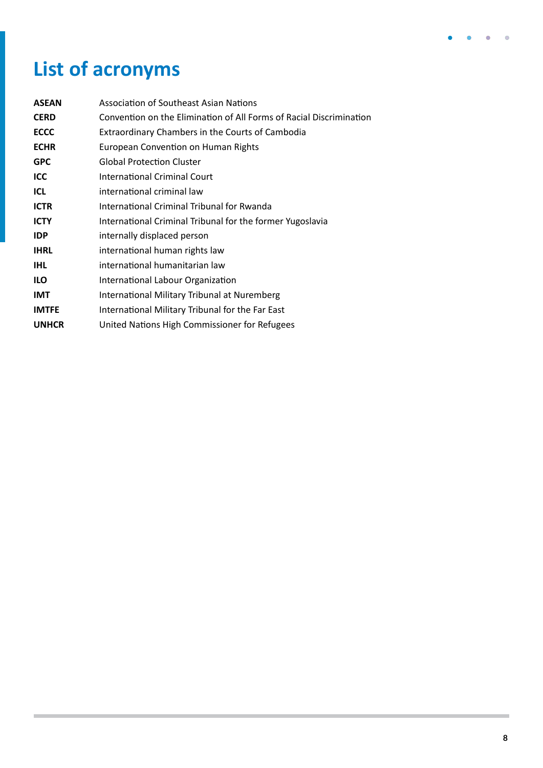## <span id="page-7-0"></span>**List of acronyms**

| <b>ASEAN</b>                                                             | Association of Southeast Asian Nations                              |  |  |
|--------------------------------------------------------------------------|---------------------------------------------------------------------|--|--|
| <b>CERD</b>                                                              | Convention on the Elimination of All Forms of Racial Discrimination |  |  |
| <b>ECCC</b>                                                              | Extraordinary Chambers in the Courts of Cambodia                    |  |  |
| <b>ECHR</b>                                                              | European Convention on Human Rights                                 |  |  |
| <b>GPC</b>                                                               | <b>Global Protection Cluster</b>                                    |  |  |
| <b>ICC</b>                                                               | International Criminal Court                                        |  |  |
| <b>ICL</b>                                                               | international criminal law                                          |  |  |
| <b>ICTR</b>                                                              | International Criminal Tribunal for Rwanda                          |  |  |
| <b>ICTY</b><br>International Criminal Tribunal for the former Yugoslavia |                                                                     |  |  |
| <b>IDP</b>                                                               | internally displaced person                                         |  |  |
| <b>IHRL</b>                                                              | international human rights law                                      |  |  |
| <b>IHL</b>                                                               | international humanitarian law                                      |  |  |
| <b>ILO</b>                                                               | International Labour Organization                                   |  |  |
| <b>IMT</b>                                                               | International Military Tribunal at Nuremberg                        |  |  |
| <b>IMTFE</b>                                                             | International Military Tribunal for the Far East                    |  |  |
| <b>UNHCR</b>                                                             | United Nations High Commissioner for Refugees                       |  |  |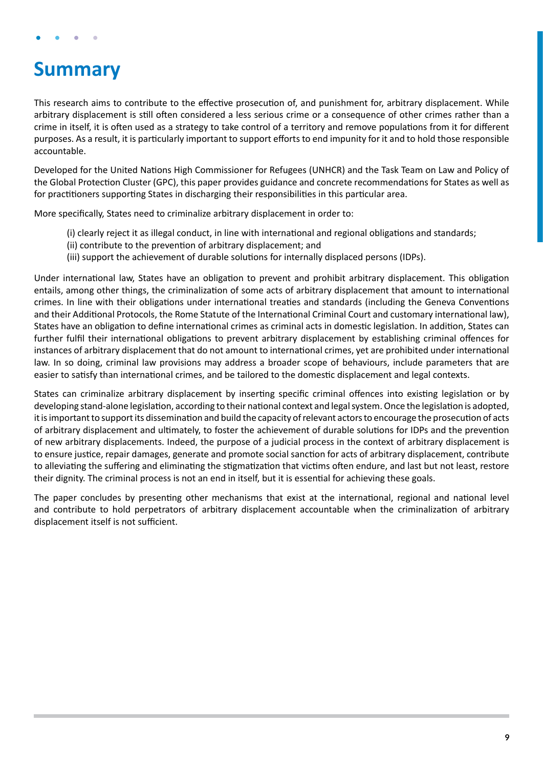## <span id="page-8-0"></span>**Summary**

This research aims to contribute to the effective prosecution of, and punishment for, arbitrary displacement. While arbitrary displacement is still often considered a less serious crime or a consequence of other crimes rather than a crime in itself, it is often used as a strategy to take control of a territory and remove populations from it for different purposes. As a result, it is particularly important to support efforts to end impunity for it and to hold those responsible accountable.

Developed for the United Nations High Commissioner for Refugees (UNHCR) and the Task Team on Law and Policy of the Global Protection Cluster (GPC), this paper provides guidance and concrete recommendations for States as well as for practitioners supporting States in discharging their responsibilities in this particular area.

More specifically, States need to criminalize arbitrary displacement in order to:

- (i) clearly reject it as illegal conduct, in line with international and regional obligations and standards;
- (ii) contribute to the prevention of arbitrary displacement; and
- (iii) support the achievement of durable solutions for internally displaced persons (IDPs).

Under international law, States have an obligation to prevent and prohibit arbitrary displacement. This obligation entails, among other things, the criminalization of some acts of arbitrary displacement that amount to international crimes. In line with their obligations under international treaties and standards (including the Geneva Conventions and their Additional Protocols, the Rome Statute of the International Criminal Court and customary international law), States have an obligation to define international crimes as criminal acts in domestic legislation. In addition, States can further fulfil their international obligations to prevent arbitrary displacement by establishing criminal offences for instances of arbitrary displacement that do not amount to international crimes, yet are prohibited under international law. In so doing, criminal law provisions may address a broader scope of behaviours, include parameters that are easier to satisfy than international crimes, and be tailored to the domestic displacement and legal contexts.

States can criminalize arbitrary displacement by inserting specific criminal offences into existing legislation or by developing stand-alone legislation, according to their national context and legal system. Once the legislation is adopted, it is important to support its dissemination and build the capacity of relevant actors to encourage the prosecution of acts of arbitrary displacement and ultimately, to foster the achievement of durable solutions for IDPs and the prevention of new arbitrary displacements. Indeed, the purpose of a judicial process in the context of arbitrary displacement is to ensure justice, repair damages, generate and promote social sanction for acts of arbitrary displacement, contribute to alleviating the suffering and eliminating the stigmatization that victims often endure, and last but not least, restore their dignity. The criminal process is not an end in itself, but it is essential for achieving these goals.

The paper concludes by presenting other mechanisms that exist at the international, regional and national level and contribute to hold perpetrators of arbitrary displacement accountable when the criminalization of arbitrary displacement itself is not sufficient.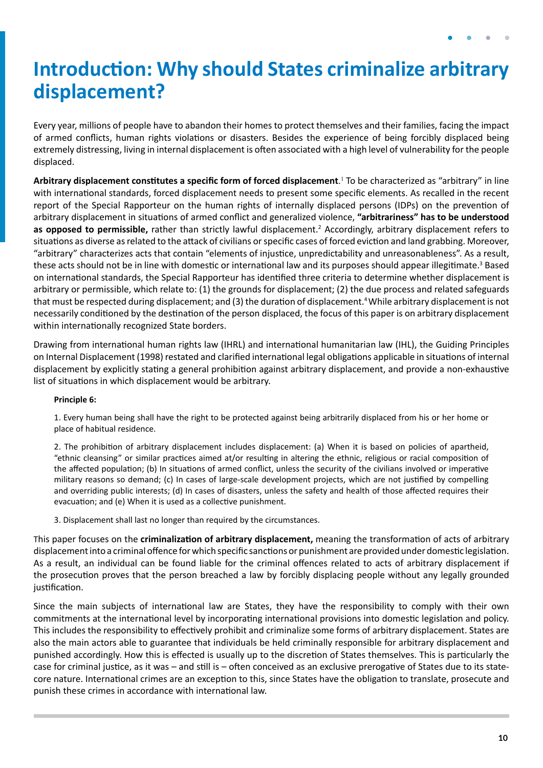## <span id="page-9-0"></span>**Introduction: Why should States criminalize arbitrary displacement?**

Every year, millions of people have to abandon their homes to protect themselves and their families, facing the impact of armed conflicts, human rights violations or disasters. Besides the experience of being forcibly displaced being extremely distressing, living in internal displacement is often associated with a high level of vulnerability for the people displaced.

**Arbitrary displacement constitutes a specific form of forced displacement**. 1 To be characterized as "arbitrary" in line with international standards, forced displacement needs to present some specific elements. As recalled in the recent report of the Special Rapporteur on the human rights of internally displaced persons (IDPs) on the prevention of arbitrary displacement in situations of armed conflict and generalized violence, **"arbitrariness" has to be understood**  as opposed to permissible, rather than strictly lawful displacement.<sup>2</sup> Accordingly, arbitrary displacement refers to situations as diverse as related to the attack of civilians or specific cases of forced eviction and land grabbing. Moreover, "arbitrary" characterizes acts that contain "elements of injustice, unpredictability and unreasonableness". As a result, these acts should not be in line with domestic or international law and its purposes should appear illegitimate.<sup>3</sup> Based on international standards, the Special Rapporteur has identified three criteria to determine whether displacement is arbitrary or permissible, which relate to: (1) the grounds for displacement; (2) the due process and related safeguards that must be respected during displacement; and (3) the duration of displacement.<sup>4</sup> While arbitrary displacement is not necessarily conditioned by the destination of the person displaced, the focus of this paper is on arbitrary displacement within internationally recognized State borders.

Drawing from international human rights law (IHRL) and international humanitarian law (IHL), the Guiding Principles on Internal Displacement (1998) restated and clarified international legal obligations applicable in situations of internal displacement by explicitly stating a general prohibition against arbitrary displacement, and provide a non-exhaustive list of situations in which displacement would be arbitrary.

#### **Principle 6:**

1. Every human being shall have the right to be protected against being arbitrarily displaced from his or her home or place of habitual residence.

2. The prohibition of arbitrary displacement includes displacement: (a) When it is based on policies of apartheid, "ethnic cleansing" or similar practices aimed at/or resulting in altering the ethnic, religious or racial composition of the affected population; (b) In situations of armed conflict, unless the security of the civilians involved or imperative military reasons so demand; (c) In cases of large-scale development projects, which are not justified by compelling and overriding public interests; (d) In cases of disasters, unless the safety and health of those affected requires their evacuation; and (e) When it is used as a collective punishment.

3. Displacement shall last no longer than required by the circumstances.

This paper focuses on the **criminalization of arbitrary displacement,** meaning the transformation of acts of arbitrary displacement into a criminal offence for which specific sanctions or punishment are provided under domestic legislation. As a result, an individual can be found liable for the criminal offences related to acts of arbitrary displacement if the prosecution proves that the person breached a law by forcibly displacing people without any legally grounded justification.

Since the main subjects of international law are States, they have the responsibility to comply with their own commitments at the international level by incorporating international provisions into domestic legislation and policy. This includes the responsibility to effectively prohibit and criminalize some forms of arbitrary displacement. States are also the main actors able to guarantee that individuals be held criminally responsible for arbitrary displacement and punished accordingly. How this is effected is usually up to the discretion of States themselves. This is particularly the case for criminal justice, as it was – and still is – often conceived as an exclusive prerogative of States due to its statecore nature. International crimes are an exception to this, since States have the obligation to translate, prosecute and punish these crimes in accordance with international law.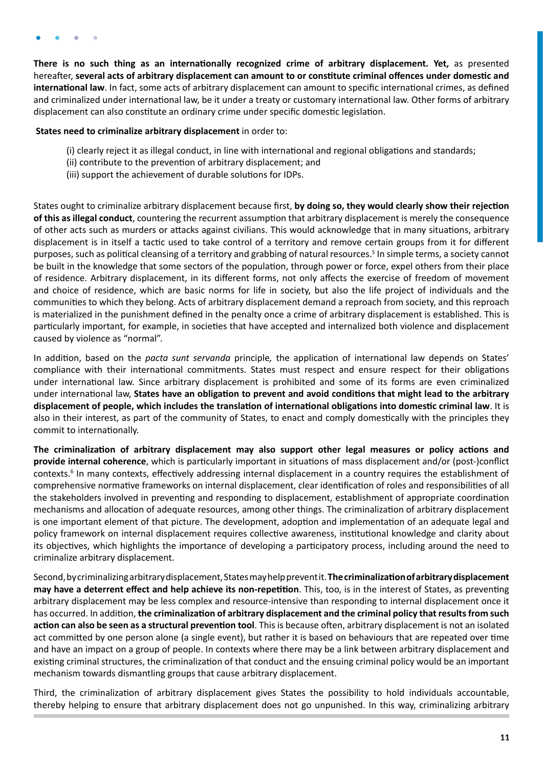**There is no such thing as an internationally recognized crime of arbitrary displacement. Yet,** as presented hereafter, **several acts of arbitrary displacement can amount to or constitute criminal offences under domestic and international law**. In fact, some acts of arbitrary displacement can amount to specific international crimes, as defined and criminalized under international law, be it under a treaty or customary international law. Other forms of arbitrary displacement can also constitute an ordinary crime under specific domestic legislation.

#### **States need to criminalize arbitrary displacement** in order to:

- (i) clearly reject it as illegal conduct, in line with international and regional obligations and standards;
- (ii) contribute to the prevention of arbitrary displacement; and
- (iii) support the achievement of durable solutions for IDPs.

States ought to criminalize arbitrary displacement because first, **by doing so, they would clearly show their rejection of this as illegal conduct**, countering the recurrent assumption that arbitrary displacement is merely the consequence of other acts such as murders or attacks against civilians. This would acknowledge that in many situations, arbitrary displacement is in itself a tactic used to take control of a territory and remove certain groups from it for different purposes, such as political cleansing of a territory and grabbing of natural resources.<sup>5</sup> In simple terms, a society cannot be built in the knowledge that some sectors of the population, through power or force, expel others from their place of residence. Arbitrary displacement, in its different forms, not only affects the exercise of freedom of movement and choice of residence, which are basic norms for life in society, but also the life project of individuals and the communities to which they belong. Acts of arbitrary displacement demand a reproach from society, and this reproach is materialized in the punishment defined in the penalty once a crime of arbitrary displacement is established. This is particularly important, for example, in societies that have accepted and internalized both violence and displacement caused by violence as "normal".

In addition, based on the *pacta sunt servanda* principle*,* the application of international law depends on States' compliance with their international commitments. States must respect and ensure respect for their obligations under international law. Since arbitrary displacement is prohibited and some of its forms are even criminalized under international law, **States have an obligation to prevent and avoid conditions that might lead to the arbitrary displacement of people, which includes the translation of international obligations into domestic criminal law**. It is also in their interest, as part of the community of States, to enact and comply domestically with the principles they commit to internationally.

**The criminalization of arbitrary displacement may also support other legal measures or policy actions and provide internal coherence**, which is particularly important in situations of mass displacement and/or (post-)conflict contexts.<sup>6</sup> In many contexts, effectively addressing internal displacement in a country requires the establishment of comprehensive normative frameworks on internal displacement, clear identification of roles and responsibilities of all the stakeholders involved in preventing and responding to displacement, establishment of appropriate coordination mechanisms and allocation of adequate resources, among other things. The criminalization of arbitrary displacement is one important element of that picture. The development, adoption and implementation of an adequate legal and policy framework on internal displacement requires collective awareness, institutional knowledge and clarity about its objectives, which highlights the importance of developing a participatory process, including around the need to criminalize arbitrary displacement.

Second, by criminalizing arbitrary displacement, States may help prevent it. **The criminalization of arbitrary displacement may have a deterrent effect and help achieve its non-repetition**. This, too, is in the interest of States, as preventing arbitrary displacement may be less complex and resource-intensive than responding to internal displacement once it has occurred. In addition, **the criminalization of arbitrary displacement and the criminal policy that results from such action can also be seen as a structural prevention tool**. This is because often, arbitrary displacement is not an isolated act committed by one person alone (a single event), but rather it is based on behaviours that are repeated over time and have an impact on a group of people. In contexts where there may be a link between arbitrary displacement and existing criminal structures, the criminalization of that conduct and the ensuing criminal policy would be an important mechanism towards dismantling groups that cause arbitrary displacement.

Third, the criminalization of arbitrary displacement gives States the possibility to hold individuals accountable, thereby helping to ensure that arbitrary displacement does not go unpunished. In this way, criminalizing arbitrary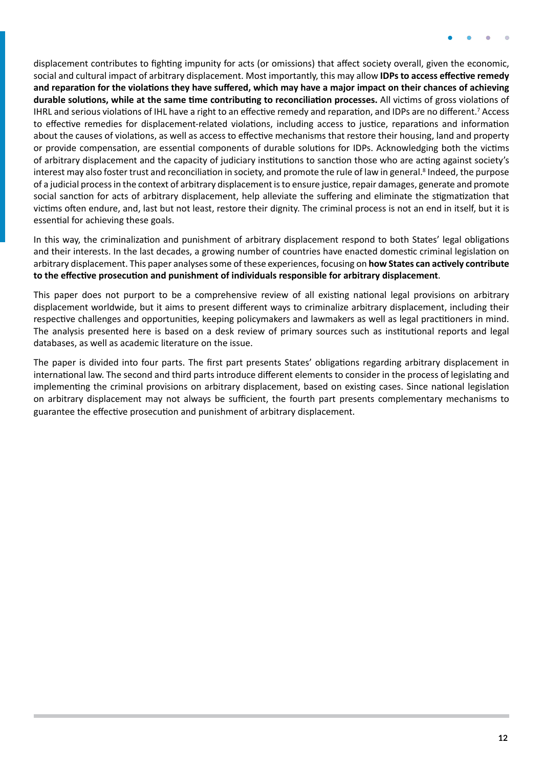displacement contributes to fighting impunity for acts (or omissions) that affect society overall, given the economic, social and cultural impact of arbitrary displacement. Most importantly, this may allow **IDPs to access effective remedy and reparation for the violations they have suffered, which may have a major impact on their chances of achieving durable solutions, while at the same time contributing to reconciliation processes.** All victims of gross violations of IHRL and serious violations of IHL have a right to an effective remedy and reparation, and IDPs are no different.<sup>7</sup> Access to effective remedies for displacement-related violations, including access to justice, reparations and information about the causes of violations, as well as access to effective mechanisms that restore their housing, land and property or provide compensation, are essential components of durable solutions for IDPs. Acknowledging both the victims of arbitrary displacement and the capacity of judiciary institutions to sanction those who are acting against society's interest may also foster trust and reconciliation in society, and promote the rule of law in general.<sup>8</sup> Indeed, the purpose of a judicial process in the context of arbitrary displacement is to ensure justice, repair damages, generate and promote social sanction for acts of arbitrary displacement, help alleviate the suffering and eliminate the stigmatization that victims often endure, and, last but not least, restore their dignity. The criminal process is not an end in itself, but it is essential for achieving these goals.

In this way, the criminalization and punishment of arbitrary displacement respond to both States' legal obligations and their interests. In the last decades, a growing number of countries have enacted domestic criminal legislation on arbitrary displacement. This paper analyses some of these experiences, focusing on **how States can actively contribute to the effective prosecution and punishment of individuals responsible for arbitrary displacement**.

This paper does not purport to be a comprehensive review of all existing national legal provisions on arbitrary displacement worldwide, but it aims to present different ways to criminalize arbitrary displacement, including their respective challenges and opportunities, keeping policymakers and lawmakers as well as legal practitioners in mind. The analysis presented here is based on a desk review of primary sources such as institutional reports and legal databases, as well as academic literature on the issue.

The paper is divided into four parts. The first part presents States' obligations regarding arbitrary displacement in international law. The second and third parts introduce different elements to consider in the process of legislating and implementing the criminal provisions on arbitrary displacement, based on existing cases. Since national legislation on arbitrary displacement may not always be sufficient, the fourth part presents complementary mechanisms to guarantee the effective prosecution and punishment of arbitrary displacement.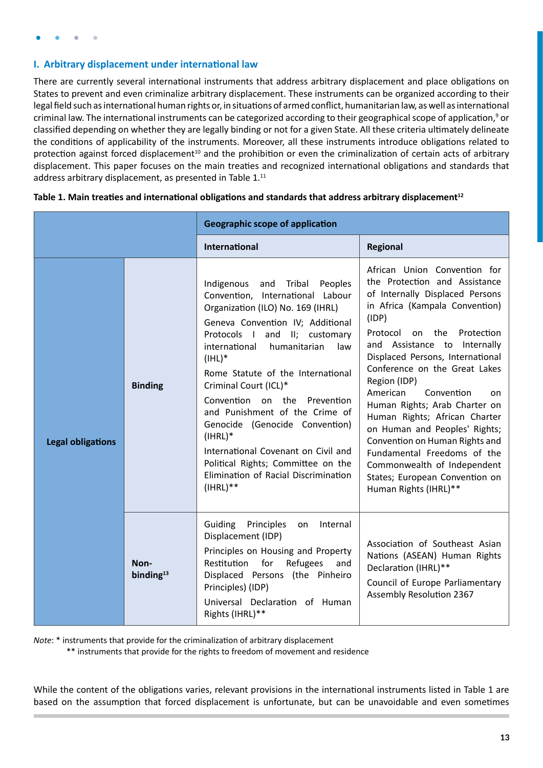### <span id="page-12-0"></span>**I. Arbitrary displacement under international law**

There are currently several international instruments that address arbitrary displacement and place obligations on States to prevent and even criminalize arbitrary displacement. These instruments can be organized according to their legal field such as international human rights or, in situations of armed conflict, humanitarian law, as well as international criminal law. The international instruments can be categorized according to their geographical scope of application,<sup>9</sup> or classified depending on whether they are legally binding or not for a given State. All these criteria ultimately delineate the conditions of applicability of the instruments. Moreover, all these instruments introduce obligations related to protection against forced displacement<sup>10</sup> and the prohibition or even the criminalization of certain acts of arbitrary displacement. This paper focuses on the main treaties and recognized international obligations and standards that address arbitrary displacement, as presented in Table 1.<sup>11</sup>

|                          |                      | <b>Geographic scope of application</b>                                                                                                                                                                                                                                                                                                                                                                                                                                                                                                                   |                                                                                                                                                                                                                                                                                                                                                                                                                                                                                                                                                                                                               |  |
|--------------------------|----------------------|----------------------------------------------------------------------------------------------------------------------------------------------------------------------------------------------------------------------------------------------------------------------------------------------------------------------------------------------------------------------------------------------------------------------------------------------------------------------------------------------------------------------------------------------------------|---------------------------------------------------------------------------------------------------------------------------------------------------------------------------------------------------------------------------------------------------------------------------------------------------------------------------------------------------------------------------------------------------------------------------------------------------------------------------------------------------------------------------------------------------------------------------------------------------------------|--|
|                          |                      | <b>International</b>                                                                                                                                                                                                                                                                                                                                                                                                                                                                                                                                     | Regional                                                                                                                                                                                                                                                                                                                                                                                                                                                                                                                                                                                                      |  |
| <b>Legal obligations</b> | <b>Binding</b>       | and Tribal<br>Indigenous<br>Peoples<br>Convention, International Labour<br>Organization (ILO) No. 169 (IHRL)<br>Geneva Convention IV; Additional<br>Protocols I and II; customary<br>humanitarian<br>international<br>law<br>$(IHL)^*$<br>Rome Statute of the International<br>Criminal Court (ICL)*<br>Convention on the Prevention<br>and Punishment of the Crime of<br>Genocide (Genocide Convention)<br>$(IHRL)*$<br>International Covenant on Civil and<br>Political Rights; Committee on the<br>Elimination of Racial Discrimination<br>$(HRL)$ ** | African Union Convention for<br>the Protection and Assistance<br>of Internally Displaced Persons<br>in Africa (Kampala Convention)<br>(IDP)<br>Protocol<br>on the<br>Protection<br>and Assistance to Internally<br>Displaced Persons, International<br>Conference on the Great Lakes<br>Region (IDP)<br>American<br>Convention<br><sub>on</sub><br>Human Rights; Arab Charter on<br>Human Rights; African Charter<br>on Human and Peoples' Rights;<br>Convention on Human Rights and<br>Fundamental Freedoms of the<br>Commonwealth of Independent<br>States; European Convention on<br>Human Rights (IHRL)** |  |
|                          | Non-<br>binding $13$ | Guiding<br>Principles<br>Internal<br>on<br>Displacement (IDP)<br>Principles on Housing and Property<br>Restitution<br>for<br>Refugees<br>and<br>Displaced Persons (the Pinheiro<br>Principles) (IDP)<br>Universal Declaration of Human<br>Rights (IHRL)**                                                                                                                                                                                                                                                                                                | Association of Southeast Asian<br>Nations (ASEAN) Human Rights<br>Declaration (IHRL)**<br>Council of Europe Parliamentary<br><b>Assembly Resolution 2367</b>                                                                                                                                                                                                                                                                                                                                                                                                                                                  |  |

| Table 1. Main treaties and international obligations and standards that address arbitrary displacement <sup>12</sup> |  |  |
|----------------------------------------------------------------------------------------------------------------------|--|--|
|                                                                                                                      |  |  |

*Note*: \* instruments that provide for the criminalization of arbitrary displacement

\*\* instruments that provide for the rights to freedom of movement and residence

While the content of the obligations varies, relevant provisions in the international instruments listed in Table 1 are based on the assumption that forced displacement is unfortunate, but can be unavoidable and even sometimes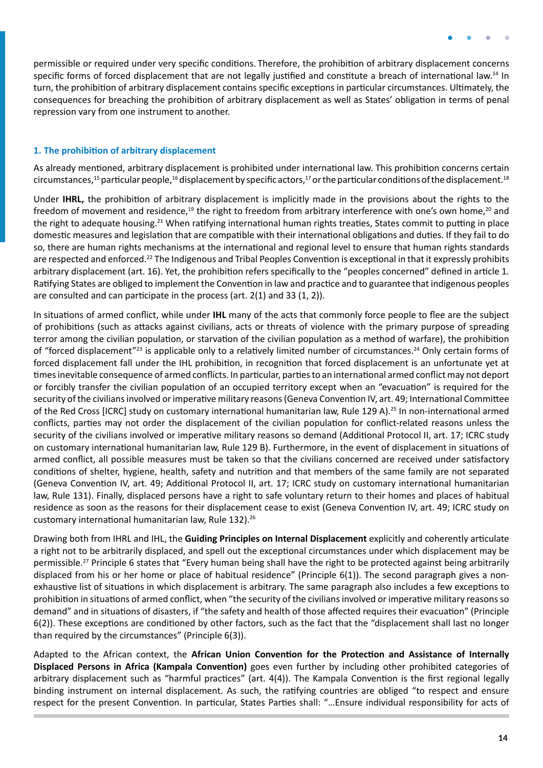<span id="page-13-0"></span>permissible or required under very specific conditions. Therefore, the prohibition of arbitrary displacement concerns specific forms of forced displacement that are not legally justified and constitute a breach of international law.<sup>14</sup> In turn, the prohibition of arbitrary displacement contains specific exceptions in particular circumstances. Ultimately, the consequences for breaching the prohibition of arbitrary displacement as well as States' obligation in terms of penal repression vary from one instrument to another.

#### **1. The prohibition of arbitrary displacement**

As already mentioned, arbitrary displacement is prohibited under international law. This prohibition concerns certain circumstances,<sup>15</sup> particular people,<sup>16</sup> displacement by specific actors,<sup>17</sup> or the particular conditions of the displacement.<sup>18</sup>

Under **IHRL,** the prohibition of arbitrary displacement is implicitly made in the provisions about the rights to the freedom of movement and residence,<sup>19</sup> the right to freedom from arbitrary interference with one's own home,<sup>20</sup> and the right to adequate housing.<sup>21</sup> When ratifying international human rights treaties, States commit to putting in place domestic measures and legislation that are compatible with their international obligations and duties. If they fail to do so, there are human rights mechanisms at the international and regional level to ensure that human rights standards are respected and enforced.<sup>22</sup> The Indigenous and Tribal Peoples Convention is exceptional in that it expressly prohibits arbitrary displacement (art. 16). Yet, the prohibition refers specifically to the "peoples concerned" defined in article 1. Ratifying States are obliged to implement the Convention in law and practice and to guarantee that indigenous peoples are consulted and can participate in the process (art. 2(1) and 33 (1, 2)).

In situations of armed conflict, while under **IHL** many of the acts that commonly force people to flee are the subject of prohibitions (such as attacks against civilians, acts or threats of violence with the primary purpose of spreading terror among the civilian population, or starvation of the civilian population as a method of warfare), the prohibition of "forced displacement"<sup>23</sup> is applicable only to a relatively limited number of circumstances.<sup>24</sup> Only certain forms of forced displacement fall under the IHL prohibition, in recognition that forced displacement is an unfortunate yet at times inevitable consequence of armed conflicts. In particular, parties to an international armed conflict may not deport or forcibly transfer the civilian population of an occupied territory except when an "evacuation" is required for the security of the civilians involved or imperative military reasons (Geneva Convention IV, art. 49; International Committee of the Red Cross [ICRC] study on customary international humanitarian law, Rule 129 A).25 In non-international armed conflicts, parties may not order the displacement of the civilian population for conflict-related reasons unless the security of the civilians involved or imperative military reasons so demand (Additional Protocol II, art. 17; ICRC study on customary international humanitarian law, Rule 129 B). Furthermore, in the event of displacement in situations of armed conflict, all possible measures must be taken so that the civilians concerned are received under satisfactory conditions of shelter, hygiene, health, safety and nutrition and that members of the same family are not separated (Geneva Convention IV, art. 49; Additional Protocol II, art. 17; ICRC study on customary international humanitarian law, Rule 131). Finally, displaced persons have a right to safe voluntary return to their homes and places of habitual residence as soon as the reasons for their displacement cease to exist (Geneva Convention IV, art. 49; ICRC study on customary international humanitarian law, Rule 132).26

Drawing both from IHRL and IHL, the **Guiding Principles on Internal Displacement** explicitly and coherently articulate a right not to be arbitrarily displaced, and spell out the exceptional circumstances under which displacement may be permissible.<sup>27</sup> Principle 6 states that "Every human being shall have the right to be protected against being arbitrarily displaced from his or her home or place of habitual residence" (Principle 6(1)). The second paragraph gives a nonexhaustive list of situations in which displacement is arbitrary. The same paragraph also includes a few exceptions to prohibition in situations of armed conflict, when "the security of the civilians involved or imperative military reasons so demand" and in situations of disasters, if "the safety and health of those affected requires their evacuation" (Principle 6(2)). These exceptions are conditioned by other factors, such as the fact that the "displacement shall last no longer than required by the circumstances" (Principle 6(3)).

Adapted to the African context, the **African Union Convention for the Protection and Assistance of Internally Displaced Persons in Africa (Kampala Convention)** goes even further by including other prohibited categories of arbitrary displacement such as "harmful practices" (art. 4(4)). The Kampala Convention is the first regional legally binding instrument on internal displacement. As such, the ratifying countries are obliged "to respect and ensure respect for the present Convention. In particular, States Parties shall: "…Ensure individual responsibility for acts of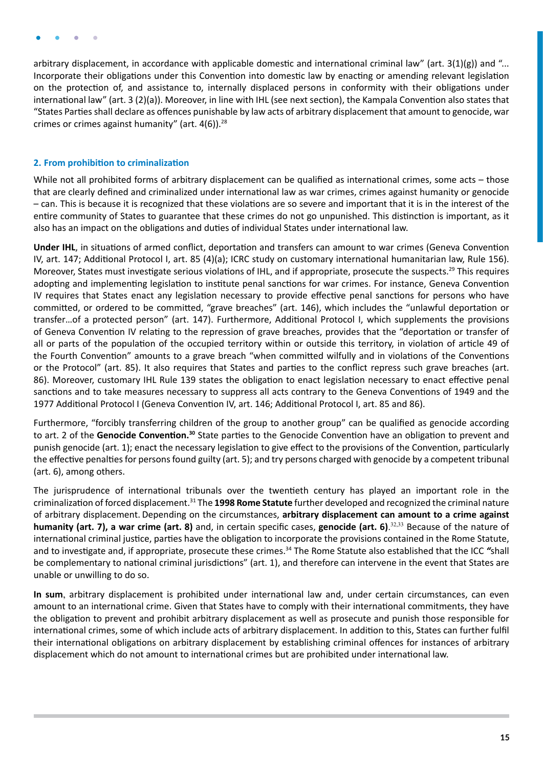<span id="page-14-0"></span>arbitrary displacement, in accordance with applicable domestic and international criminal law" (art.  $3(1)(g)$ ) and "... Incorporate their obligations under this Convention into domestic law by enacting or amending relevant legislation on the protection of, and assistance to, internally displaced persons in conformity with their obligations under international law" (art. 3 (2)(a)). Moreover, in line with IHL (see next section), the Kampala Convention also states that "States Parties shall declare as offences punishable by law acts of arbitrary displacement that amount to genocide, war crimes or crimes against humanity" (art.  $4(6)$ ).<sup>28</sup>

#### **2. From prohibition to criminalization**

While not all prohibited forms of arbitrary displacement can be qualified as international crimes, some acts – those that are clearly defined and criminalized under international law as war crimes, crimes against humanity or genocide – can. This is because it is recognized that these violations are so severe and important that it is in the interest of the entire community of States to guarantee that these crimes do not go unpunished. This distinction is important, as it also has an impact on the obligations and duties of individual States under international law.

**Under IHL**, in situations of armed conflict, deportation and transfers can amount to war crimes (Geneva Convention IV, art. 147; Additional Protocol I, art. 85 (4)(a); ICRC study on customary international humanitarian law, Rule 156). Moreover, States must investigate serious violations of IHL, and if appropriate, prosecute the suspects.<sup>29</sup> This requires adopting and implementing legislation to institute penal sanctions for war crimes. For instance, Geneva Convention IV requires that States enact any legislation necessary to provide effective penal sanctions for persons who have committed, or ordered to be committed, "grave breaches" (art. 146), which includes the "unlawful deportation or transfer…of a protected person" (art. 147). Furthermore, Additional Protocol I, which supplements the provisions of Geneva Convention IV relating to the repression of grave breaches, provides that the "deportation or transfer of all or parts of the population of the occupied territory within or outside this territory, in violation of article 49 of the Fourth Convention" amounts to a grave breach "when committed wilfully and in violations of the Conventions or the Protocol" (art. 85). It also requires that States and parties to the conflict repress such grave breaches (art. 86). Moreover, customary IHL Rule 139 states the obligation to enact legislation necessary to enact effective penal sanctions and to take measures necessary to suppress all acts contrary to the Geneva Conventions of 1949 and the 1977 Additional Protocol I (Geneva Convention IV, art. 146; Additional Protocol I, art. 85 and 86).

Furthermore, "forcibly transferring children of the group to another group" can be qualified as genocide according to art. 2 of the **Genocide Convention.30** State parties to the Genocide Convention have an obligation to prevent and punish genocide (art. 1); enact the necessary legislation to give effect to the provisions of the Convention, particularly the effective penalties for persons found guilty (art. 5); and try persons charged with genocide by a competent tribunal (art. 6), among others.

The jurisprudence of international tribunals over the twentieth century has played an important role in the criminalization of forced displacement.31 The **1998 Rome Statute** further developed and recognized the criminal nature of arbitrary displacement. Depending on the circumstances, **arbitrary displacement can amount to a crime against humanity (art. 7), a war crime (art. 8)** and, in certain specific cases, **genocide (art. 6)**. 32,33 Because of the nature of international criminal justice, parties have the obligation to incorporate the provisions contained in the Rome Statute, and to investigate and, if appropriate, prosecute these crimes.34 The Rome Statute also established that the ICC *"*shall be complementary to national criminal jurisdictions" (art. 1), and therefore can intervene in the event that States are unable or unwilling to do so.

**In sum**, arbitrary displacement is prohibited under international law and, under certain circumstances, can even amount to an international crime. Given that States have to comply with their international commitments, they have the obligation to prevent and prohibit arbitrary displacement as well as prosecute and punish those responsible for international crimes, some of which include acts of arbitrary displacement. In addition to this, States can further fulfil their international obligations on arbitrary displacement by establishing criminal offences for instances of arbitrary displacement which do not amount to international crimes but are prohibited under international law.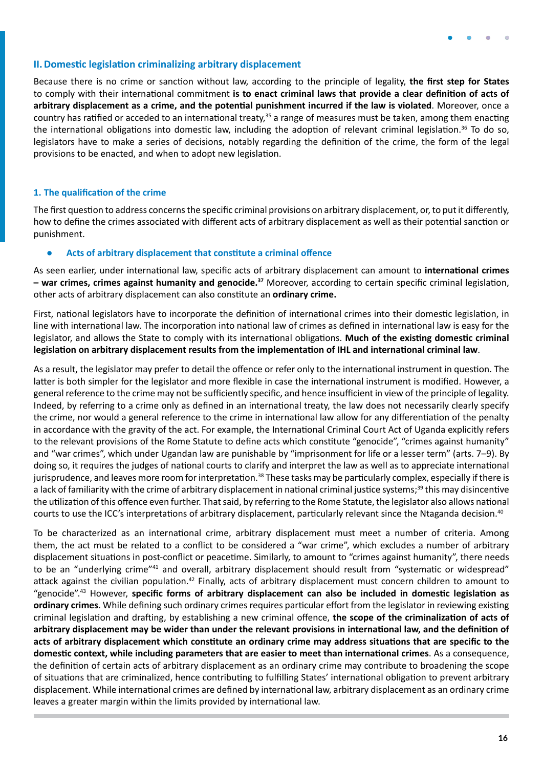

#### <span id="page-15-0"></span>**II.Domestic legislation criminalizing arbitrary displacement**

Because there is no crime or sanction without law, according to the principle of legality, **the first step for States** to comply with their international commitment **is to enact criminal laws that provide a clear definition of acts of arbitrary displacement as a crime, and the potential punishment incurred if the law is violated**. Moreover, once a country has ratified or acceded to an international treaty,<sup>35</sup> a range of measures must be taken, among them enacting the international obligations into domestic law, including the adoption of relevant criminal legislation.<sup>36</sup> To do so, legislators have to make a series of decisions, notably regarding the definition of the crime, the form of the legal provisions to be enacted, and when to adopt new legislation.

#### **1. The qualification of the crime**

The first question to address concerns the specific criminal provisions on arbitrary displacement, or, to put it differently, how to define the crimes associated with different acts of arbitrary displacement as well as their potential sanction or punishment.

#### **● Acts of arbitrary displacement that constitute a criminal offence**

As seen earlier, under international law, specific acts of arbitrary displacement can amount to **international crimes – war crimes, crimes against humanity and genocide.37** Moreover, according to certain specific criminal legislation, other acts of arbitrary displacement can also constitute an **ordinary crime.**

First, national legislators have to incorporate the definition of international crimes into their domestic legislation, in line with international law. The incorporation into national law of crimes as defined in international law is easy for the legislator, and allows the State to comply with its international obligations. **Much of the existing domestic criminal legislation on arbitrary displacement results from the implementation of IHL and international criminal law**.

As a result, the legislator may prefer to detail the offence or refer only to the international instrument in question. The latter is both simpler for the legislator and more flexible in case the international instrument is modified. However, a general reference to the crime may not be sufficiently specific, and hence insufficient in view of the principle of legality. Indeed, by referring to a crime only as defined in an international treaty, the law does not necessarily clearly specify the crime, nor would a general reference to the crime in international law allow for any differentiation of the penalty in accordance with the gravity of the act. For example, the International Criminal Court Act of Uganda explicitly refers to the relevant provisions of the Rome Statute to define acts which constitute "genocide", "crimes against humanity" and "war crimes", which under Ugandan law are punishable by "imprisonment for life or a lesser term" (arts. 7-9). By doing so, it requires the judges of national courts to clarify and interpret the law as well as to appreciate international jurisprudence, and leaves more room for interpretation.<sup>38</sup> These tasks may be particularly complex, especially if there is a lack of familiarity with the crime of arbitrary displacement in national criminal justice systems;<sup>39</sup> this may disincentive the utilization of this offence even further. That said, by referring to the Rome Statute, the legislator also allows national courts to use the ICC's interpretations of arbitrary displacement, particularly relevant since the Ntaganda decision.<sup>40</sup>

To be characterized as an international crime, arbitrary displacement must meet a number of criteria. Among them, the act must be related to a conflict to be considered a "war crime", which excludes a number of arbitrary displacement situations in post-conflict or peacetime. Similarly, to amount to "crimes against humanity", there needs to be an "underlying crime"41 and overall, arbitrary displacement should result from "systematic or widespread" attack against the civilian population.<sup>42</sup> Finally, acts of arbitrary displacement must concern children to amount to "genocide".43 However, **specific forms of arbitrary displacement can also be included in domestic legislation as ordinary crimes**. While defining such ordinary crimes requires particular effort from the legislator in reviewing existing criminal legislation and drafting, by establishing a new criminal offence, **the scope of the criminalization of acts of arbitrary displacement may be wider than under the relevant provisions in international law, and the definition of acts of arbitrary displacement which constitute an ordinary crime may address situations that are specific to the domestic context, while including parameters that are easier to meet than international crimes**. As a consequence, the definition of certain acts of arbitrary displacement as an ordinary crime may contribute to broadening the scope of situations that are criminalized, hence contributing to fulfilling States' international obligation to prevent arbitrary displacement. While international crimes are defined by international law, arbitrary displacement as an ordinary crime leaves a greater margin within the limits provided by international law.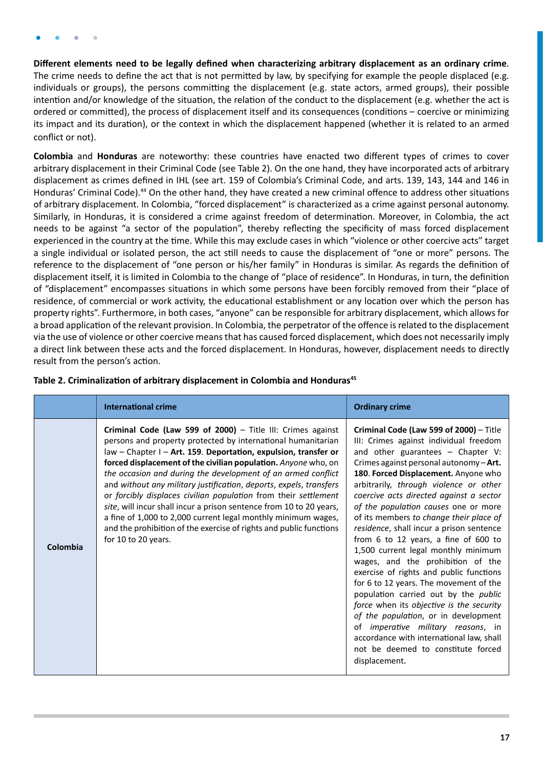**Different elements need to be legally defined when characterizing arbitrary displacement as an ordinary crime**. The crime needs to define the act that is not permitted by law, by specifying for example the people displaced (e.g. individuals or groups), the persons committing the displacement (e.g. state actors, armed groups), their possible intention and/or knowledge of the situation, the relation of the conduct to the displacement (e.g. whether the act is ordered or committed), the process of displacement itself and its consequences (conditions – coercive or minimizing its impact and its duration), or the context in which the displacement happened (whether it is related to an armed conflict or not).

**Colombia** and **Honduras** are noteworthy: these countries have enacted two different types of crimes to cover arbitrary displacement in their Criminal Code (see Table 2). On the one hand, they have incorporated acts of arbitrary displacement as crimes defined in IHL (see art. 159 of Colombia's Criminal Code, and arts. 139, 143, 144 and 146 in Honduras' Criminal Code).<sup>44</sup> On the other hand, they have created a new criminal offence to address other situations of arbitrary displacement. In Colombia, "forced displacement" is characterized as a crime against personal autonomy. Similarly, in Honduras, it is considered a crime against freedom of determination. Moreover, in Colombia, the act needs to be against "a sector of the population", thereby reflecting the specificity of mass forced displacement experienced in the country at the time. While this may exclude cases in which "violence or other coercive acts" target a single individual or isolated person, the act still needs to cause the displacement of "one or more" persons. The reference to the displacement of "one person or his/her family" in Honduras is similar. As regards the definition of displacement itself, it is limited in Colombia to the change of "place of residence". In Honduras, in turn, the definition of "displacement" encompasses situations in which some persons have been forcibly removed from their "place of residence, of commercial or work activity, the educational establishment or any location over which the person has property rights". Furthermore, in both cases, "anyone" can be responsible for arbitrary displacement, which allows for a broad application of the relevant provision. In Colombia, the perpetrator of the offence is related to the displacement via the use of violence or other coercive means that has caused forced displacement, which does not necessarily imply a direct link between these acts and the forced displacement. In Honduras, however, displacement needs to directly result from the person's action.

|          | <b>International crime</b>                                                                                                                                                                                                                                                                                                                                                                                                                                                                                                                                                                                                                                                                                     | <b>Ordinary crime</b>                                                                                                                                                                                                                                                                                                                                                                                                                                                                                                                                                                                                                                                                                                                                                                                                                                                                                             |
|----------|----------------------------------------------------------------------------------------------------------------------------------------------------------------------------------------------------------------------------------------------------------------------------------------------------------------------------------------------------------------------------------------------------------------------------------------------------------------------------------------------------------------------------------------------------------------------------------------------------------------------------------------------------------------------------------------------------------------|-------------------------------------------------------------------------------------------------------------------------------------------------------------------------------------------------------------------------------------------------------------------------------------------------------------------------------------------------------------------------------------------------------------------------------------------------------------------------------------------------------------------------------------------------------------------------------------------------------------------------------------------------------------------------------------------------------------------------------------------------------------------------------------------------------------------------------------------------------------------------------------------------------------------|
| Colombia | Criminal Code (Law 599 of 2000) - Title III: Crimes against<br>persons and property protected by international humanitarian<br>law - Chapter I - Art. 159. Deportation, expulsion, transfer or<br>forced displacement of the civilian population. Anyone who, on<br>the occasion and during the development of an armed conflict<br>and without any military justification, deports, expels, transfers<br>or forcibly displaces civilian population from their settlement<br>site, will incur shall incur a prison sentence from 10 to 20 years,<br>a fine of 1,000 to 2,000 current legal monthly minimum wages,<br>and the prohibition of the exercise of rights and public functions<br>for 10 to 20 years. | Criminal Code (Law 599 of 2000) - Title<br>III: Crimes against individual freedom<br>and other guarantees - Chapter V:<br>Crimes against personal autonomy-Art.<br>180. Forced Displacement. Anyone who<br>arbitrarily, through violence or other<br>coercive acts directed against a sector<br>of the population causes one or more<br>of its members to change their place of<br>residence, shall incur a prison sentence<br>from 6 to 12 years, a fine of 600 to<br>1,500 current legal monthly minimum<br>wages, and the prohibition of the<br>exercise of rights and public functions<br>for 6 to 12 years. The movement of the<br>population carried out by the public<br>force when its objective is the security<br>of the population, or in development<br>of <i>imperative military reasons</i> , in<br>accordance with international law, shall<br>not be deemed to constitute forced<br>displacement. |

### Table 2. Criminalization of arbitrary displacement in Colombia and Honduras<sup>45</sup>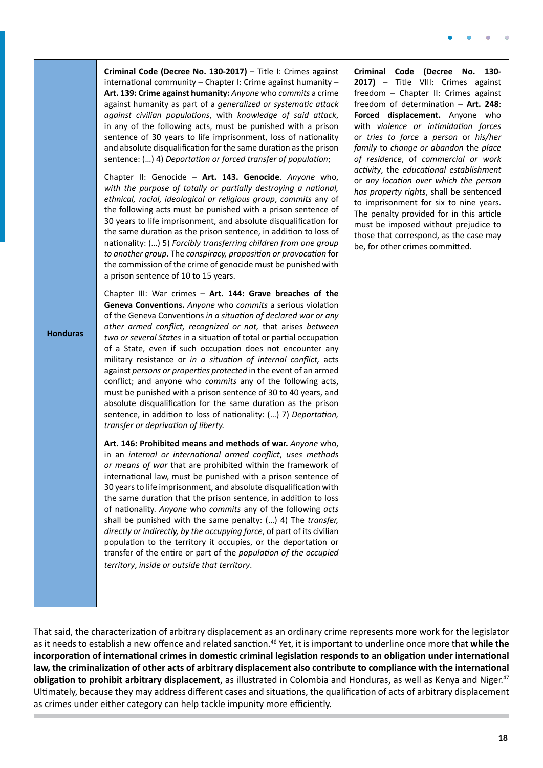| <b>Honduras</b> | Criminal Code (Decree No. 130-2017) - Title I: Crimes against<br>international community - Chapter I: Crime against humanity -<br>Art. 139: Crime against humanity: Anyone who commits a crime<br>against humanity as part of a generalized or systematic attack<br>against civilian populations, with knowledge of said attack,<br>in any of the following acts, must be punished with a prison<br>sentence of 30 years to life imprisonment, loss of nationality<br>and absolute disqualification for the same duration as the prison<br>sentence: () 4) Deportation or forced transfer of population;<br>Chapter II: Genocide - Art. 143. Genocide. Anyone who,<br>with the purpose of totally or partially destroying a national,<br>ethnical, racial, ideological or religious group, commits any of<br>the following acts must be punished with a prison sentence of<br>30 years to life imprisonment, and absolute disqualification for<br>the same duration as the prison sentence, in addition to loss of<br>nationality: () 5) Forcibly transferring children from one group<br>to another group. The conspiracy, proposition or provocation for<br>the commission of the crime of genocide must be punished with<br>a prison sentence of 10 to 15 years.<br>Chapter III: War crimes - Art. 144: Grave breaches of the<br>Geneva Conventions. Anyone who commits a serious violation<br>of the Geneva Conventions in a situation of declared war or any<br>other armed conflict, recognized or not, that arises between<br>two or several States in a situation of total or partial occupation<br>of a State, even if such occupation does not encounter any<br>military resistance or in a situation of internal conflict, acts<br>against persons or properties protected in the event of an armed<br>conflict; and anyone who commits any of the following acts,<br>must be punished with a prison sentence of 30 to 40 years, and<br>absolute disqualification for the same duration as the prison<br>sentence, in addition to loss of nationality: () 7) Deportation,<br>transfer or deprivation of liberty. | Criminal<br>$2017$ ) –<br>freedom<br>freedom<br><b>Forced</b><br>with vio.<br>or tries<br>family to<br>of reside<br>activity, t<br>or any lo<br>has prope<br>to impris<br>The pena<br>must be<br>those tha<br>be, for ot |
|-----------------|-----------------------------------------------------------------------------------------------------------------------------------------------------------------------------------------------------------------------------------------------------------------------------------------------------------------------------------------------------------------------------------------------------------------------------------------------------------------------------------------------------------------------------------------------------------------------------------------------------------------------------------------------------------------------------------------------------------------------------------------------------------------------------------------------------------------------------------------------------------------------------------------------------------------------------------------------------------------------------------------------------------------------------------------------------------------------------------------------------------------------------------------------------------------------------------------------------------------------------------------------------------------------------------------------------------------------------------------------------------------------------------------------------------------------------------------------------------------------------------------------------------------------------------------------------------------------------------------------------------------------------------------------------------------------------------------------------------------------------------------------------------------------------------------------------------------------------------------------------------------------------------------------------------------------------------------------------------------------------------------------------------------------------------------------------------------------------------------------------------------------------|--------------------------------------------------------------------------------------------------------------------------------------------------------------------------------------------------------------------------|
|                 | Art. 146: Prohibited means and methods of war. Anyone who,<br>in an internal or international armed conflict, uses methods<br>or means of war that are prohibited within the framework of<br>international law, must be punished with a prison sentence of<br>30 years to life imprisonment, and absolute disqualification with<br>the same duration that the prison sentence, in addition to loss<br>of nationality. Anyone who commits any of the following acts<br>shall be punished with the same penalty: () 4) The transfer,<br>directly or indirectly, by the occupying force, of part of its civilian<br>population to the territory it occupies, or the deportation or<br>transfer of the entire or part of the population of the occupied<br>territory, inside or outside that territory.                                                                                                                                                                                                                                                                                                                                                                                                                                                                                                                                                                                                                                                                                                                                                                                                                                                                                                                                                                                                                                                                                                                                                                                                                                                                                                                         |                                                                                                                                                                                                                          |

Code (Decree No. 130-**2017)** – Title VIII: Crimes against - Chapter II: Crimes against of determination - Art. 248: displacement. Anyone who *lence* or *intimidation* forces or *tries to force* a *person* or *his/her family* to *change or abandon* the *place of residence*, of *commercial or work activity*, the *educational establishment* or *any location over which the person has property rights*, shall be sentenced onment for six to nine years. Ity provided for in this article imposed without prejudice to t correspond, as the case may her crimes committed.

That said, the characterization of arbitrary displacement as an ordinary crime represents more work for the legislator as it needs to establish a new offence and related sanction.46 Yet, it is important to underline once more that **while the incorporation of international crimes in domestic criminal legislation responds to an obligation under international law, the criminalization of other acts of arbitrary displacement also contribute to compliance with the international obligation to prohibit arbitrary displacement**, as illustrated in Colombia and Honduras, as well as Kenya and Niger.47 Ultimately, because they may address different cases and situations, the qualification of acts of arbitrary displacement as crimes under either category can help tackle impunity more efficiently.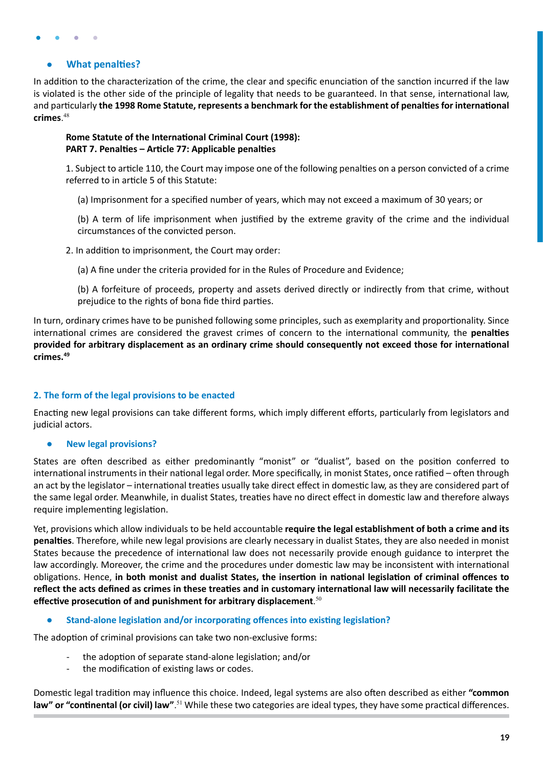#### <span id="page-18-0"></span>**● What penalties?**

In addition to the characterization of the crime, the clear and specific enunciation of the sanction incurred if the law is violated is the other side of the principle of legality that needs to be guaranteed. In that sense, international law, and particularly **the 1998 Rome Statute, represents a benchmark for the establishment of penalties for international crimes**. 48

#### **Rome Statute of the International Criminal Court (1998): PART 7. Penalties – Article 77: Applicable penalties**

1. Subject to article 110, the Court may impose one of the following penalties on a person convicted of a crime referred to in article 5 of this Statute:

(a) Imprisonment for a specified number of years, which may not exceed a maximum of 30 years; or

(b) A term of life imprisonment when justified by the extreme gravity of the crime and the individual circumstances of the convicted person.

2. In addition to imprisonment, the Court may order:

(a) A fine under the criteria provided for in the Rules of Procedure and Evidence;

(b) A forfeiture of proceeds, property and assets derived directly or indirectly from that crime, without prejudice to the rights of bona fide third parties.

In turn, ordinary crimes have to be punished following some principles, such as exemplarity and proportionality. Since international crimes are considered the gravest crimes of concern to the international community, the **penalties provided for arbitrary displacement as an ordinary crime should consequently not exceed those for international crimes.<sup>49</sup>**

### **2. The form of the legal provisions to be enacted**

Enacting new legal provisions can take different forms, which imply different efforts, particularly from legislators and judicial actors.

**● New legal provisions?** 

States are often described as either predominantly "monist" or "dualist", based on the position conferred to international instruments in their national legal order. More specifically, in monist States, once ratified – often through an act by the legislator – international treaties usually take direct effect in domestic law, as they are considered part of the same legal order. Meanwhile, in dualist States, treaties have no direct effect in domestic law and therefore always require implementing legislation.

Yet, provisions which allow individuals to be held accountable **require the legal establishment of both a crime and its penalties**. Therefore, while new legal provisions are clearly necessary in dualist States, they are also needed in monist States because the precedence of international law does not necessarily provide enough guidance to interpret the law accordingly. Moreover, the crime and the procedures under domestic law may be inconsistent with international obligations. Hence, **in both monist and dualist States, the insertion in national legislation of criminal offences to reflect the acts defined as crimes in these treaties and in customary international law will necessarily facilitate the effective prosecution of and punishment for arbitrary displacement**. 50

**● Stand-alone legislation and/or incorporating offences into existing legislation?** 

The adoption of criminal provisions can take two non-exclusive forms:

- the adoption of separate stand-alone legislation; and/or
- the modification of existing laws or codes.

Domestic legal tradition may influence this choice. Indeed, legal systems are also often described as either **"common**  law" or "continental (or civil) law".<sup>51</sup> While these two categories are ideal types, they have some practical differences.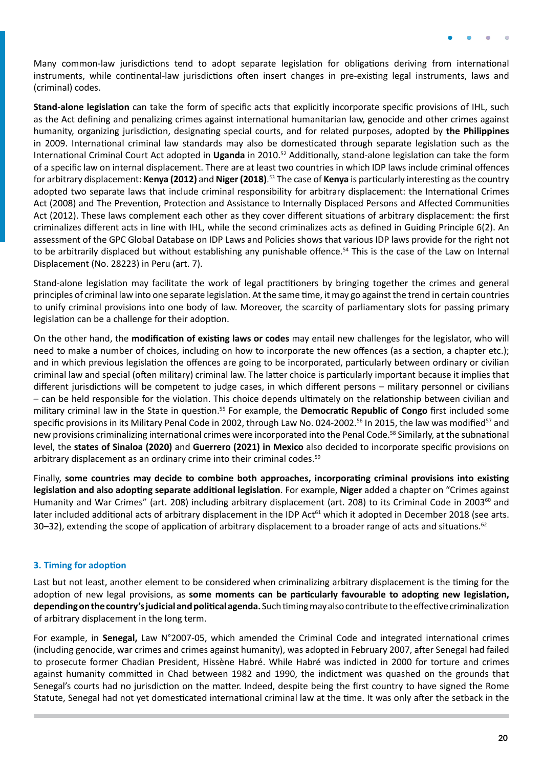<span id="page-19-0"></span>Many common-law jurisdictions tend to adopt separate legislation for obligations deriving from international instruments, while continental-law jurisdictions often insert changes in pre-existing legal instruments, laws and (criminal) codes.

**Stand-alone legislation** can take the form of specific acts that explicitly incorporate specific provisions of IHL, such as the Act defining and penalizing crimes against international humanitarian law, genocide and other crimes against humanity, organizing jurisdiction, designating special courts, and for related purposes, adopted by **the Philippines** in 2009. International criminal law standards may also be domesticated through separate legislation such as the International Criminal Court Act adopted in **Uganda** in 2010.52 Additionally, stand-alone legislation can take the form of a specific law on internal displacement. There are at least two countries in which IDP laws include criminal offences for arbitrary displacement: **Kenya (2012)** and **Niger (2018)**. <sup>53</sup> The case of **Kenya** is particularly interesting as the country adopted two separate laws that include criminal responsibility for arbitrary displacement: the International Crimes Act (2008) and The Prevention, Protection and Assistance to Internally Displaced Persons and Affected Communities Act (2012). These laws complement each other as they cover different situations of arbitrary displacement: the first criminalizes different acts in line with IHL, while the second criminalizes acts as defined in Guiding Principle 6(2). An assessment of the GPC Global Database on IDP Laws and Policies shows that various IDP laws provide for the right not to be arbitrarily displaced but without establishing any punishable offence.<sup>54</sup> This is the case of the Law on Internal Displacement (No. 28223) in Peru (art. 7).

Stand-alone legislation may facilitate the work of legal practitioners by bringing together the crimes and general principles of criminal law into one separate legislation. At the same time, it may go against the trend in certain countries to unify criminal provisions into one body of law. Moreover, the scarcity of parliamentary slots for passing primary legislation can be a challenge for their adoption.

On the other hand, the **modification of existing laws or codes** may entail new challenges for the legislator, who will need to make a number of choices, including on how to incorporate the new offences (as a section, a chapter etc.); and in which previous legislation the offences are going to be incorporated, particularly between ordinary or civilian criminal law and special (often military) criminal law. The latter choice is particularly important because it implies that different jurisdictions will be competent to judge cases, in which different persons – military personnel or civilians – can be held responsible for the violation. This choice depends ultimately on the relationship between civilian and military criminal law in the State in question.55 For example, the **Democratic Republic of Congo** first included some specific provisions in its Military Penal Code in 2002, through Law No. 024-2002.<sup>56</sup> In 2015, the law was modified<sup>57</sup> and new provisions criminalizing international crimes were incorporated into the Penal Code.58 Similarly, at the subnational level, the **states of Sinaloa (2020)** and **Guerrero (2021) in Mexico** also decided to incorporate specific provisions on arbitrary displacement as an ordinary crime into their criminal codes.<sup>59</sup>

Finally, **some countries may decide to combine both approaches, incorporating criminal provisions into existing legislation and also adopting separate additional legislation**. For example, **Niger** added a chapter on "Crimes against Humanity and War Crimes" (art. 208) including arbitrary displacement (art. 208) to its Criminal Code in 2003<sup>60</sup> and later included additional acts of arbitrary displacement in the IDP Act<sup>61</sup> which it adopted in December 2018 (see arts. 30–32), extending the scope of application of arbitrary displacement to a broader range of acts and situations.<sup>62</sup>

#### **3. Timing for adoption**

Last but not least, another element to be considered when criminalizing arbitrary displacement is the timing for the adoption of new legal provisions, as **some moments can be particularly favourable to adopting new legislation, depending on the country's judicial and political agenda.** Such timing may also contribute to the effective criminalization of arbitrary displacement in the long term.

For example, in **Senegal,** Law N°2007-05, which amended the Criminal Code and integrated international crimes (including genocide, war crimes and crimes against humanity), was adopted in February 2007, after Senegal had failed to prosecute former Chadian President, Hissène Habré. While Habré was indicted in 2000 for torture and crimes against humanity committed in Chad between 1982 and 1990, the indictment was quashed on the grounds that Senegal's courts had no jurisdiction on the matter. Indeed, despite being the first country to have signed the Rome Statute, Senegal had not yet domesticated international criminal law at the time. It was only after the setback in the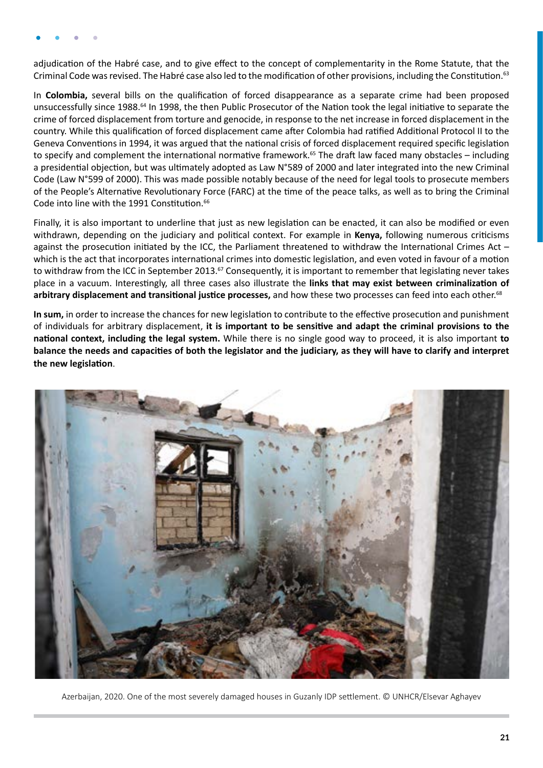adjudication of the Habré case, and to give effect to the concept of complementarity in the Rome Statute, that the Criminal Code was revised. The Habré case also led to the modification of other provisions, including the Constitution.<sup>63</sup>

In **Colombia,** several bills on the qualification of forced disappearance as a separate crime had been proposed unsuccessfully since 1988.64 In 1998, the then Public Prosecutor of the Nation took the legal initiative to separate the crime of forced displacement from torture and genocide, in response to the net increase in forced displacement in the country. While this qualification of forced displacement came after Colombia had ratified Additional Protocol II to the Geneva Conventions in 1994, it was argued that the national crisis of forced displacement required specific legislation to specify and complement the international normative framework.<sup>65</sup> The draft law faced many obstacles – including a presidential objection, but was ultimately adopted as Law N°589 of 2000 and later integrated into the new Criminal Code (Law N°599 of 2000). This was made possible notably because of the need for legal tools to prosecute members of the People's Alternative Revolutionary Force (FARC) at the time of the peace talks, as well as to bring the Criminal Code into line with the 1991 Constitution.<sup>66</sup>

Finally, it is also important to underline that just as new legislation can be enacted, it can also be modified or even withdrawn, depending on the judiciary and political context. For example in **Kenya,** following numerous criticisms against the prosecution initiated by the ICC, the Parliament threatened to withdraw the International Crimes Act – which is the act that incorporates international crimes into domestic legislation, and even voted in favour of a motion to withdraw from the ICC in September 2013.<sup>57</sup> Consequently, it is important to remember that legislating never takes place in a vacuum. Interestingly, all three cases also illustrate the **links that may exist between criminalization of**  arbitrary displacement and transitional justice processes, and how these two processes can feed into each other.<sup>68</sup>

**In sum,** in order to increase the chances for new legislation to contribute to the effective prosecution and punishment of individuals for arbitrary displacement, **it is important to be sensitive and adapt the criminal provisions to the national context, including the legal system.** While there is no single good way to proceed, it is also important **to balance the needs and capacities of both the legislator and the judiciary, as they will have to clarify and interpret the new legislation**.



Azerbaijan, 2020. One of the most severely damaged houses in Guzanly IDP settlement. © UNHCR/Elsevar Aghayev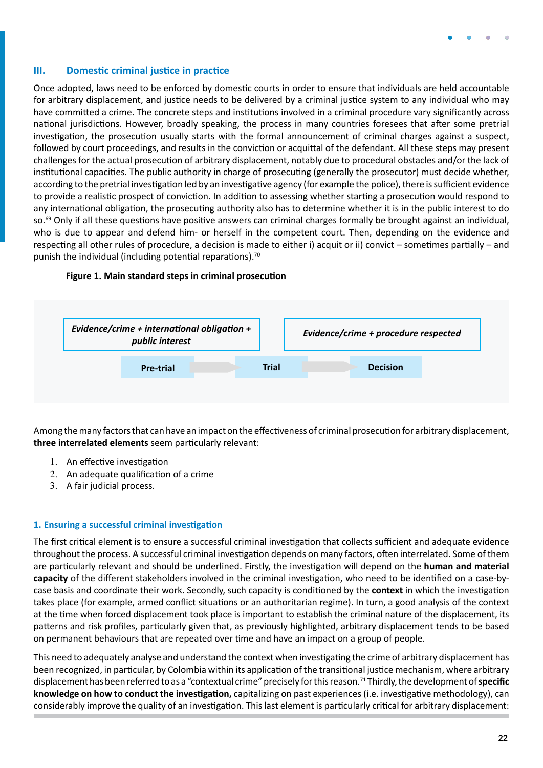#### <span id="page-21-0"></span>**III. Domestic criminal justice in practice**

Once adopted, laws need to be enforced by domestic courts in order to ensure that individuals are held accountable for arbitrary displacement, and justice needs to be delivered by a criminal justice system to any individual who may have committed a crime. The concrete steps and institutions involved in a criminal procedure vary significantly across national jurisdictions. However, broadly speaking, the process in many countries foresees that after some pretrial investigation, the prosecution usually starts with the formal announcement of criminal charges against a suspect, followed by court proceedings, and results in the conviction or acquittal of the defendant. All these steps may present challenges for the actual prosecution of arbitrary displacement, notably due to procedural obstacles and/or the lack of institutional capacities. The public authority in charge of prosecuting (generally the prosecutor) must decide whether, according to the pretrial investigation led by an investigative agency (for example the police), there is sufficient evidence to provide a realistic prospect of conviction. In addition to assessing whether starting a prosecution would respond to any international obligation, the prosecuting authority also has to determine whether it is in the public interest to do so.<sup>69</sup> Only if all these questions have positive answers can criminal charges formally be brought against an individual, who is due to appear and defend him- or herself in the competent court. Then, depending on the evidence and respecting all other rules of procedure, a decision is made to either i) acquit or ii) convict – sometimes partially – and punish the individual (including potential reparations).<sup>70</sup>



#### **Figure 1. Main standard steps in criminal prosecution**

Among the many factors that can have an impact on the effectiveness of criminal prosecution for arbitrary displacement, **three interrelated elements** seem particularly relevant:

- 1. An effective investigation
- 2. An adequate qualification of a crime
- 3. A fair judicial process.

#### **1. Ensuring a successful criminal investigation**

The first critical element is to ensure a successful criminal investigation that collects sufficient and adequate evidence throughout the process. A successful criminal investigation depends on many factors, often interrelated. Some of them are particularly relevant and should be underlined. Firstly, the investigation will depend on the **human and material capacity** of the different stakeholders involved in the criminal investigation, who need to be identified on a case-bycase basis and coordinate their work. Secondly, such capacity is conditioned by the **context** in which the investigation takes place (for example, armed conflict situations or an authoritarian regime). In turn, a good analysis of the context at the time when forced displacement took place is important to establish the criminal nature of the displacement, its patterns and risk profiles, particularly given that, as previously highlighted, arbitrary displacement tends to be based on permanent behaviours that are repeated over time and have an impact on a group of people.

This need to adequately analyse and understand the context when investigating the crime of arbitrary displacement has been recognized, in particular, by Colombia within its application of the transitional justice mechanism, where arbitrary displacement has been referred to as a "contextual crime" precisely for this reason.71 Thirdly, the development of **specific knowledge on how to conduct the investigation,** capitalizing on past experiences (i.e. investigative methodology), can considerably improve the quality of an investigation. This last element is particularly critical for arbitrary displacement: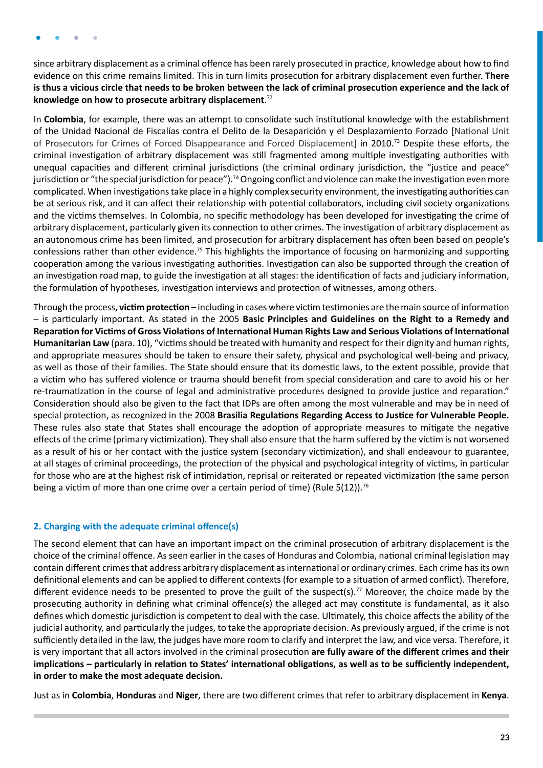<span id="page-22-0"></span>since arbitrary displacement as a criminal offence has been rarely prosecuted in practice, knowledge about how to find evidence on this crime remains limited. This in turn limits prosecution for arbitrary displacement even further. **There is thus a vicious circle that needs to be broken between the lack of criminal prosecution experience and the lack of knowledge on how to prosecute arbitrary displacement**. 72

In **Colombia**, for example, there was an attempt to consolidate such institutional knowledge with the establishment of the Unidad Nacional de Fiscalías contra el Delito de la Desaparición y el Desplazamiento Forzado [National Unit of Prosecutors for Crimes of Forced Disappearance and Forced Displacement] in 2010.73 Despite these efforts, the criminal investigation of arbitrary displacement was still fragmented among multiple investigating authorities with unequal capacities and different criminal jurisdictions (the criminal ordinary jurisdiction, the "justice and peace" jurisdiction or "the special jurisdiction for peace").<sup>74</sup> Ongoing conflict and violence can make the investigation even more complicated. When investigations take place in a highly complex security environment, the investigating authorities can be at serious risk, and it can affect their relationship with potential collaborators, including civil society organizations and the victims themselves. In Colombia, no specific methodology has been developed for investigating the crime of arbitrary displacement, particularly given its connection to other crimes. The investigation of arbitrary displacement as an autonomous crime has been limited, and prosecution for arbitrary displacement has often been based on people's confessions rather than other evidence.75 This highlights the importance of focusing on harmonizing and supporting cooperation among the various investigating authorities. Investigation can also be supported through the creation of an investigation road map, to guide the investigation at all stages: the identification of facts and judiciary information, the formulation of hypotheses, investigation interviews and protection of witnesses, among others.

Through the process, **victim protection** – including in cases where victim testimonies are the main source of information – is particularly important. As stated in the 2005 **Basic Principles and Guidelines on the Right to a Remedy and Reparation for Victims of Gross Violations of International Human Rights Law and Serious Violations of International Humanitarian Law** (para. 10), "victims should be treated with humanity and respect for their dignity and human rights, and appropriate measures should be taken to ensure their safety, physical and psychological well-being and privacy, as well as those of their families. The State should ensure that its domestic laws, to the extent possible, provide that a victim who has suffered violence or trauma should benefit from special consideration and care to avoid his or her re-traumatization in the course of legal and administrative procedures designed to provide justice and reparation." Consideration should also be given to the fact that IDPs are often among the most vulnerable and may be in need of special protection, as recognized in the 2008 **Brasilia Regulations Regarding Access to Justice for Vulnerable People.**  These rules also state that States shall encourage the adoption of appropriate measures to mitigate the negative effects of the crime (primary victimization). They shall also ensure that the harm suffered by the victim is not worsened as a result of his or her contact with the justice system (secondary victimization), and shall endeavour to guarantee, at all stages of criminal proceedings, the protection of the physical and psychological integrity of victims, in particular for those who are at the highest risk of intimidation, reprisal or reiterated or repeated victimization (the same person being a victim of more than one crime over a certain period of time) (Rule  $5(12)$ ).<sup>76</sup>

#### **2. Charging with the adequate criminal offence(s)**

The second element that can have an important impact on the criminal prosecution of arbitrary displacement is the choice of the criminal offence. As seen earlier in the cases of Honduras and Colombia, national criminal legislation may contain different crimes that address arbitrary displacement as international or ordinary crimes. Each crime has its own definitional elements and can be applied to different contexts (for example to a situation of armed conflict). Therefore, different evidence needs to be presented to prove the guilt of the suspect(s).<sup>77</sup> Moreover, the choice made by the prosecuting authority in defining what criminal offence(s) the alleged act may constitute is fundamental, as it also defines which domestic jurisdiction is competent to deal with the case. Ultimately, this choice affects the ability of the judicial authority, and particularly the judges, to take the appropriate decision. As previously argued, if the crime is not sufficiently detailed in the law, the judges have more room to clarify and interpret the law, and vice versa. Therefore, it is very important that all actors involved in the criminal prosecution **are fully aware of the different crimes and their implications – particularly in relation to States' international obligations, as well as to be sufficiently independent, in order to make the most adequate decision.**

Just as in **Colombia**, **Honduras** and **Niger**, there are two different crimes that refer to arbitrary displacement in **Kenya**.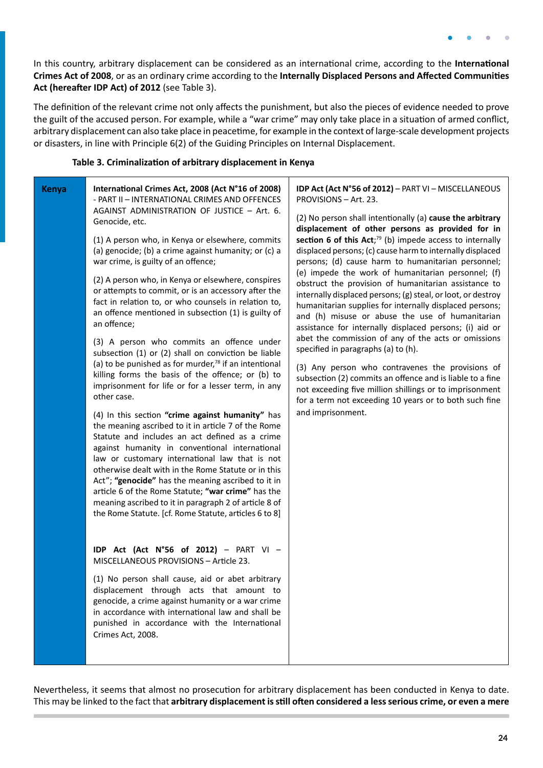In this country, arbitrary displacement can be considered as an international crime, according to the **International Crimes Act of 2008**, or as an ordinary crime according to the **Internally Displaced Persons and Affected Communities Act (hereafter IDP Act) of 2012** (see Table 3).

The definition of the relevant crime not only affects the punishment, but also the pieces of evidence needed to prove the guilt of the accused person. For example, while a "war crime" may only take place in a situation of armed conflict, arbitrary displacement can also take place in peacetime, for example in the context of large-scale development projects or disasters, in line with Principle 6(2) of the Guiding Principles on Internal Displacement.

#### **Table 3. Criminalization of arbitrary displacement in Kenya**

| <b>Kenya</b> | International Crimes Act, 2008 (Act N°16 of 2008)<br>- PART II - INTERNATIONAL CRIMES AND OFFENCES<br>AGAINST ADMINISTRATION OF JUSTICE - Art. 6.<br>Genocide, etc.<br>(1) A person who, in Kenya or elsewhere, commits<br>(a) genocide; (b) a crime against humanity; or (c) a<br>war crime, is guilty of an offence;<br>(2) A person who, in Kenya or elsewhere, conspires<br>or attempts to commit, or is an accessory after the<br>fact in relation to, or who counsels in relation to,<br>an offence mentioned in subsection (1) is guilty of<br>an offence;<br>(3) A person who commits an offence under<br>subsection (1) or (2) shall on conviction be liable<br>(a) to be punished as for murder, $78$ if an intentional<br>killing forms the basis of the offence; or (b) to<br>imprisonment for life or for a lesser term, in any<br>other case.<br>(4) In this section "crime against humanity" has<br>the meaning ascribed to it in article 7 of the Rome<br>Statute and includes an act defined as a crime<br>against humanity in conventional international<br>law or customary international law that is not<br>otherwise dealt with in the Rome Statute or in this<br>Act"; "genocide" has the meaning ascribed to it in<br>article 6 of the Rome Statute; "war crime" has the<br>meaning ascribed to it in paragraph 2 of article 8 of<br>the Rome Statute. [cf. Rome Statute, articles 6 to 8] | IDP Act (Act N°56 of 2012) - PART VI - MISCELLANEOUS<br>PROVISIONS - Art. 23.<br>(2) No person shall intentionally (a) cause the arbitrary<br>displacement of other persons as provided for in<br>section 6 of this $Act;^{79}$ (b) impede access to internally<br>displaced persons; (c) cause harm to internally displaced<br>persons; (d) cause harm to humanitarian personnel;<br>(e) impede the work of humanitarian personnel; (f)<br>obstruct the provision of humanitarian assistance to<br>internally displaced persons; (g) steal, or loot, or destroy<br>humanitarian supplies for internally displaced persons;<br>and (h) misuse or abuse the use of humanitarian<br>assistance for internally displaced persons; (i) aid or<br>abet the commission of any of the acts or omissions<br>specified in paragraphs (a) to (h).<br>(3) Any person who contravenes the provisions of<br>subsection (2) commits an offence and is liable to a fine<br>not exceeding five million shillings or to imprisonment<br>for a term not exceeding 10 years or to both such fine<br>and imprisonment. |
|--------------|-------------------------------------------------------------------------------------------------------------------------------------------------------------------------------------------------------------------------------------------------------------------------------------------------------------------------------------------------------------------------------------------------------------------------------------------------------------------------------------------------------------------------------------------------------------------------------------------------------------------------------------------------------------------------------------------------------------------------------------------------------------------------------------------------------------------------------------------------------------------------------------------------------------------------------------------------------------------------------------------------------------------------------------------------------------------------------------------------------------------------------------------------------------------------------------------------------------------------------------------------------------------------------------------------------------------------------------------------------------------------------------------------------------------|----------------------------------------------------------------------------------------------------------------------------------------------------------------------------------------------------------------------------------------------------------------------------------------------------------------------------------------------------------------------------------------------------------------------------------------------------------------------------------------------------------------------------------------------------------------------------------------------------------------------------------------------------------------------------------------------------------------------------------------------------------------------------------------------------------------------------------------------------------------------------------------------------------------------------------------------------------------------------------------------------------------------------------------------------------------------------------------------------|
|              | IDP Act (Act N°56 of 2012) - PART VI -<br>MISCELLANEOUS PROVISIONS - Article 23.<br>(1) No person shall cause, aid or abet arbitrary<br>displacement through acts that amount to<br>genocide, a crime against humanity or a war crime<br>in accordance with international law and shall be<br>punished in accordance with the International<br>Crimes Act, 2008.                                                                                                                                                                                                                                                                                                                                                                                                                                                                                                                                                                                                                                                                                                                                                                                                                                                                                                                                                                                                                                                  |                                                                                                                                                                                                                                                                                                                                                                                                                                                                                                                                                                                                                                                                                                                                                                                                                                                                                                                                                                                                                                                                                                    |

Nevertheless, it seems that almost no prosecution for arbitrary displacement has been conducted in Kenya to date. This may be linked to the fact that **arbitrary displacement is still often considered a less serious crime, or even a mere**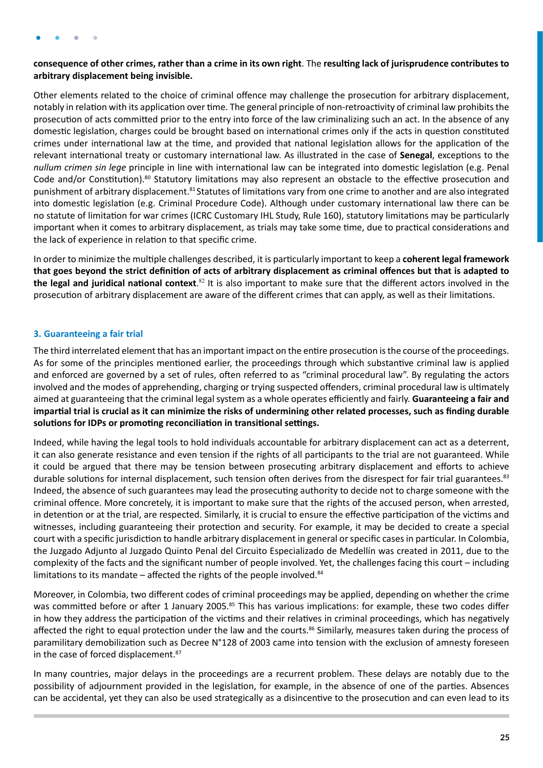#### <span id="page-24-0"></span>**consequence of other crimes, rather than a crime in its own right**. The **resulting lack of jurisprudence contributes to arbitrary displacement being invisible.**

Other elements related to the choice of criminal offence may challenge the prosecution for arbitrary displacement, notably in relation with its application over time. The general principle of non-retroactivity of criminal law prohibits the prosecution of acts committed prior to the entry into force of the law criminalizing such an act. In the absence of any domestic legislation, charges could be brought based on international crimes only if the acts in question constituted crimes under international law at the time, and provided that national legislation allows for the application of the relevant international treaty or customary international law. As illustrated in the case of **Senegal**, exceptions to the *nullum crimen sin lege* principle in line with international law can be integrated into domestic legislation (e.g. Penal Code and/or Constitution).<sup>80</sup> Statutory limitations may also represent an obstacle to the effective prosecution and punishment of arbitrary displacement.<sup>81</sup> Statutes of limitations vary from one crime to another and are also integrated into domestic legislation (e.g. Criminal Procedure Code). Although under customary international law there can be no statute of limitation for war crimes (ICRC Customary IHL Study, Rule 160), statutory limitations may be particularly important when it comes to arbitrary displacement, as trials may take some time, due to practical considerations and the lack of experience in relation to that specific crime.

In order to minimize the multiple challenges described, it is particularly important to keep a **coherent legal framework that goes beyond the strict definition of acts of arbitrary displacement as criminal offences but that is adapted to**  the legal and juridical national context.<sup>82</sup> It is also important to make sure that the different actors involved in the prosecution of arbitrary displacement are aware of the different crimes that can apply, as well as their limitations.

### **3. Guaranteeing a fair trial**

The third interrelated element that has an important impact on the entire prosecution is the course of the proceedings. As for some of the principles mentioned earlier, the proceedings through which substantive criminal law is applied and enforced are governed by a set of rules, often referred to as "criminal procedural law". By regulating the actors involved and the modes of apprehending, charging or trying suspected offenders, criminal procedural law is ultimately aimed at guaranteeing that the criminal legal system as a whole operates efficiently and fairly. **Guaranteeing a fair and impartial trial is crucial as it can minimize the risks of undermining other related processes, such as finding durable solutions for IDPs or promoting reconciliation in transitional settings.**

Indeed, while having the legal tools to hold individuals accountable for arbitrary displacement can act as a deterrent, it can also generate resistance and even tension if the rights of all participants to the trial are not guaranteed. While it could be argued that there may be tension between prosecuting arbitrary displacement and efforts to achieve durable solutions for internal displacement, such tension often derives from the disrespect for fair trial guarantees.<sup>83</sup> Indeed, the absence of such guarantees may lead the prosecuting authority to decide not to charge someone with the criminal offence. More concretely, it is important to make sure that the rights of the accused person, when arrested, in detention or at the trial, are respected. Similarly, it is crucial to ensure the effective participation of the victims and witnesses, including guaranteeing their protection and security. For example, it may be decided to create a special court with a specific jurisdiction to handle arbitrary displacement in general or specific cases in particular. In Colombia, the Juzgado Adjunto al Juzgado Quinto Penal del Circuito Especializado de Medellín was created in 2011, due to the complexity of the facts and the significant number of people involved. Yet, the challenges facing this court – including limitations to its mandate – affected the rights of the people involved. $84$ 

Moreover, in Colombia, two different codes of criminal proceedings may be applied, depending on whether the crime was committed before or after 1 January 2005.<sup>85</sup> This has various implications: for example, these two codes differ in how they address the participation of the victims and their relatives in criminal proceedings, which has negatively affected the right to equal protection under the law and the courts.<sup>86</sup> Similarly, measures taken during the process of paramilitary demobilization such as Decree N°128 of 2003 came into tension with the exclusion of amnesty foreseen in the case of forced displacement.<sup>87</sup>

In many countries, major delays in the proceedings are a recurrent problem. These delays are notably due to the possibility of adjournment provided in the legislation, for example, in the absence of one of the parties. Absences can be accidental, yet they can also be used strategically as a disincentive to the prosecution and can even lead to its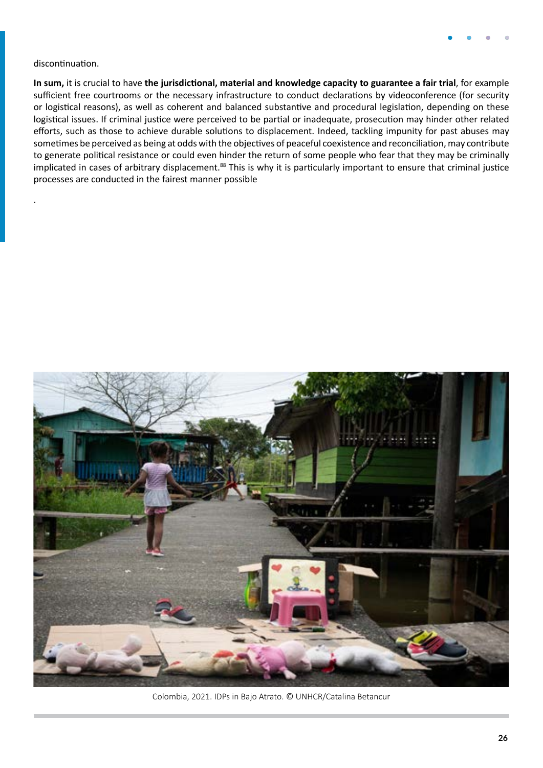#### discontinuation.

.

**In sum,** it is crucial to have **the jurisdictional, material and knowledge capacity to guarantee a fair trial**, for example sufficient free courtrooms or the necessary infrastructure to conduct declarations by videoconference (for security or logistical reasons), as well as coherent and balanced substantive and procedural legislation, depending on these logistical issues. If criminal justice were perceived to be partial or inadequate, prosecution may hinder other related efforts, such as those to achieve durable solutions to displacement. Indeed, tackling impunity for past abuses may sometimes be perceived as being at odds with the objectives of peaceful coexistence and reconciliation, may contribute to generate political resistance or could even hinder the return of some people who fear that they may be criminally implicated in cases of arbitrary displacement.<sup>88</sup> This is why it is particularly important to ensure that criminal justice processes are conducted in the fairest manner possible



Colombia, 2021. IDPs in Bajo Atrato. © UNHCR/Catalina Betancur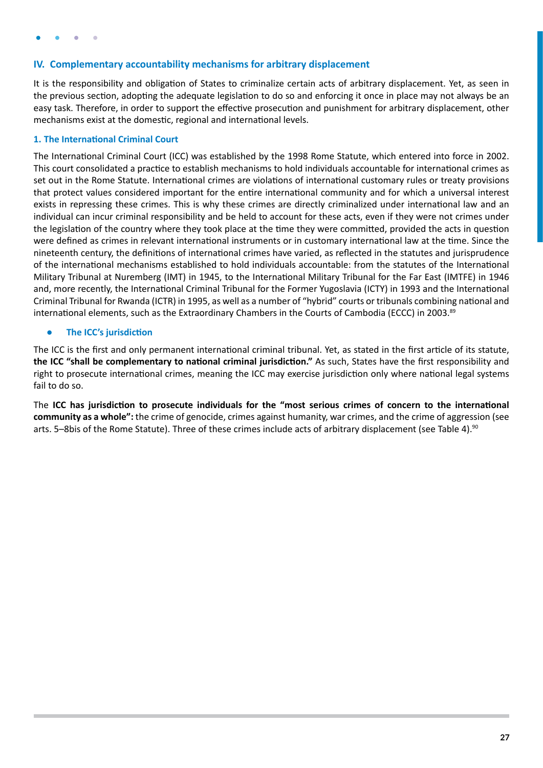### <span id="page-26-0"></span>**IV. Complementary accountability mechanisms for arbitrary displacement**

It is the responsibility and obligation of States to criminalize certain acts of arbitrary displacement. Yet, as seen in the previous section, adopting the adequate legislation to do so and enforcing it once in place may not always be an easy task. Therefore, in order to support the effective prosecution and punishment for arbitrary displacement, other mechanisms exist at the domestic, regional and international levels.

#### **1. The International Criminal Court**

The International Criminal Court (ICC) was established by the 1998 Rome Statute, which entered into force in 2002. This court consolidated a practice to establish mechanisms to hold individuals accountable for international crimes as set out in the Rome Statute. International crimes are violations of international customary rules or treaty provisions that protect values considered important for the entire international community and for which a universal interest exists in repressing these crimes. This is why these crimes are directly criminalized under international law and an individual can incur criminal responsibility and be held to account for these acts, even if they were not crimes under the legislation of the country where they took place at the time they were committed, provided the acts in question were defined as crimes in relevant international instruments or in customary international law at the time. Since the nineteenth century, the definitions of international crimes have varied, as reflected in the statutes and jurisprudence of the international mechanisms established to hold individuals accountable: from the statutes of the International Military Tribunal at Nuremberg (IMT) in 1945, to the International Military Tribunal for the Far East (IMTFE) in 1946 and, more recently, the International Criminal Tribunal for the Former Yugoslavia (ICTY) in 1993 and the International Criminal Tribunal for Rwanda (ICTR) in 1995, as well as a number of "hybrid" courts or tribunals combining national and international elements, such as the Extraordinary Chambers in the Courts of Cambodia (ECCC) in 2003.<sup>89</sup>

#### **● The ICC's jurisdiction**

The ICC is the first and only permanent international criminal tribunal. Yet, as stated in the first article of its statute, **the ICC "shall be complementary to national criminal jurisdiction."** As such, States have the first responsibility and right to prosecute international crimes, meaning the ICC may exercise jurisdiction only where national legal systems fail to do so.

The **ICC has jurisdiction to prosecute individuals for the "most serious crimes of concern to the international community as a whole":** the crime of genocide, crimes against humanity, war crimes, and the crime of aggression (see arts. 5–8bis of the Rome Statute). Three of these crimes include acts of arbitrary displacement (see Table 4).<sup>90</sup>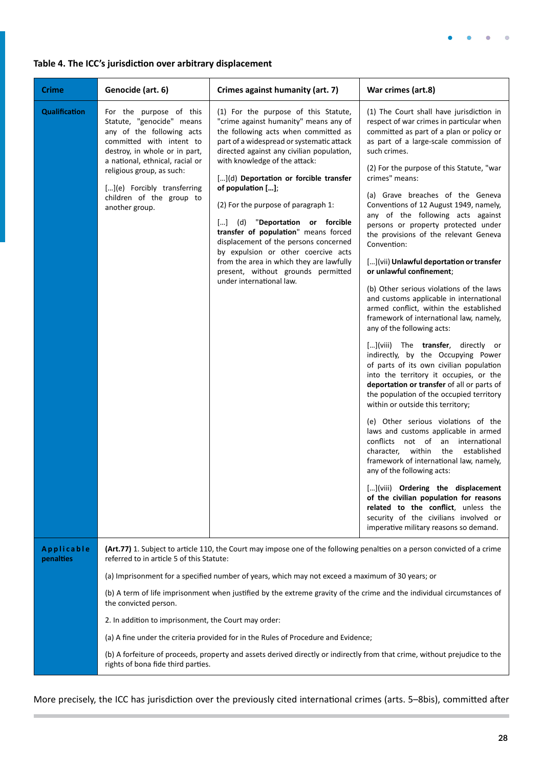

### **Table 4. The ICC's jurisdiction over arbitrary displacement**

| <b>Crime</b>            | Genocide (art. 6)                                                                                                                                                                                                                                                                                              | Crimes against humanity (art. 7)                                                                                                                                                                                                                                                                                                                                                                                                                                                                                                                                                                                                | War crimes (art.8)                                                                                                                                                                                                                                                                                                                                                                                                                                                                                                                                                                                                                                                                                                                                                                                                                                                                                                                                                                                                                                                                                                                                                                                                                                                                                                                                                                                                                                                                                                      |  |
|-------------------------|----------------------------------------------------------------------------------------------------------------------------------------------------------------------------------------------------------------------------------------------------------------------------------------------------------------|---------------------------------------------------------------------------------------------------------------------------------------------------------------------------------------------------------------------------------------------------------------------------------------------------------------------------------------------------------------------------------------------------------------------------------------------------------------------------------------------------------------------------------------------------------------------------------------------------------------------------------|-------------------------------------------------------------------------------------------------------------------------------------------------------------------------------------------------------------------------------------------------------------------------------------------------------------------------------------------------------------------------------------------------------------------------------------------------------------------------------------------------------------------------------------------------------------------------------------------------------------------------------------------------------------------------------------------------------------------------------------------------------------------------------------------------------------------------------------------------------------------------------------------------------------------------------------------------------------------------------------------------------------------------------------------------------------------------------------------------------------------------------------------------------------------------------------------------------------------------------------------------------------------------------------------------------------------------------------------------------------------------------------------------------------------------------------------------------------------------------------------------------------------------|--|
| <b>Qualification</b>    | For the purpose of this<br>Statute, "genocide" means<br>any of the following acts<br>committed with intent to<br>destroy, in whole or in part,<br>a national, ethnical, racial or<br>religious group, as such:<br>[](e) Forcibly transferring<br>children of the group to<br>another group.                    | (1) For the purpose of this Statute,<br>"crime against humanity" means any of<br>the following acts when committed as<br>part of a widespread or systematic attack<br>directed against any civilian population,<br>with knowledge of the attack:<br>[](d) Deportation or forcible transfer<br>of population [];<br>(2) For the purpose of paragraph 1:<br>[] (d) "Deportation or forcible<br>transfer of population" means forced<br>displacement of the persons concerned<br>by expulsion or other coercive acts<br>from the area in which they are lawfully<br>present, without grounds permitted<br>under international law. | (1) The Court shall have jurisdiction in<br>respect of war crimes in particular when<br>committed as part of a plan or policy or<br>as part of a large-scale commission of<br>such crimes.<br>(2) For the purpose of this Statute, "war<br>crimes" means:<br>(a) Grave breaches of the Geneva<br>Conventions of 12 August 1949, namely,<br>any of the following acts against<br>persons or property protected under<br>the provisions of the relevant Geneva<br>Convention:<br>[](vii) Unlawful deportation or transfer<br>or unlawful confinement;<br>(b) Other serious violations of the laws<br>and customs applicable in international<br>armed conflict, within the established<br>framework of international law, namely,<br>any of the following acts:<br>[](viii) The <b>transfer</b> , directly or<br>indirectly, by the Occupying Power<br>of parts of its own civilian population<br>into the territory it occupies, or the<br>deportation or transfer of all or parts of<br>the population of the occupied territory<br>within or outside this territory;<br>(e) Other serious violations of the<br>laws and customs applicable in armed<br>conflicts not of an international<br>character, within<br>the<br>established<br>framework of international law, namely,<br>any of the following acts:<br>[](viii) Ordering the displacement<br>of the civilian population for reasons<br>related to the conflict, unless the<br>security of the civilians involved or<br>imperative military reasons so demand. |  |
| Applicable<br>penalties | (Art.77) 1. Subject to article 110, the Court may impose one of the following penalties on a person convicted of a crime<br>referred to in article 5 of this Statute:                                                                                                                                          |                                                                                                                                                                                                                                                                                                                                                                                                                                                                                                                                                                                                                                 |                                                                                                                                                                                                                                                                                                                                                                                                                                                                                                                                                                                                                                                                                                                                                                                                                                                                                                                                                                                                                                                                                                                                                                                                                                                                                                                                                                                                                                                                                                                         |  |
|                         |                                                                                                                                                                                                                                                                                                                | (a) Imprisonment for a specified number of years, which may not exceed a maximum of 30 years; or                                                                                                                                                                                                                                                                                                                                                                                                                                                                                                                                |                                                                                                                                                                                                                                                                                                                                                                                                                                                                                                                                                                                                                                                                                                                                                                                                                                                                                                                                                                                                                                                                                                                                                                                                                                                                                                                                                                                                                                                                                                                         |  |
|                         | the convicted person.                                                                                                                                                                                                                                                                                          | (b) A term of life imprisonment when justified by the extreme gravity of the crime and the individual circumstances of                                                                                                                                                                                                                                                                                                                                                                                                                                                                                                          |                                                                                                                                                                                                                                                                                                                                                                                                                                                                                                                                                                                                                                                                                                                                                                                                                                                                                                                                                                                                                                                                                                                                                                                                                                                                                                                                                                                                                                                                                                                         |  |
|                         | 2. In addition to imprisonment, the Court may order:<br>(a) A fine under the criteria provided for in the Rules of Procedure and Evidence;<br>(b) A forfeiture of proceeds, property and assets derived directly or indirectly from that crime, without prejudice to the<br>rights of bona fide third parties. |                                                                                                                                                                                                                                                                                                                                                                                                                                                                                                                                                                                                                                 |                                                                                                                                                                                                                                                                                                                                                                                                                                                                                                                                                                                                                                                                                                                                                                                                                                                                                                                                                                                                                                                                                                                                                                                                                                                                                                                                                                                                                                                                                                                         |  |
|                         |                                                                                                                                                                                                                                                                                                                |                                                                                                                                                                                                                                                                                                                                                                                                                                                                                                                                                                                                                                 |                                                                                                                                                                                                                                                                                                                                                                                                                                                                                                                                                                                                                                                                                                                                                                                                                                                                                                                                                                                                                                                                                                                                                                                                                                                                                                                                                                                                                                                                                                                         |  |
|                         |                                                                                                                                                                                                                                                                                                                |                                                                                                                                                                                                                                                                                                                                                                                                                                                                                                                                                                                                                                 |                                                                                                                                                                                                                                                                                                                                                                                                                                                                                                                                                                                                                                                                                                                                                                                                                                                                                                                                                                                                                                                                                                                                                                                                                                                                                                                                                                                                                                                                                                                         |  |

More precisely, the ICC has jurisdiction over the previously cited international crimes (arts. 5–8bis), committed after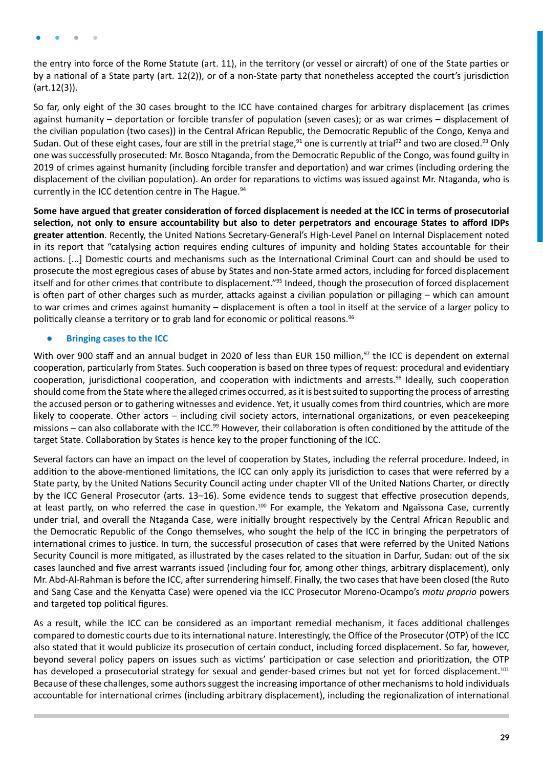<span id="page-28-0"></span>the entry into force of the Rome Statute (art. 11), in the territory (or vessel or aircraft) of one of the State parties or by a national of a State party (art. 12(2)), or of a non-State party that nonetheless accepted the court's jurisdiction (art.12(3)).

So far, only eight of the 30 cases brought to the ICC have contained charges for arbitrary displacement (as crimes against humanity – deportation or forcible transfer of population (seven cases); or as war crimes – displacement of the civilian population (two cases)) in the Central African Republic, the Democratic Republic of the Congo, Kenya and Sudan. Out of these eight cases, four are still in the pretrial stage,<sup>91</sup> one is currently at trial<sup>92</sup> and two are closed.<sup>93</sup> Only one was successfully prosecuted: Mr. Bosco Ntaganda, from the Democratic Republic of the Congo, was found guilty in 2019 of crimes against humanity (including forcible transfer and deportation) and war crimes (including ordering the displacement of the civilian population). An order for reparations to victims was issued against Mr. Ntaganda, who is currently in the ICC detention centre in The Hague.<sup>94</sup>

**Some have argued that greater consideration of forced displacement is needed at the ICC in terms of prosecutorial selection, not only to ensure accountability but also to deter perpetrators and encourage States to afford IDPs greater attention**. Recently, the United Nations Secretary-General's High-Level Panel on Internal Displacement noted in its report that "catalysing action requires ending cultures of impunity and holding States accountable for their actions. [...] Domestic courts and mechanisms such as the International Criminal Court can and should be used to prosecute the most egregious cases of abuse by States and non-State armed actors, including for forced displacement itself and for other crimes that contribute to displacement."95 Indeed, though the prosecution of forced displacement is often part of other charges such as murder, attacks against a civilian population or pillaging – which can amount to war crimes and crimes against humanity – displacement is often a tool in itself at the service of a larger policy to politically cleanse a territory or to grab land for economic or political reasons.96

#### **● Bringing cases to the ICC**

With over 900 staff and an annual budget in 2020 of less than EUR 150 million,<sup>97</sup> the ICC is dependent on external cooperation, particularly from States. Such cooperation is based on three types of request: procedural and evidentiary cooperation, jurisdictional cooperation, and cooperation with indictments and arrests.98 Ideally, such cooperation should come from the State where the alleged crimes occurred, as it is best suited to supporting the process of arresting the accused person or to gathering witnesses and evidence. Yet, it usually comes from third countries, which are more likely to cooperate. Other actors – including civil society actors, international organizations, or even peacekeeping missions – can also collaborate with the ICC.<sup>99</sup> However, their collaboration is often conditioned by the attitude of the target State. Collaboration by States is hence key to the proper functioning of the ICC.

Several factors can have an impact on the level of cooperation by States, including the referral procedure. Indeed, in addition to the above-mentioned limitations, the ICC can only apply its jurisdiction to cases that were referred by a State party, by the United Nations Security Council acting under chapter VII of the United Nations Charter, or directly by the ICC General Prosecutor (arts. 13–16). Some evidence tends to suggest that effective prosecution depends, at least partly, on who referred the case in question.<sup>100</sup> For example, the Yekatom and Ngaïssona Case, currently under trial, and overall the Ntaganda Case, were initially brought respectively by the Central African Republic and the Democratic Republic of the Congo themselves, who sought the help of the ICC in bringing the perpetrators of international crimes to justice. In turn, the successful prosecution of cases that were referred by the United Nations Security Council is more mitigated, as illustrated by the cases related to the situation in Darfur, Sudan: out of the six cases launched and five arrest warrants issued (including four for, among other things, arbitrary displacement), only Mr. Abd-Al-Rahman is before the ICC, after surrendering himself. Finally, the two cases that have been closed (the Ruto and Sang Case and the Kenyatta Case) were opened via the ICC Prosecutor Moreno-Ocampo's *motu proprio* powers and targeted top political figures.

As a result, while the ICC can be considered as an important remedial mechanism, it faces additional challenges compared to domestic courts due to its international nature. Interestingly, the Office of the Prosecutor (OTP) of the ICC also stated that it would publicize its prosecution of certain conduct, including forced displacement. So far, however, beyond several policy papers on issues such as victims' participation or case selection and prioritization, the OTP has developed a prosecutorial strategy for sexual and gender-based crimes but not yet for forced displacement.<sup>101</sup> Because of these challenges, some authors suggest the increasing importance of other mechanisms to hold individuals accountable for international crimes (including arbitrary displacement), including the regionalization of international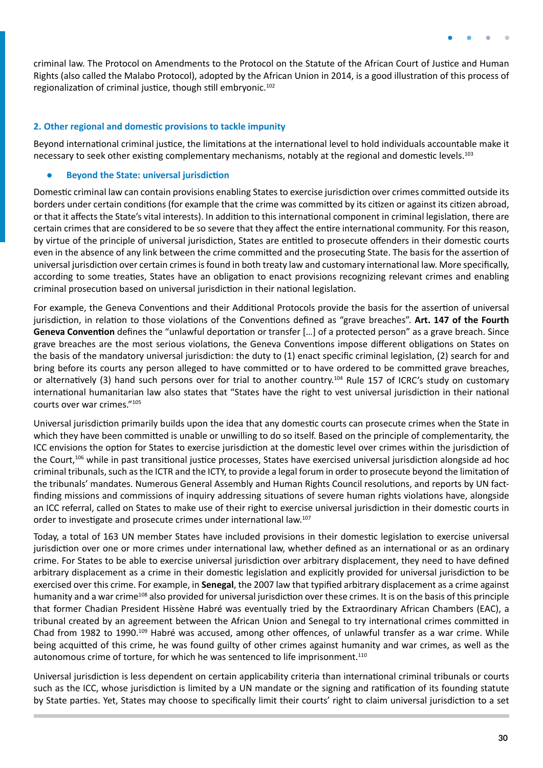<span id="page-29-0"></span>criminal law. The Protocol on Amendments to the Protocol on the Statute of the African Court of Justice and Human Rights (also called the Malabo Protocol), adopted by the African Union in 2014, is a good illustration of this process of regionalization of criminal justice, though still embryonic.102

#### **2. Other regional and domestic provisions to tackle impunity**

Beyond international criminal justice, the limitations at the international level to hold individuals accountable make it necessary to seek other existing complementary mechanisms, notably at the regional and domestic levels.<sup>103</sup>

#### **● Beyond the State: universal jurisdiction**

Domestic criminal law can contain provisions enabling States to exercise jurisdiction over crimes committed outside its borders under certain conditions (for example that the crime was committed by its citizen or against its citizen abroad, or that it affects the State's vital interests). In addition to this international component in criminal legislation, there are certain crimes that are considered to be so severe that they affect the entire international community. For this reason, by virtue of the principle of universal jurisdiction, States are entitled to prosecute offenders in their domestic courts even in the absence of any link between the crime committed and the prosecuting State. The basis for the assertion of universal jurisdiction over certain crimes is found in both treaty law and customary international law. More specifically, according to some treaties, States have an obligation to enact provisions recognizing relevant crimes and enabling criminal prosecution based on universal jurisdiction in their national legislation.

For example, the Geneva Conventions and their Additional Protocols provide the basis for the assertion of universal jurisdiction, in relation to those violations of the Conventions defined as "grave breaches". **Art. 147 of the Fourth Geneva Convention** defines the "unlawful deportation or transfer […] of a protected person" as a grave breach. Since grave breaches are the most serious violations, the Geneva Conventions impose different obligations on States on the basis of the mandatory universal jurisdiction: the duty to (1) enact specific criminal legislation, (2) search for and bring before its courts any person alleged to have committed or to have ordered to be committed grave breaches, or alternatively (3) hand such persons over for trial to another country.<sup>104</sup> Rule 157 of ICRC's study on customary international humanitarian law also states that "States have the right to vest universal jurisdiction in their national courts over war crimes."105

Universal jurisdiction primarily builds upon the idea that any domestic courts can prosecute crimes when the State in which they have been committed is unable or unwilling to do so itself. Based on the principle of complementarity, the ICC envisions the option for States to exercise jurisdiction at the domestic level over crimes within the jurisdiction of the Court,106 while in past transitional justice processes, States have exercised universal jurisdiction alongside ad hoc criminal tribunals, such as the ICTR and the ICTY, to provide a legal forum in order to prosecute beyond the limitation of the tribunals' mandates. Numerous General Assembly and Human Rights Council resolutions, and reports by UN factfinding missions and commissions of inquiry addressing situations of severe human rights violations have, alongside an ICC referral, called on States to make use of their right to exercise universal jurisdiction in their domestic courts in order to investigate and prosecute crimes under international law.107

Today, a total of 163 UN member States have included provisions in their domestic legislation to exercise universal jurisdiction over one or more crimes under international law, whether defined as an international or as an ordinary crime. For States to be able to exercise universal jurisdiction over arbitrary displacement, they need to have defined arbitrary displacement as a crime in their domestic legislation and explicitly provided for universal jurisdiction to be exercised over this crime. For example, in **Senegal**, the 2007 law that typified arbitrary displacement as a crime against humanity and a war crime<sup>108</sup> also provided for universal jurisdiction over these crimes. It is on the basis of this principle that former Chadian President Hissène Habré was eventually tried by the Extraordinary African Chambers (EAC), a tribunal created by an agreement between the African Union and Senegal to try international crimes committed in Chad from 1982 to 1990.<sup>109</sup> Habré was accused, among other offences, of unlawful transfer as a war crime. While being acquitted of this crime, he was found guilty of other crimes against humanity and war crimes, as well as the autonomous crime of torture, for which he was sentenced to life imprisonment.<sup>110</sup>

Universal jurisdiction is less dependent on certain applicability criteria than international criminal tribunals or courts such as the ICC, whose jurisdiction is limited by a UN mandate or the signing and ratification of its founding statute by State parties. Yet, States may choose to specifically limit their courts' right to claim universal jurisdiction to a set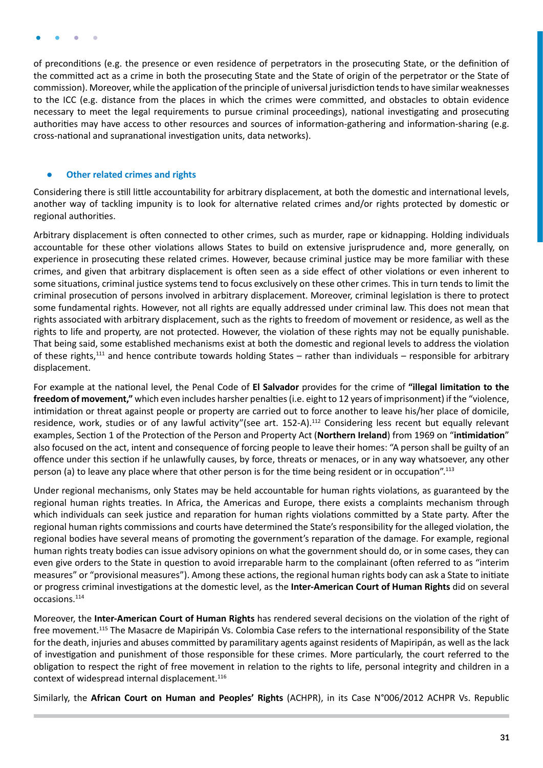<span id="page-30-0"></span>of preconditions (e.g. the presence or even residence of perpetrators in the prosecuting State, or the definition of the committed act as a crime in both the prosecuting State and the State of origin of the perpetrator or the State of commission). Moreover, while the application of the principle of universal jurisdiction tends to have similar weaknesses to the ICC (e.g. distance from the places in which the crimes were committed, and obstacles to obtain evidence necessary to meet the legal requirements to pursue criminal proceedings), national investigating and prosecuting authorities may have access to other resources and sources of information-gathering and information-sharing (e.g. cross-national and supranational investigation units, data networks).

#### **● Other related crimes and rights**

Considering there is still little accountability for arbitrary displacement, at both the domestic and international levels, another way of tackling impunity is to look for alternative related crimes and/or rights protected by domestic or regional authorities.

Arbitrary displacement is often connected to other crimes, such as murder, rape or kidnapping. Holding individuals accountable for these other violations allows States to build on extensive jurisprudence and, more generally, on experience in prosecuting these related crimes. However, because criminal justice may be more familiar with these crimes, and given that arbitrary displacement is often seen as a side effect of other violations or even inherent to some situations, criminal justice systems tend to focus exclusively on these other crimes. This in turn tends to limit the criminal prosecution of persons involved in arbitrary displacement. Moreover, criminal legislation is there to protect some fundamental rights. However, not all rights are equally addressed under criminal law. This does not mean that rights associated with arbitrary displacement, such as the rights to freedom of movement or residence, as well as the rights to life and property, are not protected. However, the violation of these rights may not be equally punishable. That being said, some established mechanisms exist at both the domestic and regional levels to address the violation of these rights,111 and hence contribute towards holding States – rather than individuals – responsible for arbitrary displacement.

For example at the national level, the Penal Code of **El Salvador** provides for the crime of **"illegal limitation to the freedom of movement,"** which even includes harsher penalties (i.e. eight to 12 years of imprisonment) if the "violence, intimidation or threat against people or property are carried out to force another to leave his/her place of domicile, residence, work, studies or of any lawful activity"(see art. 152-A).<sup>112</sup> Considering less recent but equally relevant examples, Section 1 of the Protection of the Person and Property Act (**Northern Ireland**) from 1969 on "**intimidation**" also focused on the act, intent and consequence of forcing people to leave their homes: "A person shall be guilty of an offence under this section if he unlawfully causes, by force, threats or menaces, or in any way whatsoever, any other person (a) to leave any place where that other person is for the time being resident or in occupation".113

Under regional mechanisms, only States may be held accountable for human rights violations, as guaranteed by the regional human rights treaties. In Africa, the Americas and Europe, there exists a complaints mechanism through which individuals can seek justice and reparation for human rights violations committed by a State party. After the regional human rights commissions and courts have determined the State's responsibility for the alleged violation, the regional bodies have several means of promoting the government's reparation of the damage. For example, regional human rights treaty bodies can issue advisory opinions on what the government should do, or in some cases, they can even give orders to the State in question to avoid irreparable harm to the complainant (often referred to as "interim measures" or "provisional measures"). Among these actions, the regional human rights body can ask a State to initiate or progress criminal investigations at the domestic level, as the **Inter-American Court of Human Rights** did on several occasions.114

Moreover, the **Inter-American Court of Human Rights** has rendered several decisions on the violation of the right of free movement.115 The Masacre de Mapiripán Vs. Colombia Case refers to the international responsibility of the State for the death, injuries and abuses committed by paramilitary agents against residents of Mapiripán, as well as the lack of investigation and punishment of those responsible for these crimes. More particularly, the court referred to the obligation to respect the right of free movement in relation to the rights to life, personal integrity and children in a context of widespread internal displacement.<sup>116</sup>

Similarly, the **African Court on Human and Peoples' Rights** (ACHPR), in its Case N°006/2012 ACHPR Vs. Republic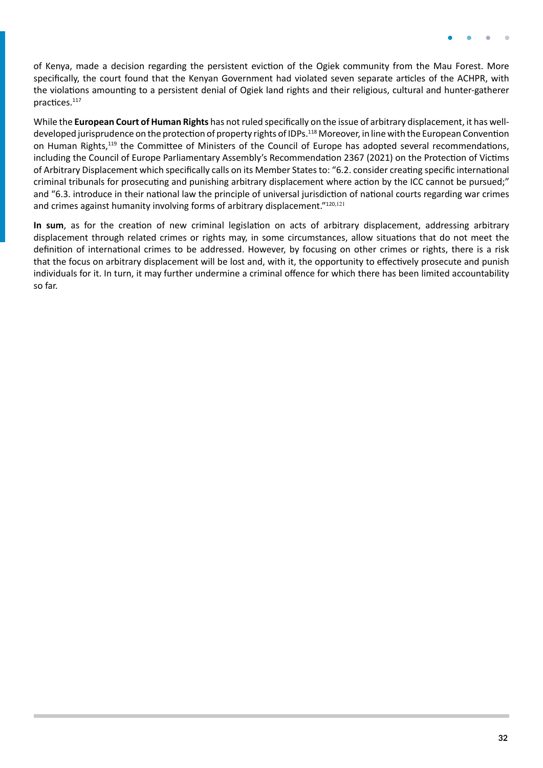of Kenya, made a decision regarding the persistent eviction of the Ogiek community from the Mau Forest. More specifically, the court found that the Kenyan Government had violated seven separate articles of the ACHPR, with the violations amounting to a persistent denial of Ogiek land rights and their religious, cultural and hunter-gatherer practices.117

While the **European Court of Human Rights** has not ruled specifically on the issue of arbitrary displacement, it has welldeveloped jurisprudence on the protection of property rights of IDPs.<sup>118</sup> Moreover, in line with the European Convention on Human Rights,119 the Committee of Ministers of the Council of Europe has adopted several recommendations, including the Council of Europe Parliamentary Assembly's Recommendation 2367 (2021) on the Protection of Victims of Arbitrary Displacement which specifically calls on its Member States to: "6.2. consider creating specific international criminal tribunals for prosecuting and punishing arbitrary displacement where action by the ICC cannot be pursued;" and "6.3. introduce in their national law the principle of universal jurisdiction of national courts regarding war crimes and crimes against humanity involving forms of arbitrary displacement."120,121

**In sum**, as for the creation of new criminal legislation on acts of arbitrary displacement, addressing arbitrary displacement through related crimes or rights may, in some circumstances, allow situations that do not meet the definition of international crimes to be addressed. However, by focusing on other crimes or rights, there is a risk that the focus on arbitrary displacement will be lost and, with it, the opportunity to effectively prosecute and punish individuals for it. In turn, it may further undermine a criminal offence for which there has been limited accountability so far.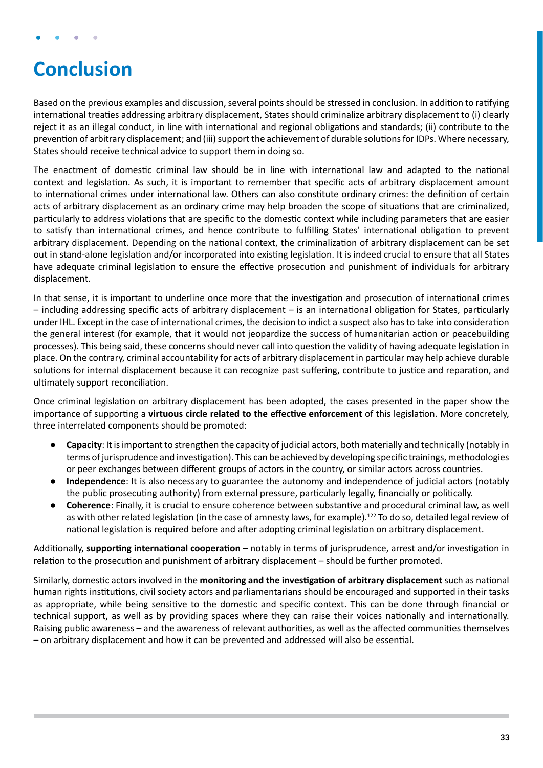## <span id="page-32-0"></span>**Conclusion**

Based on the previous examples and discussion, several points should be stressed in conclusion. In addition to ratifying international treaties addressing arbitrary displacement, States should criminalize arbitrary displacement to (i) clearly reject it as an illegal conduct, in line with international and regional obligations and standards; (ii) contribute to the prevention of arbitrary displacement; and (iii) support the achievement of durable solutions for IDPs. Where necessary, States should receive technical advice to support them in doing so.

The enactment of domestic criminal law should be in line with international law and adapted to the national context and legislation. As such, it is important to remember that specific acts of arbitrary displacement amount to international crimes under international law. Others can also constitute ordinary crimes: the definition of certain acts of arbitrary displacement as an ordinary crime may help broaden the scope of situations that are criminalized, particularly to address violations that are specific to the domestic context while including parameters that are easier to satisfy than international crimes, and hence contribute to fulfilling States' international obligation to prevent arbitrary displacement. Depending on the national context, the criminalization of arbitrary displacement can be set out in stand-alone legislation and/or incorporated into existing legislation. It is indeed crucial to ensure that all States have adequate criminal legislation to ensure the effective prosecution and punishment of individuals for arbitrary displacement.

In that sense, it is important to underline once more that the investigation and prosecution of international crimes – including addressing specific acts of arbitrary displacement – is an international obligation for States, particularly under IHL. Except in the case of international crimes, the decision to indict a suspect also has to take into consideration the general interest (for example, that it would not jeopardize the success of humanitarian action or peacebuilding processes). This being said, these concerns should never call into question the validity of having adequate legislation in place. On the contrary, criminal accountability for acts of arbitrary displacement in particular may help achieve durable solutions for internal displacement because it can recognize past suffering, contribute to justice and reparation, and ultimately support reconciliation.

Once criminal legislation on arbitrary displacement has been adopted, the cases presented in the paper show the importance of supporting a **virtuous circle related to the effective enforcement** of this legislation. More concretely, three interrelated components should be promoted:

- **● Capacity**: It is important to strengthen the capacity of judicial actors, both materially and technically (notably in terms of jurisprudence and investigation). This can be achieved by developing specific trainings, methodologies or peer exchanges between different groups of actors in the country, or similar actors across countries.
- **Independence**: It is also necessary to guarantee the autonomy and independence of judicial actors (notably the public prosecuting authority) from external pressure, particularly legally, financially or politically.
- **● Coherence**: Finally, it is crucial to ensure coherence between substantive and procedural criminal law, as well as with other related legislation (in the case of amnesty laws, for example).<sup>122</sup> To do so, detailed legal review of national legislation is required before and after adopting criminal legislation on arbitrary displacement.

Additionally, **supporting international cooperation** – notably in terms of jurisprudence, arrest and/or investigation in relation to the prosecution and punishment of arbitrary displacement – should be further promoted.

Similarly, domestic actors involved in the **monitoring and the investigation of arbitrary displacement** such as national human rights institutions, civil society actors and parliamentarians should be encouraged and supported in their tasks as appropriate, while being sensitive to the domestic and specific context. This can be done through financial or technical support, as well as by providing spaces where they can raise their voices nationally and internationally. Raising public awareness – and the awareness of relevant authorities, as well as the affected communities themselves – on arbitrary displacement and how it can be prevented and addressed will also be essential.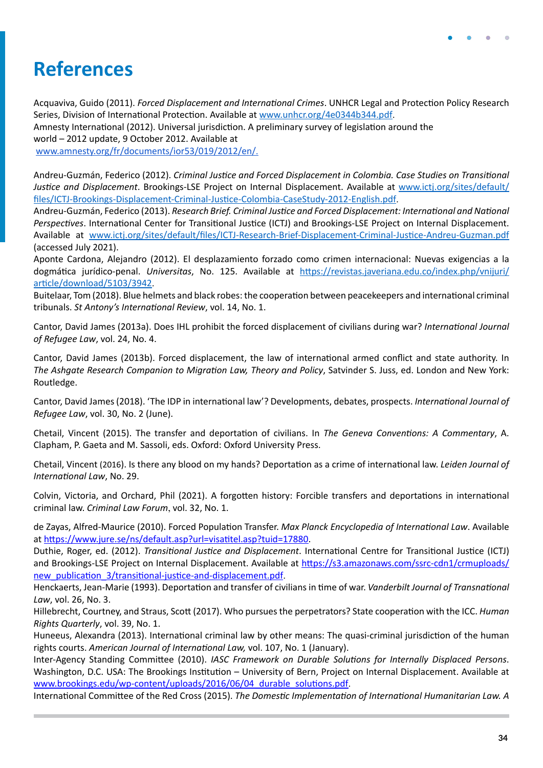## <span id="page-33-0"></span>**References**

Acquaviva, Guido (2011). *Forced Displacement and International Crimes*. UNHCR Legal and Protection Policy Research Series, Division of International Protection. Available at [www.unhcr.org/4e0344b344.pdf](https://www.unhcr.org/4e0344b344.pdf). Amnesty International (2012). Universal jurisdiction. A preliminary survey of legislation around the world – 2012 update, 9 October 2012. Available at [www.amnesty.org/fr/documents/ior53/019/2012/en/](https://www.amnesty.org/fr/documents/ior53/019/2012/en/).

Andreu-Guzmán, Federico (2012). *Criminal Justice and Forced Displacement in Colombia. Case Studies on Transitional Justice and Displacement*. Brookings-LSE Project on Internal Displacement. Available at [www.ictj.org/sites/default/](http://www.ictj.org/sites/default/files/ICTJ-Brookings-Displacement-Criminal-Justice-Colombia-CaseStudy-2012-English.pdf) [files/ICTJ-Brookings-Displacement-Criminal-Justice-Colombia-CaseStudy-2012-English.pdf](http://www.ictj.org/sites/default/files/ICTJ-Brookings-Displacement-Criminal-Justice-Colombia-CaseStudy-2012-English.pdf).

Andreu-Guzmán, Federico (2013). *Research Brief. Criminal Justice and Forced Displacement: International and National Perspectives*. International Center for Transitional Justice (ICTJ) and Brookings-LSE Project on Internal Displacement. Available at [www.ictj.org/sites/default/files/ICTJ-Research-Brief-Displacement-Criminal-Justice-Andreu-Guzman.pdf](https://www.ictj.org/sites/default/files/ICTJ-Research-Brief-Displacement-Criminal-Justice-Andreu-Guzman.pdf) (accessed July 2021).

Aponte Cardona, Alejandro (2012). El desplazamiento forzado como crimen internacional: Nuevas exigencias a la dogmática jurídico-penal. *Universitas*, No. 125. Available at [https://revistas.javeriana.edu.co/index.php/vnijuri/](https://revistas.javeriana.edu.co/index.php/vnijuri/article/download/5103/3942) [article/download/5103/3942](https://revistas.javeriana.edu.co/index.php/vnijuri/article/download/5103/3942).

Buitelaar, Tom (2018). Blue helmets and black robes: the cooperation between peacekeepers and international criminal tribunals. *St Antony's International Review*, vol. 14, No. 1.

Cantor, David James (2013a). Does IHL prohibit the forced displacement of civilians during war? *International Journal of Refugee Law*, vol. 24, No. 4.

Cantor, David James (2013b). Forced displacement, the law of international armed conflict and state authority. In *The Ashgate Research Companion to Migration Law, Theory and Policy*, Satvinder S. Juss, ed. London and New York: Routledge.

Cantor, David James (2018). 'The IDP in international law'? Developments, debates, prospects. *International Journal of Refugee Law*, vol. 30, No. 2 (June).

Chetail, Vincent (2015). The transfer and deportation of civilians. In *The Geneva Conventions: A Commentary*, A. Clapham, P. Gaeta and M. Sassoli, eds. Oxford: Oxford University Press.

Chetail, Vincent (2016). Is there any blood on my hands? Deportation as a crime of international law. *Leiden Journal of International Law*, No. 29.

Colvin, Victoria, and Orchard, Phil (2021). A forgotten history: Forcible transfers and deportations in international criminal law. *Criminal Law Forum*, vol. 32, No. 1.

de Zayas, Alfred-Maurice (2010). Forced Population Transfer. *Max Planck Encyclopedia of International Law*. Available at<https://www.jure.se/ns/default.asp?url=visatitel.asp?tuid=17880>.

Duthie, Roger, ed. (2012). *Transitional Justice and Displacement*. International Centre for Transitional Justice (ICTJ) and Brookings-LSE Project on Internal Displacement. Available at [https://s3.amazonaws.com/ssrc-cdn1/crmuploads/](https://s3.amazonaws.com/ssrc-cdn1/crmuploads/new_publication_3/transitional-justice-and-displacement.pdf) new publication 3/transitional-justice-and-displacement.pdf.

Henckaerts, Jean-Marie (1993). Deportation and transfer of civilians in time of war. *Vanderbilt Journal of Transnational Law*, vol. 26, No. 3.

Hillebrecht, Courtney, and Straus, Scott (2017). Who pursues the perpetrators? State cooperation with the ICC. *Human Rights Quarterly*, vol. 39, No. 1.

Huneeus, Alexandra (2013). International criminal law by other means: The quasi-criminal jurisdiction of the human rights courts. *American Journal of International Law,* vol. 107, No. 1 (January).

Inter-Agency Standing Committee (2010). *IASC Framework on Durable Solutions for Internally Displaced Persons*. Washington, D.C. USA: The Brookings Institution – University of Bern, Project on Internal Displacement. Available at [www.brookings.edu/wp-content/uploads/2016/06/04\\_durable\\_solutions.pdf](https://www.brookings.edu/wp-content/uploads/2016/06/04_durable_solutions.pdf).

International Committee of the Red Cross (2015). *The Domestic Implementation of International Humanitarian Law. A*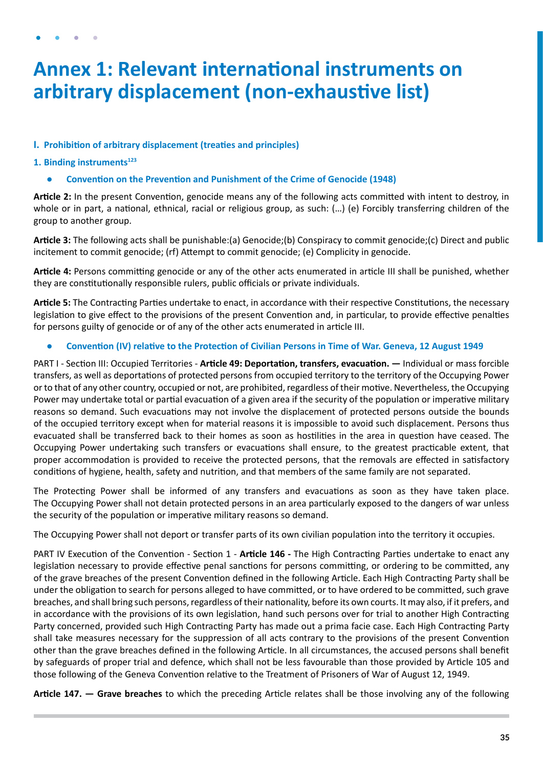## <span id="page-34-0"></span>**Annex 1: Relevant international instruments on arbitrary displacement (non-exhaustive list)**

### **I. Prohibition of arbitrary displacement (treaties and principles)**

### **1.** Binding instruments<sup>123</sup>

**● Convention on the Prevention and Punishment of the Crime of Genocide (1948)**

**Article 2:** In the present Convention, genocide means any of the following acts committed with intent to destroy, in whole or in part, a national, ethnical, racial or religious group, as such: (…) (e) Forcibly transferring children of the group to another group.

**Article 3:** The following acts shall be punishable:(a) Genocide;(b) Conspiracy to commit genocide;(c) Direct and public incitement to commit genocide; (rf) Attempt to commit genocide; (e) Complicity in genocide.

**Article 4:** Persons committing genocide or any of the other acts enumerated in article III shall be punished, whether they are constitutionally responsible rulers, public officials or private individuals.

**Article 5:** The Contracting Parties undertake to enact, in accordance with their respective Constitutions, the necessary legislation to give effect to the provisions of the present Convention and, in particular, to provide effective penalties for persons guilty of genocide or of any of the other acts enumerated in article III.

**● Convention (IV) relative to the Protection of Civilian Persons in Time of War. Geneva, 12 August 1949**

PART I - Section III: Occupied Territories - **Article 49: Deportation, transfers, evacuation. —** Individual or mass forcible transfers, as well as deportations of protected persons from occupied territory to the territory of the Occupying Power or to that of any other country, occupied or not, are prohibited, regardless of their motive. Nevertheless, the Occupying Power may undertake total or partial evacuation of a given area if the security of the population or imperative military reasons so demand. Such evacuations may not involve the displacement of protected persons outside the bounds of the occupied territory except when for material reasons it is impossible to avoid such displacement. Persons thus evacuated shall be transferred back to their homes as soon as hostilities in the area in question have ceased. The Occupying Power undertaking such transfers or evacuations shall ensure, to the greatest practicable extent, that proper accommodation is provided to receive the protected persons, that the removals are effected in satisfactory conditions of hygiene, health, safety and nutrition, and that members of the same family are not separated.

The Protecting Power shall be informed of any transfers and evacuations as soon as they have taken place. The Occupying Power shall not detain protected persons in an area particularly exposed to the dangers of war unless the security of the population or imperative military reasons so demand.

The Occupying Power shall not deport or transfer parts of its own civilian population into the territory it occupies.

PART IV Execution of the Convention - Section 1 - **Article 146 -** The High Contracting Parties undertake to enact any legislation necessary to provide effective penal sanctions for persons committing, or ordering to be committed, any of the grave breaches of the present Convention defined in the following Article. Each High Contracting Party shall be under the obligation to search for persons alleged to have committed, or to have ordered to be committed, such grave breaches, and shall bring such persons, regardless of their nationality, before its own courts. It may also, if it prefers, and in accordance with the provisions of its own legislation, hand such persons over for trial to another High Contracting Party concerned, provided such High Contracting Party has made out a prima facie case. Each High Contracting Party shall take measures necessary for the suppression of all acts contrary to the provisions of the present Convention other than the grave breaches defined in the following Article. In all circumstances, the accused persons shall benefit by safeguards of proper trial and defence, which shall not be less favourable than those provided by Article 105 and those following of the Geneva Convention relative to the Treatment of Prisoners of War of August 12, 1949.

**Article 147. — Grave breaches** to which the preceding Article relates shall be those involving any of the following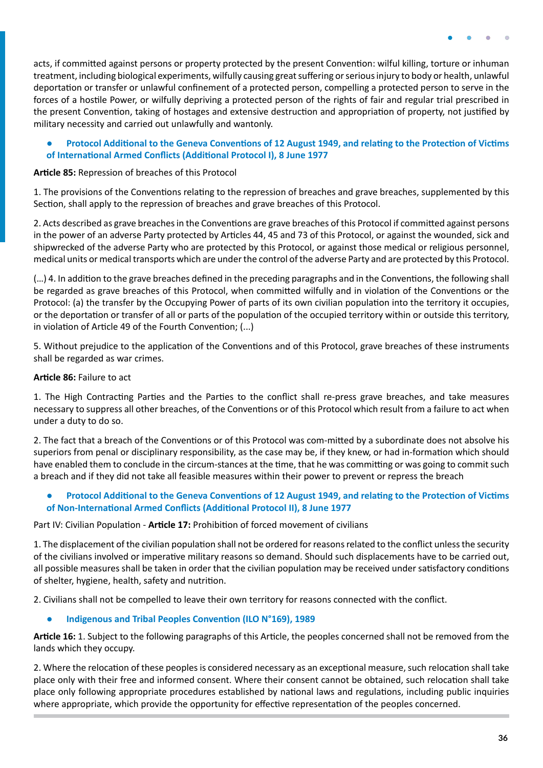<span id="page-35-0"></span>acts, if committed against persons or property protected by the present Convention: wilful killing, torture or inhuman treatment, including biological experiments, wilfully causing great suffering or serious injury to body or health, unlawful deportation or transfer or unlawful confinement of a protected person, compelling a protected person to serve in the forces of a hostile Power, or wilfully depriving a protected person of the rights of fair and regular trial prescribed in the present Convention, taking of hostages and extensive destruction and appropriation of property, not justified by military necessity and carried out unlawfully and wantonly.

#### **● Protocol Additional to the Geneva Conventions of 12 August 1949, and relating to the Protection of Victims of International Armed Conflicts (Additional Protocol I), 8 June 1977**

#### **Article 85:** Repression of breaches of this Protocol

1. The provisions of the Conventions relating to the repression of breaches and grave breaches, supplemented by this Section, shall apply to the repression of breaches and grave breaches of this Protocol.

2. Acts described as grave breaches in the Conventions are grave breaches of this Protocol if committed against persons in the power of an adverse Party protected by Articles 44, 45 and 73 of this Protocol, or against the wounded, sick and shipwrecked of the adverse Party who are protected by this Protocol, or against those medical or religious personnel, medical units or medical transports which are under the control of the adverse Party and are protected by this Protocol.

(…) 4. In addition to the grave breaches defined in the preceding paragraphs and in the Conventions, the following shall be regarded as grave breaches of this Protocol, when committed wilfully and in violation of the Conventions or the Protocol: (a) the transfer by the Occupying Power of parts of its own civilian population into the territory it occupies, or the deportation or transfer of all or parts of the population of the occupied territory within or outside this territory, in violation of Article 49 of the Fourth Convention; (...)

5. Without prejudice to the application of the Conventions and of this Protocol, grave breaches of these instruments shall be regarded as war crimes.

#### **Article 86:** Failure to act

1. The High Contracting Parties and the Parties to the conflict shall re-press grave breaches, and take measures necessary to suppress all other breaches, of the Conventions or of this Protocol which result from a failure to act when under a duty to do so.

2. The fact that a breach of the Conventions or of this Protocol was com-mitted by a subordinate does not absolve his superiors from penal or disciplinary responsibility, as the case may be, if they knew, or had in-formation which should have enabled them to conclude in the circum-stances at the time, that he was committing or was going to commit such a breach and if they did not take all feasible measures within their power to prevent or repress the breach

#### **● Protocol Additional to the Geneva Conventions of 12 August 1949, and relating to the Protection of Victims of Non-International Armed Conflicts (Additional Protocol II), 8 June 1977**

Part IV: Civilian Population - **Article 17:** Prohibition of forced movement of civilians

1. The displacement of the civilian population shall not be ordered for reasons related to the conflict unless the security of the civilians involved or imperative military reasons so demand. Should such displacements have to be carried out, all possible measures shall be taken in order that the civilian population may be received under satisfactory conditions of shelter, hygiene, health, safety and nutrition.

2. Civilians shall not be compelled to leave their own territory for reasons connected with the conflict.

#### **● Indigenous and Tribal Peoples Convention (ILO N°169), 1989**

**Article 16:** 1. Subject to the following paragraphs of this Article, the peoples concerned shall not be removed from the lands which they occupy.

2. Where the relocation of these peoples is considered necessary as an exceptional measure, such relocation shall take place only with their free and informed consent. Where their consent cannot be obtained, such relocation shall take place only following appropriate procedures established by national laws and regulations, including public inquiries where appropriate, which provide the opportunity for effective representation of the peoples concerned.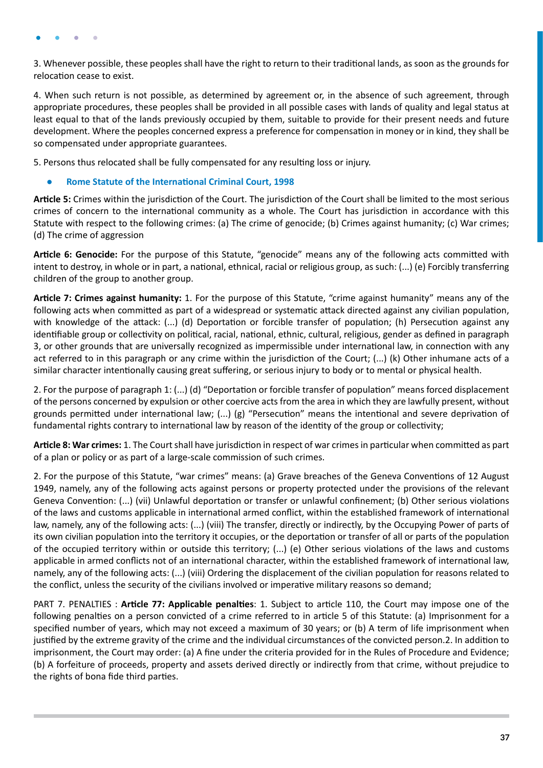<span id="page-36-0"></span>3. Whenever possible, these peoples shall have the right to return to their traditional lands, as soon as the grounds for relocation cease to exist.

4. When such return is not possible, as determined by agreement or, in the absence of such agreement, through appropriate procedures, these peoples shall be provided in all possible cases with lands of quality and legal status at least equal to that of the lands previously occupied by them, suitable to provide for their present needs and future development. Where the peoples concerned express a preference for compensation in money or in kind, they shall be so compensated under appropriate guarantees.

5. Persons thus relocated shall be fully compensated for any resulting loss or injury.

#### **● Rome Statute of the International Criminal Court, 1998**

**Article 5:** Crimes within the jurisdiction of the Court. The jurisdiction of the Court shall be limited to the most serious crimes of concern to the international community as a whole. The Court has jurisdiction in accordance with this Statute with respect to the following crimes: (a) The crime of genocide; (b) Crimes against humanity; (c) War crimes; (d) The crime of aggression

**Article 6: Genocide:** For the purpose of this Statute, "genocide" means any of the following acts committed with intent to destroy, in whole or in part, a national, ethnical, racial or religious group, as such: (...) (e) Forcibly transferring children of the group to another group.

**Article 7: Crimes against humanity:** 1. For the purpose of this Statute, "crime against humanity" means any of the following acts when committed as part of a widespread or systematic attack directed against any civilian population, with knowledge of the attack: (...) (d) Deportation or forcible transfer of population; (h) Persecution against any identifiable group or collectivity on political, racial, national, ethnic, cultural, religious, gender as defined in paragraph 3, or other grounds that are universally recognized as impermissible under international law, in connection with any act referred to in this paragraph or any crime within the jurisdiction of the Court; (...) (k) Other inhumane acts of a similar character intentionally causing great suffering, or serious injury to body or to mental or physical health.

2. For the purpose of paragraph 1: (...) (d) "Deportation or forcible transfer of population" means forced displacement of the persons concerned by expulsion or other coercive acts from the area in which they are lawfully present, without grounds permitted under international law; (...) (g) "Persecution" means the intentional and severe deprivation of fundamental rights contrary to international law by reason of the identity of the group or collectivity;

**Article 8: War crimes:** 1. The Court shall have jurisdiction in respect of war crimes in particular when committed as part of a plan or policy or as part of a large-scale commission of such crimes.

2. For the purpose of this Statute, "war crimes" means: (a) Grave breaches of the Geneva Conventions of 12 August 1949, namely, any of the following acts against persons or property protected under the provisions of the relevant Geneva Convention: (...) (vii) Unlawful deportation or transfer or unlawful confinement; (b) Other serious violations of the laws and customs applicable in international armed conflict, within the established framework of international law, namely, any of the following acts: (...) (viii) The transfer, directly or indirectly, by the Occupying Power of parts of its own civilian population into the territory it occupies, or the deportation or transfer of all or parts of the population of the occupied territory within or outside this territory; (...) (e) Other serious violations of the laws and customs applicable in armed conflicts not of an international character, within the established framework of international law, namely, any of the following acts: (...) (viii) Ordering the displacement of the civilian population for reasons related to the conflict, unless the security of the civilians involved or imperative military reasons so demand;

PART 7. PENALTIES : **Article 77: Applicable penalties**: 1. Subject to article 110, the Court may impose one of the following penalties on a person convicted of a crime referred to in article 5 of this Statute: (a) Imprisonment for a specified number of years, which may not exceed a maximum of 30 years; or (b) A term of life imprisonment when justified by the extreme gravity of the crime and the individual circumstances of the convicted person.2. In addition to imprisonment, the Court may order: (a) A fine under the criteria provided for in the Rules of Procedure and Evidence; (b) A forfeiture of proceeds, property and assets derived directly or indirectly from that crime, without prejudice to the rights of bona fide third parties.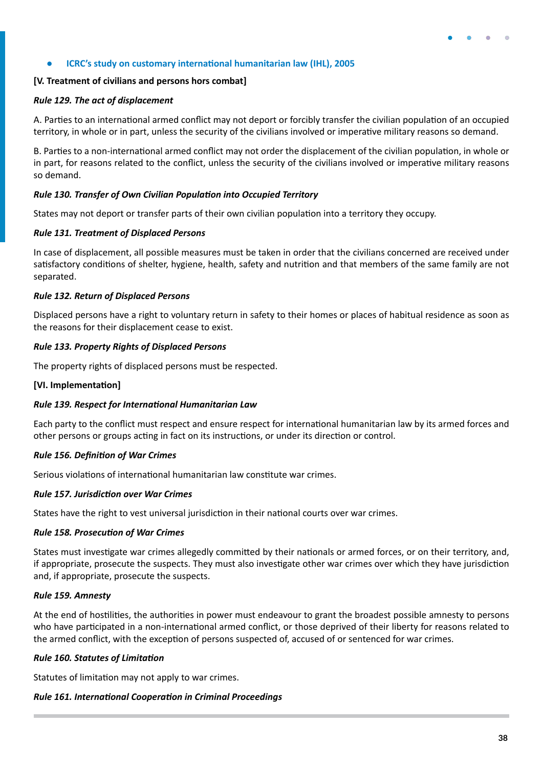#### <span id="page-37-0"></span>**● ICRC's study on customary international humanitarian law (IHL), 2005**

#### **[V. Treatment of civilians and persons hors combat]**

#### *Rule 129. The act of displacement*

A. Parties to an international armed conflict may not deport or forcibly transfer the civilian population of an occupied territory, in whole or in part, unless the security of the civilians involved or imperative military reasons so demand.

B. Parties to a non-international armed conflict may not order the displacement of the civilian population, in whole or in part, for reasons related to the conflict, unless the security of the civilians involved or imperative military reasons so demand.

#### *Rule 130. Transfer of Own Civilian Population into Occupied Territory*

States may not deport or transfer parts of their own civilian population into a territory they occupy.

#### *Rule 131. Treatment of Displaced Persons*

In case of displacement, all possible measures must be taken in order that the civilians concerned are received under satisfactory conditions of shelter, hygiene, health, safety and nutrition and that members of the same family are not separated.

#### *Rule 132. Return of Displaced Persons*

Displaced persons have a right to voluntary return in safety to their homes or places of habitual residence as soon as the reasons for their displacement cease to exist.

#### *Rule 133. Property Rights of Displaced Persons*

The property rights of displaced persons must be respected.

#### **[VI. Implementation]**

#### *Rule 139. Respect for International Humanitarian Law*

Each party to the conflict must respect and ensure respect for international humanitarian law by its armed forces and other persons or groups acting in fact on its instructions, or under its direction or control.

#### *Rule 156. Definition of War Crimes*

Serious violations of international humanitarian law constitute war crimes.

#### *Rule 157. Jurisdiction over War Crimes*

States have the right to vest universal jurisdiction in their national courts over war crimes.

#### *Rule 158. Prosecution of War Crimes*

States must investigate war crimes allegedly committed by their nationals or armed forces, or on their territory, and, if appropriate, prosecute the suspects. They must also investigate other war crimes over which they have jurisdiction and, if appropriate, prosecute the suspects.

#### *Rule 159. Amnesty*

At the end of hostilities, the authorities in power must endeavour to grant the broadest possible amnesty to persons who have participated in a non-international armed conflict, or those deprived of their liberty for reasons related to the armed conflict, with the exception of persons suspected of, accused of or sentenced for war crimes.

#### *Rule 160. Statutes of Limitation*

Statutes of limitation may not apply to war crimes.

#### *Rule 161. International Cooperation in Criminal Proceedings*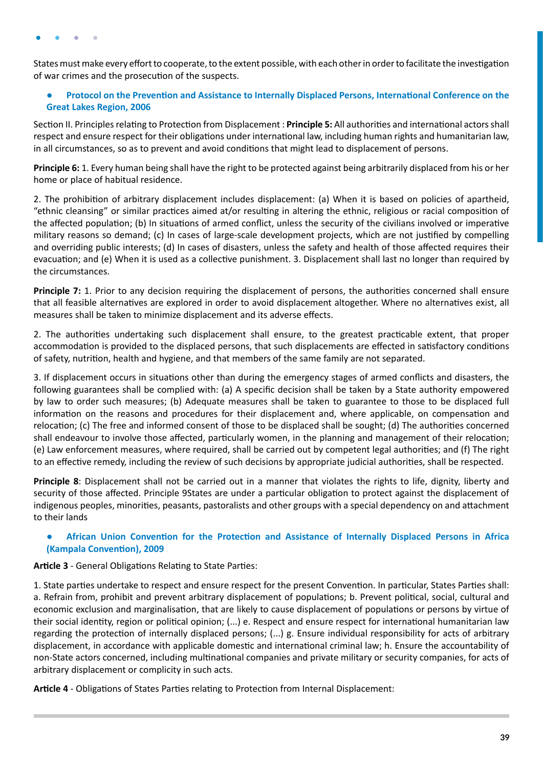<span id="page-38-0"></span>States must make every effort to cooperate, to the extent possible, with each other in order to facilitate the investigation of war crimes and the prosecution of the suspects.

#### **● Protocol on the Prevention and Assistance to Internally Displaced Persons, International Conference on the Great Lakes Region, 2006**

Section II. Principles relating to Protection from Displacement : **Principle 5:** All authorities and international actors shall respect and ensure respect for their obligations under international law, including human rights and humanitarian law, in all circumstances, so as to prevent and avoid conditions that might lead to displacement of persons.

**Principle 6:** 1. Every human being shall have the right to be protected against being arbitrarily displaced from his or her home or place of habitual residence.

2. The prohibition of arbitrary displacement includes displacement: (a) When it is based on policies of apartheid, "ethnic cleansing" or similar practices aimed at/or resulting in altering the ethnic, religious or racial composition of the affected population; (b) In situations of armed conflict, unless the security of the civilians involved or imperative military reasons so demand; (c) In cases of large-scale development projects, which are not justified by compelling and overriding public interests; (d) In cases of disasters, unless the safety and health of those affected requires their evacuation; and (e) When it is used as a collective punishment. 3. Displacement shall last no longer than required by the circumstances.

**Principle 7:** 1. Prior to any decision requiring the displacement of persons, the authorities concerned shall ensure that all feasible alternatives are explored in order to avoid displacement altogether. Where no alternatives exist, all measures shall be taken to minimize displacement and its adverse effects.

2. The authorities undertaking such displacement shall ensure, to the greatest practicable extent, that proper accommodation is provided to the displaced persons, that such displacements are effected in satisfactory conditions of safety, nutrition, health and hygiene, and that members of the same family are not separated.

3. If displacement occurs in situations other than during the emergency stages of armed conflicts and disasters, the following guarantees shall be complied with: (a) A specific decision shall be taken by a State authority empowered by law to order such measures; (b) Adequate measures shall be taken to guarantee to those to be displaced full information on the reasons and procedures for their displacement and, where applicable, on compensation and relocation; (c) The free and informed consent of those to be displaced shall be sought; (d) The authorities concerned shall endeavour to involve those affected, particularly women, in the planning and management of their relocation; (e) Law enforcement measures, where required, shall be carried out by competent legal authorities; and (f) The right to an effective remedy, including the review of such decisions by appropriate judicial authorities, shall be respected.

**Principle 8**: Displacement shall not be carried out in a manner that violates the rights to life, dignity, liberty and security of those affected. Principle 9States are under a particular obligation to protect against the displacement of indigenous peoples, minorities, peasants, pastoralists and other groups with a special dependency on and attachment to their lands

#### **● African Union Convention for the Protection and Assistance of Internally Displaced Persons in Africa (Kampala Convention), 2009**

**Article 3** - General Obligations Relating to State Parties:

1. State parties undertake to respect and ensure respect for the present Convention. In particular, States Parties shall: a. Refrain from, prohibit and prevent arbitrary displacement of populations; b. Prevent political, social, cultural and economic exclusion and marginalisation, that are likely to cause displacement of populations or persons by virtue of their social identity, region or political opinion; (...) e. Respect and ensure respect for international humanitarian law regarding the protection of internally displaced persons; (...) g. Ensure individual responsibility for acts of arbitrary displacement, in accordance with applicable domestic and international criminal law; h. Ensure the accountability of non-State actors concerned, including multinational companies and private military or security companies, for acts of arbitrary displacement or complicity in such acts.

**Article 4** - Obligations of States Parties relating to Protection from Internal Displacement: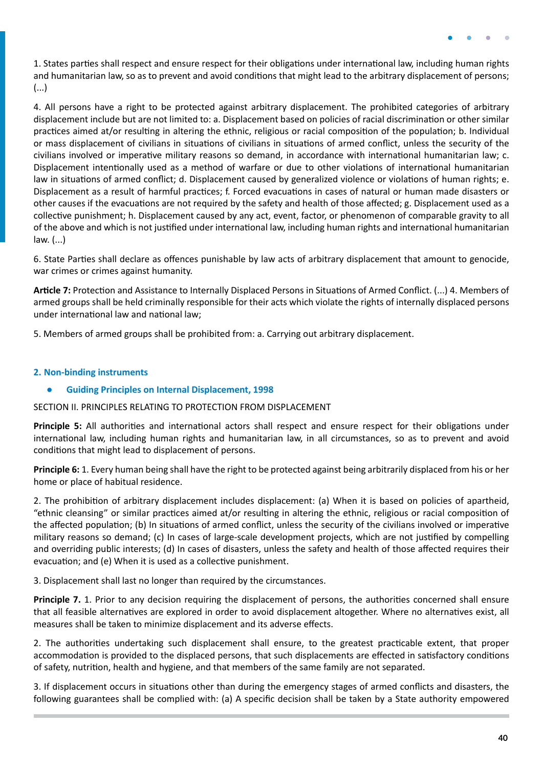<span id="page-39-0"></span>1. States parties shall respect and ensure respect for their obligations under international law, including human rights and humanitarian law, so as to prevent and avoid conditions that might lead to the arbitrary displacement of persons; (...)

4. All persons have a right to be protected against arbitrary displacement. The prohibited categories of arbitrary displacement include but are not limited to: a. Displacement based on policies of racial discrimination or other similar practices aimed at/or resulting in altering the ethnic, religious or racial composition of the population; b. Individual or mass displacement of civilians in situations of civilians in situations of armed conflict, unless the security of the civilians involved or imperative military reasons so demand, in accordance with international humanitarian law; c. Displacement intentionally used as a method of warfare or due to other violations of international humanitarian law in situations of armed conflict; d. Displacement caused by generalized violence or violations of human rights; e. Displacement as a result of harmful practices; f. Forced evacuations in cases of natural or human made disasters or other causes if the evacuations are not required by the safety and health of those affected; g. Displacement used as a collective punishment; h. Displacement caused by any act, event, factor, or phenomenon of comparable gravity to all of the above and which is not justified under international law, including human rights and international humanitarian law. (...)

6. State Parties shall declare as offences punishable by law acts of arbitrary displacement that amount to genocide, war crimes or crimes against humanity.

**Article 7:** Protection and Assistance to Internally Displaced Persons in Situations of Armed Conflict. (...) 4. Members of armed groups shall be held criminally responsible for their acts which violate the rights of internally displaced persons under international law and national law;

5. Members of armed groups shall be prohibited from: a. Carrying out arbitrary displacement.

#### **2. Non-binding instruments**

**● Guiding Principles on Internal Displacement, 1998**

SECTION II. PRINCIPLES RELATING TO PROTECTION FROM DISPLACEMENT

**Principle 5:** All authorities and international actors shall respect and ensure respect for their obligations under international law, including human rights and humanitarian law, in all circumstances, so as to prevent and avoid conditions that might lead to displacement of persons.

**Principle 6:** 1. Every human being shall have the right to be protected against being arbitrarily displaced from his or her home or place of habitual residence.

2. The prohibition of arbitrary displacement includes displacement: (a) When it is based on policies of apartheid, "ethnic cleansing" or similar practices aimed at/or resulting in altering the ethnic, religious or racial composition of the affected population; (b) In situations of armed conflict, unless the security of the civilians involved or imperative military reasons so demand; (c) In cases of large-scale development projects, which are not justified by compelling and overriding public interests; (d) In cases of disasters, unless the safety and health of those affected requires their evacuation; and (e) When it is used as a collective punishment.

3. Displacement shall last no longer than required by the circumstances.

**Principle 7.** 1. Prior to any decision requiring the displacement of persons, the authorities concerned shall ensure that all feasible alternatives are explored in order to avoid displacement altogether. Where no alternatives exist, all measures shall be taken to minimize displacement and its adverse effects.

2. The authorities undertaking such displacement shall ensure, to the greatest practicable extent, that proper accommodation is provided to the displaced persons, that such displacements are effected in satisfactory conditions of safety, nutrition, health and hygiene, and that members of the same family are not separated.

3. If displacement occurs in situations other than during the emergency stages of armed conflicts and disasters, the following guarantees shall be complied with: (a) A specific decision shall be taken by a State authority empowered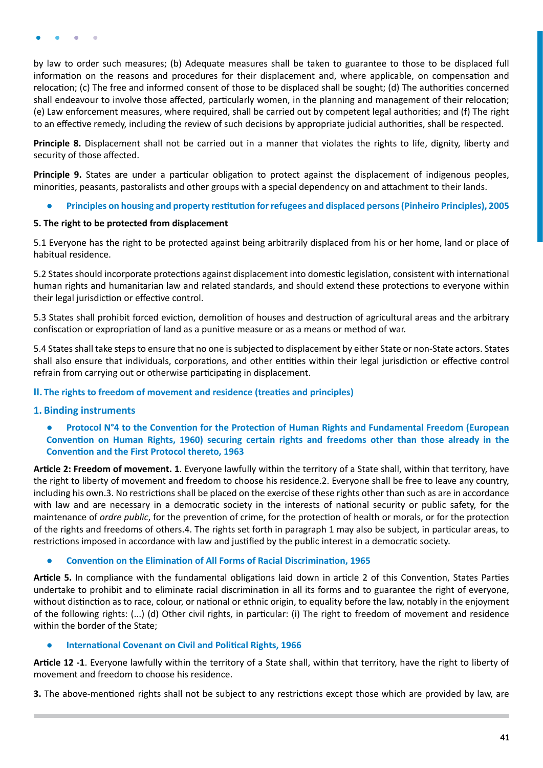<span id="page-40-0"></span>by law to order such measures; (b) Adequate measures shall be taken to guarantee to those to be displaced full information on the reasons and procedures for their displacement and, where applicable, on compensation and relocation; (c) The free and informed consent of those to be displaced shall be sought; (d) The authorities concerned shall endeavour to involve those affected, particularly women, in the planning and management of their relocation; (e) Law enforcement measures, where required, shall be carried out by competent legal authorities; and (f) The right to an effective remedy, including the review of such decisions by appropriate judicial authorities, shall be respected.

**Principle 8.** Displacement shall not be carried out in a manner that violates the rights to life, dignity, liberty and security of those affected.

**Principle 9.** States are under a particular obligation to protect against the displacement of indigenous peoples, minorities, peasants, pastoralists and other groups with a special dependency on and attachment to their lands.

**● Principles on housing and property restitution for refugees and displaced persons (Pinheiro Principles), 2005**

#### **5. The right to be protected from displacement**

5.1 Everyone has the right to be protected against being arbitrarily displaced from his or her home, land or place of habitual residence.

5.2 States should incorporate protections against displacement into domestic legislation, consistent with international human rights and humanitarian law and related standards, and should extend these protections to everyone within their legal jurisdiction or effective control.

5.3 States shall prohibit forced eviction, demolition of houses and destruction of agricultural areas and the arbitrary confiscation or expropriation of land as a punitive measure or as a means or method of war.

5.4 States shall take steps to ensure that no one is subjected to displacement by either State or non-State actors. States shall also ensure that individuals, corporations, and other entities within their legal jurisdiction or effective control refrain from carrying out or otherwise participating in displacement.

#### **II. The rights to freedom of movement and residence (treaties and principles)**

#### **1. Binding instruments**

**● Protocol N°4 to the Convention for the Protection of Human Rights and Fundamental Freedom (European Convention on Human Rights, 1960) securing certain rights and freedoms other than those already in the Convention and the First Protocol thereto, 1963**

**Article 2: Freedom of movement. 1**. Everyone lawfully within the territory of a State shall, within that territory, have the right to liberty of movement and freedom to choose his residence.2. Everyone shall be free to leave any country, including his own.3. No restrictions shall be placed on the exercise of these rights other than such as are in accordance with law and are necessary in a democratic society in the interests of national security or public safety, for the maintenance of *ordre public*, for the prevention of crime, for the protection of health or morals, or for the protection of the rights and freedoms of others.4. The rights set forth in paragraph 1 may also be subject, in particular areas, to restrictions imposed in accordance with law and justified by the public interest in a democratic society.

#### **● Convention on the Elimination of All Forms of Racial Discrimination, 1965**

**Article 5.** In compliance with the fundamental obligations laid down in article 2 of this Convention, States Parties undertake to prohibit and to eliminate racial discrimination in all its forms and to guarantee the right of everyone, without distinction as to race, colour, or national or ethnic origin, to equality before the law, notably in the enjoyment of the following rights: (...) (d) Other civil rights, in particular: (i) The right to freedom of movement and residence within the border of the State;

#### **● International Covenant on Civil and Political Rights, 1966**

**Article 12 -1**. Everyone lawfully within the territory of a State shall, within that territory, have the right to liberty of movement and freedom to choose his residence.

**3.** The above-mentioned rights shall not be subject to any restrictions except those which are provided by law, are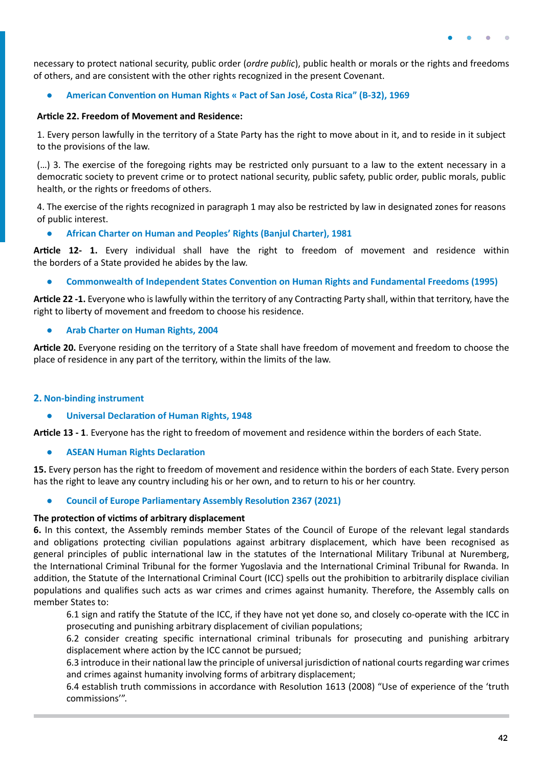<span id="page-41-0"></span>necessary to protect national security, public order (*ordre public*), public health or morals or the rights and freedoms of others, and are consistent with the other rights recognized in the present Covenant.

#### **● American Convention on Human Rights « Pact of San José, Costa Rica" (B-32), 1969**

#### **Article 22. Freedom of Movement and Residence:**

1. Every person lawfully in the territory of a State Party has the right to move about in it, and to reside in it subject to the provisions of the law.

(…) 3. The exercise of the foregoing rights may be restricted only pursuant to a law to the extent necessary in a democratic society to prevent crime or to protect national security, public safety, public order, public morals, public health, or the rights or freedoms of others.

4. The exercise of the rights recognized in paragraph 1 may also be restricted by law in designated zones for reasons of public interest.

**● African Charter on Human and Peoples' Rights (Banjul Charter), 1981**

**Article 12- 1.** Every individual shall have the right to freedom of movement and residence within the borders of a State provided he abides by the law.

**● Commonwealth of Independent States Convention on Human Rights and Fundamental Freedoms (1995)** 

**Article 22 -1.** Everyone who is lawfully within the territory of any Contracting Party shall, within that territory, have the right to liberty of movement and freedom to choose his residence.

#### **● Arab Charter on Human Rights, 2004**

**Article 20.** Everyone residing on the territory of a State shall have freedom of movement and freedom to choose the place of residence in any part of the territory, within the limits of the law.

#### **2. Non-binding instrument**

#### **● Universal Declaration of Human Rights, 1948**

**Article 13 - 1**. Everyone has the right to freedom of movement and residence within the borders of each State.

**● ASEAN Human Rights Declaration** 

**15.** Every person has the right to freedom of movement and residence within the borders of each State. Every person has the right to leave any country including his or her own, and to return to his or her country.

**● Council of Europe Parliamentary Assembly Resolution 2367 (2021)**

#### **The protection of victims of arbitrary displacement**

**6.** In this context, the Assembly reminds member States of the Council of Europe of the relevant legal standards and obligations protecting civilian populations against arbitrary displacement, which have been recognised as general principles of public international law in the statutes of the International Military Tribunal at Nuremberg, the International Criminal Tribunal for the former Yugoslavia and the International Criminal Tribunal for Rwanda. In addition, the Statute of the International Criminal Court (ICC) spells out the prohibition to arbitrarily displace civilian populations and qualifies such acts as war crimes and crimes against humanity. Therefore, the Assembly calls on member States to:

6.1 sign and ratify the Statute of the ICC, if they have not yet done so, and closely co-operate with the ICC in prosecuting and punishing arbitrary displacement of civilian populations;

6.2 consider creating specific international criminal tribunals for prosecuting and punishing arbitrary displacement where action by the ICC cannot be pursued;

6.3 introduce in their national law the principle of universal jurisdiction of national courts regarding war crimes and crimes against humanity involving forms of arbitrary displacement;

6.4 establish truth commissions in accordance with Resolution 1613 (2008) "Use of experience of the 'truth commissions'".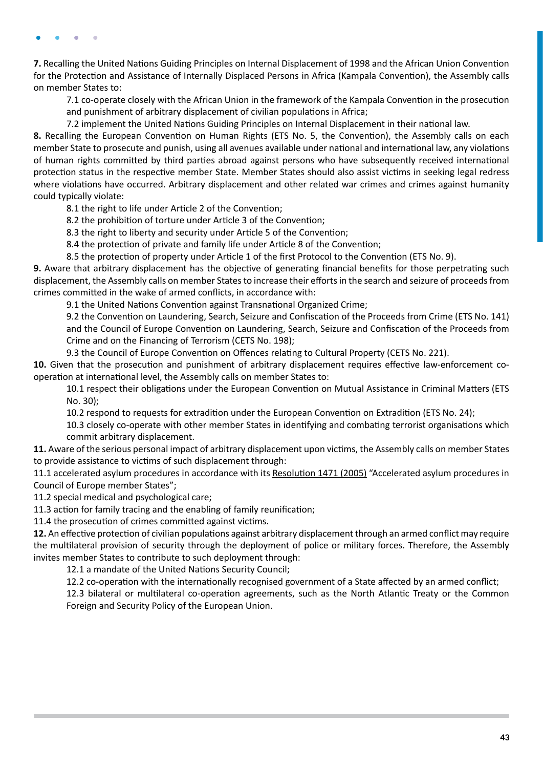**7.** Recalling the United Nations Guiding Principles on Internal Displacement of 1998 and the African Union Convention for the Protection and Assistance of Internally Displaced Persons in Africa (Kampala Convention), the Assembly calls on member States to:

7.1 co-operate closely with the African Union in the framework of the Kampala Convention in the prosecution and punishment of arbitrary displacement of civilian populations in Africa;

7.2 implement the United Nations Guiding Principles on Internal Displacement in their national law.

**8.** Recalling the European Convention on Human Rights (ETS No. 5, the Convention), the Assembly calls on each member State to prosecute and punish, using all avenues available under national and international law, any violations of human rights committed by third parties abroad against persons who have subsequently received international protection status in the respective member State. Member States should also assist victims in seeking legal redress where violations have occurred. Arbitrary displacement and other related war crimes and crimes against humanity could typically violate:

8.1 the right to life under Article 2 of the Convention;

8.2 the prohibition of torture under Article 3 of the Convention;

8.3 the right to liberty and security under Article 5 of the Convention;

8.4 the protection of private and family life under Article 8 of the Convention;

8.5 the protection of property under Article 1 of the first Protocol to the Convention (ETS No. 9).

**9.** Aware that arbitrary displacement has the objective of generating financial benefits for those perpetrating such displacement, the Assembly calls on member States to increase their efforts in the search and seizure of proceeds from crimes committed in the wake of armed conflicts, in accordance with:

9.1 the United Nations Convention against Transnational Organized Crime;

9.2 the Convention on Laundering, Search, Seizure and Confiscation of the Proceeds from Crime (ETS No. 141) and the Council of Europe Convention on Laundering, Search, Seizure and Confiscation of the Proceeds from Crime and on the Financing of Terrorism (CETS No. 198);

9.3 the Council of Europe Convention on Offences relating to Cultural Property (CETS No. 221).

**10.** Given that the prosecution and punishment of arbitrary displacement requires effective law-enforcement cooperation at international level, the Assembly calls on member States to:

10.1 respect their obligations under the European Convention on Mutual Assistance in Criminal Matters (ETS No. 30);

10.2 respond to requests for extradition under the European Convention on Extradition (ETS No. 24);

10.3 closely co-operate with other member States in identifying and combating terrorist organisations which commit arbitrary displacement.

**11.** Aware of the serious personal impact of arbitrary displacement upon victims, the Assembly calls on member States to provide assistance to victims of such displacement through:

11.1 accelerated asylum procedures in accordance with its [Resolution 1471 \(2005\)](https://pace.coe.int/en/files/17387) "Accelerated asylum procedures in Council of Europe member States";

11.2 special medical and psychological care;

11.3 action for family tracing and the enabling of family reunification;

11.4 the prosecution of crimes committed against victims.

**12.** An effective protection of civilian populations against arbitrary displacement through an armed conflict may require the multilateral provision of security through the deployment of police or military forces. Therefore, the Assembly invites member States to contribute to such deployment through:

12.1 a mandate of the United Nations Security Council;

12.2 co-operation with the internationally recognised government of a State affected by an armed conflict;

12.3 bilateral or multilateral co-operation agreements, such as the North Atlantic Treaty or the Common Foreign and Security Policy of the European Union.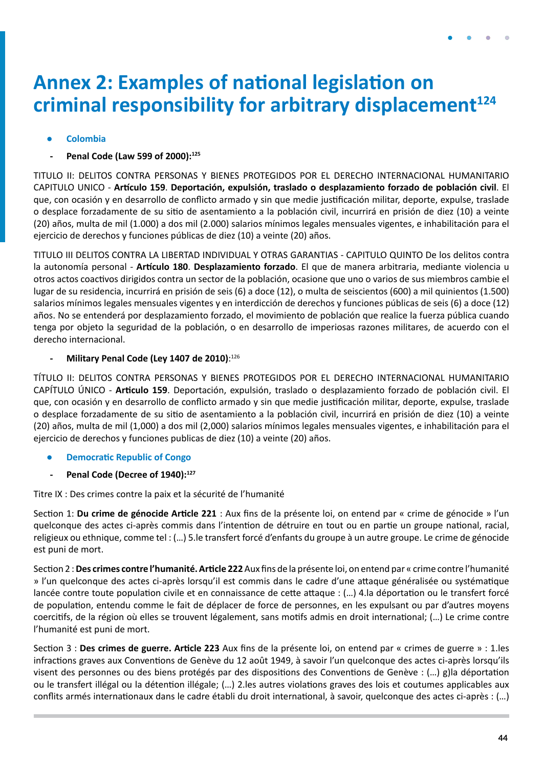## <span id="page-43-0"></span>**Annex 2: Examples of national legislation on criminal responsibility for arbitrary displacement<sup>124</sup>**

### **● Colombia**

**- Penal Code (Law 599 of 2000):125**

TITULO II: DELITOS CONTRA PERSONAS Y BIENES PROTEGIDOS POR EL DERECHO INTERNACIONAL HUMANITARIO CAPITULO UNICO - **Artículo 159**. **Deportación, expulsión, traslado o desplazamiento forzado de población civil**. El que, con ocasión y en desarrollo de conflicto armado y sin que medie justificación militar, deporte, expulse, traslade o desplace forzadamente de su sitio de asentamiento a la población civil, incurrirá en prisión de diez (10) a veinte (20) años, multa de mil (1.000) a dos mil (2.000) salarios mínimos legales mensuales vigentes, e inhabilitación para el ejercicio de derechos y funciones públicas de diez (10) a veinte (20) años.

TITULO III DELITOS CONTRA LA LIBERTAD INDIVIDUAL Y OTRAS GARANTIAS - CAPITULO QUINTO De los delitos contra la autonomía personal - **Artículo 180**. **Desplazamiento forzado**. El que de manera arbitraria, mediante violencia u otros actos coactivos dirigidos contra un sector de la población, ocasione que uno o varios de sus miembros cambie el lugar de su residencia, incurrirá en prisión de seis (6) a doce (12), o multa de seiscientos (600) a mil quinientos (1.500) salarios mínimos legales mensuales vigentes y en interdicción de derechos y funciones públicas de seis (6) a doce (12) años. No se entenderá por desplazamiento forzado, el movimiento de población que realice la fuerza pública cuando tenga por objeto la seguridad de la población, o en desarrollo de imperiosas razones militares, de acuerdo con el derecho internacional.

#### **- Military Penal Code (Ley 1407 de 2010)**: 126

TÍTULO II: DELITOS CONTRA PERSONAS Y BIENES PROTEGIDOS POR EL DERECHO INTERNACIONAL HUMANITARIO CAPÍTULO ÚNICO - **Articulo 159**. Deportación, expulsión, traslado o desplazamiento forzado de población civil. El que, con ocasión y en desarrollo de conflicto armado y sin que medie justificación militar, deporte, expulse, traslade o desplace forzadamente de su sitio de asentamiento a la población civil, incurrirá en prisión de diez (10) a veinte (20) años, multa de mil (1,000) a dos mil (2,000) salarios mínimos legales mensuales vigentes, e inhabilitación para el ejercicio de derechos y funciones publicas de diez (10) a veinte (20) años.

- **● Democratic Republic of Congo**
- Penal Code (Decree of 1940):<sup>127</sup>

Titre IX : Des crimes contre la paix et la sécurité de l'humanité

Section 1: **Du crime de génocide Article 221** : Aux fins de la présente loi, on entend par « crime de génocide » l'un quelconque des actes ci-après commis dans l'intention de détruire en tout ou en partie un groupe national, racial, religieux ou ethnique, comme tel : (…) 5.le transfert forcé d'enfants du groupe à un autre groupe. Le crime de génocide est puni de mort.

Section 2 : **Des crimes contre l'humanité. Article 222** Aux fins de la présente loi, on entend par « crime contre l'humanité » l'un quelconque des actes ci-après lorsqu'il est commis dans le cadre d'une attaque généralisée ou systématique lancée contre toute population civile et en connaissance de cette attaque : (…) 4.la déportation ou le transfert forcé de population, entendu comme le fait de déplacer de force de personnes, en les expulsant ou par d'autres moyens coercitifs, de la région où elles se trouvent légalement, sans motifs admis en droit international; (…) Le crime contre l'humanité est puni de mort.

Section 3 : **Des crimes de guerre. Article 223** Aux fins de la présente loi, on entend par « crimes de guerre » : 1.les infractions graves aux Conventions de Genève du 12 août 1949, à savoir l'un quelconque des actes ci-après lorsqu'ils visent des personnes ou des biens protégés par des dispositions des Conventions de Genève : (…) g)la déportation ou le transfert illégal ou la détention illégale; (…) 2.les autres violations graves des lois et coutumes applicables aux conflits armés internationaux dans le cadre établi du droit international, à savoir, quelconque des actes ci-après : (…)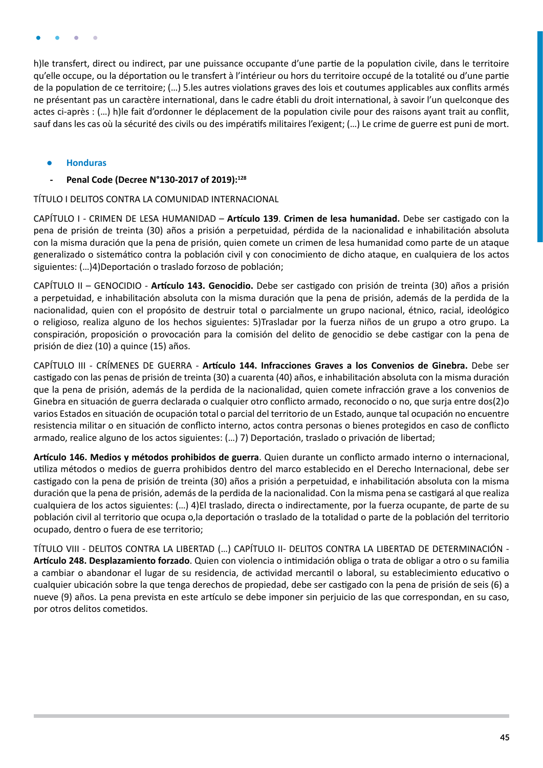<span id="page-44-0"></span>h)le transfert, direct ou indirect, par une puissance occupante d'une partie de la population civile, dans le territoire qu'elle occupe, ou la déportation ou le transfert à l'intérieur ou hors du territoire occupé de la totalité ou d'une partie de la population de ce territoire; (…) 5.les autres violations graves des lois et coutumes applicables aux conflits armés ne présentant pas un caractère international, dans le cadre établi du droit international, à savoir l'un quelconque des actes ci-après : (…) h)le fait d'ordonner le déplacement de la population civile pour des raisons ayant trait au conflit, sauf dans les cas où la sécurité des civils ou des impératifs militaires l'exigent; (…) Le crime de guerre est puni de mort.

- **● Honduras**
- **- Penal Code (Decree N°130-2017 of 2019):128**

TÍTULO I DELITOS CONTRA LA COMUNIDAD INTERNACIONAL

CAPÍTULO I - CRIMEN DE LESA HUMANIDAD – **Artículo 139**. **Crimen de lesa humanidad.** Debe ser castigado con la pena de prisión de treinta (30) años a prisión a perpetuidad, pérdida de la nacionalidad e inhabilitación absoluta con la misma duración que la pena de prisión, quien comete un crimen de lesa humanidad como parte de un ataque generalizado o sistemático contra la población civil y con conocimiento de dicho ataque, en cualquiera de los actos siguientes: (…)4)Deportación o traslado forzoso de población;

CAPÍTULO II – GENOCIDIO - **Artículo 143. Genocidio.** Debe ser castigado con prisión de treinta (30) años a prisión a perpetuidad, e inhabilitación absoluta con la misma duración que la pena de prisión, además de la perdida de la nacionalidad, quien con el propósito de destruir total o parcialmente un grupo nacional, étnico, racial, ideológico o religioso, realiza alguno de los hechos siguientes: 5)Trasladar por la fuerza niños de un grupo a otro grupo. La conspiración, proposición o provocación para la comisión del delito de genocidio se debe castigar con la pena de prisión de diez (10) a quince (15) años.

CAPÍTULO III - CRÍMENES DE GUERRA - **Artículo 144. Infracciones Graves a los Convenios de Ginebra.** Debe ser castigado con las penas de prisión de treinta (30) a cuarenta (40) años, e inhabilitación absoluta con la misma duración que la pena de prisión, además de la perdida de la nacionalidad, quien comete infracción grave a los convenios de Ginebra en situación de guerra declarada o cualquier otro conflicto armado, reconocido o no, que surja entre dos(2)o varios Estados en situación de ocupación total o parcial del territorio de un Estado, aunque tal ocupación no encuentre resistencia militar o en situación de conflicto interno, actos contra personas o bienes protegidos en caso de conflicto armado, realice alguno de los actos siguientes: (…) 7) Deportación, traslado o privación de libertad;

**Artículo 146. Medios y métodos prohibidos de guerra**. Quien durante un conflicto armado interno o internacional, utiliza métodos o medios de guerra prohibidos dentro del marco establecido en el Derecho Internacional, debe ser castigado con la pena de prisión de treinta (30) años a prisión a perpetuidad, e inhabilitación absoluta con la misma duración que la pena de prisión, además de la perdida de la nacionalidad. Con la misma pena se castigará al que realiza cualquiera de los actos siguientes: (…) 4)El traslado, directa o indirectamente, por la fuerza ocupante, de parte de su población civil al territorio que ocupa o,la deportación o traslado de la totalidad o parte de la población del territorio ocupado, dentro o fuera de ese territorio;

TÍTULO VIII - DELITOS CONTRA LA LIBERTAD (…) CAPÍTULO II- DELITOS CONTRA LA LIBERTAD DE DETERMINACIÓN - **Artículo 248. Desplazamiento forzado**. Quien con violencia o intimidación obliga o trata de obligar a otro o su familia a cambiar o abandonar el lugar de su residencia, de actividad mercantil o laboral, su establecimiento educativo o cualquier ubicación sobre la que tenga derechos de propiedad, debe ser castigado con la pena de prisión de seis (6) a nueve (9) años. La pena prevista en este artículo se debe imponer sin perjuicio de las que correspondan, en su caso, por otros delitos cometidos.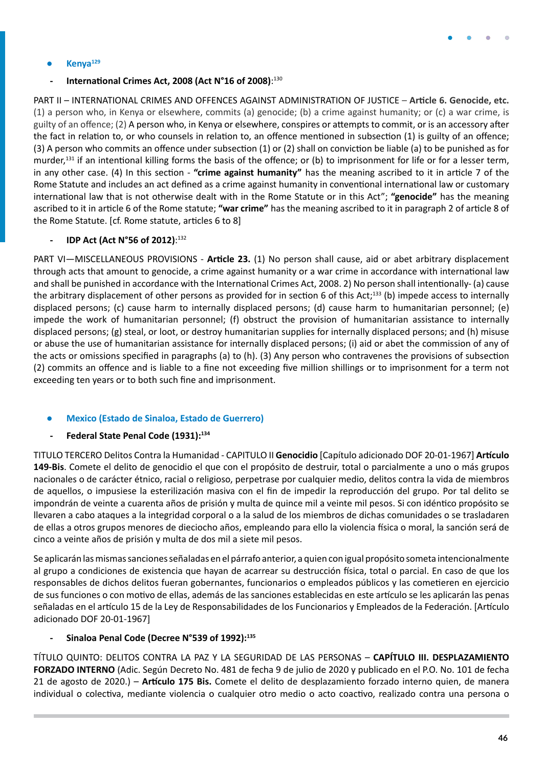

#### <span id="page-45-0"></span>**● Kenya129**

#### **- International Crimes Act, 2008 (Act N°16 of 2008)**: 130

PART II – INTERNATIONAL CRIMES AND OFFENCES AGAINST ADMINISTRATION OF JUSTICE – **Article 6. Genocide, etc.** (1) a person who, in Kenya or elsewhere, commits (a) genocide; (b) a crime against humanity; or (c) a war crime, is guilty of an offence; (2) A person who, in Kenya or elsewhere, conspires or attempts to commit, or is an accessory after the fact in relation to, or who counsels in relation to, an offence mentioned in subsection (1) is guilty of an offence; (3) A person who commits an offence under subsection (1) or (2) shall on conviction be liable (a) to be punished as for murder,<sup>131</sup> if an intentional killing forms the basis of the offence; or (b) to imprisonment for life or for a lesser term, in any other case. (4) In this section - **"crime against humanity"** has the meaning ascribed to it in article 7 of the Rome Statute and includes an act defined as a crime against humanity in conventional international law or customary international law that is not otherwise dealt with in the Rome Statute or in this Act"; **"genocide"** has the meaning ascribed to it in article 6 of the Rome statute; **"war crime"** has the meaning ascribed to it in paragraph 2 of article 8 of the Rome Statute. [cf. Rome statute, articles 6 to 8]

#### **- IDP Act (Act N°56 of 2012)**: 132

PART VI—MISCELLANEOUS PROVISIONS - **Article 23.** (1) No person shall cause, aid or abet arbitrary displacement through acts that amount to genocide, a crime against humanity or a war crime in accordance with international law and shall be punished in accordance with the International Crimes Act, 2008. 2) No person shall intentionally- (a) cause the arbitrary displacement of other persons as provided for in section 6 of this Act;<sup>133</sup> (b) impede access to internally displaced persons; (c) cause harm to internally displaced persons; (d) cause harm to humanitarian personnel; (e) impede the work of humanitarian personnel; (f) obstruct the provision of humanitarian assistance to internally displaced persons; (g) steal, or loot, or destroy humanitarian supplies for internally displaced persons; and (h) misuse or abuse the use of humanitarian assistance for internally displaced persons; (i) aid or abet the commission of any of the acts or omissions specified in paragraphs (a) to (h). (3) Any person who contravenes the provisions of subsection (2) commits an offence and is liable to a fine not exceeding five million shillings or to imprisonment for a term not exceeding ten years or to both such fine and imprisonment.

#### **● Mexico (Estado de Sinaloa, Estado de Guerrero)**

#### **- Federal State Penal Code (1931):134**

TITULO TERCERO Delitos Contra la Humanidad - CAPITULO II **Genocidio** [Capítulo adicionado DOF 20-01-1967] **Artículo 149-Bis**. Comete el delito de genocidio el que con el propósito de destruir, total o parcialmente a uno o más grupos nacionales o de carácter étnico, racial o religioso, perpetrase por cualquier medio, delitos contra la vida de miembros de aquellos, o impusiese la esterilización masiva con el fin de impedir la reproducción del grupo. Por tal delito se impondrán de veinte a cuarenta años de prisión y multa de quince mil a veinte mil pesos. Si con idéntico propósito se llevaren a cabo ataques a la integridad corporal o a la salud de los miembros de dichas comunidades o se trasladaren de ellas a otros grupos menores de dieciocho años, empleando para ello la violencia física o moral, la sanción será de cinco a veinte años de prisión y multa de dos mil a siete mil pesos.

Se aplicarán las mismas sanciones señaladas en el párrafo anterior, a quien con igual propósito someta intencionalmente al grupo a condiciones de existencia que hayan de acarrear su destrucción física, total o parcial. En caso de que los responsables de dichos delitos fueran gobernantes, funcionarios o empleados públicos y las cometieren en ejercicio de sus funciones o con motivo de ellas, además de las sanciones establecidas en este artículo se les aplicarán las penas señaladas en el artículo 15 de la Ley de Responsabilidades de los Funcionarios y Empleados de la Federación. [Artículo adicionado DOF 20-01-1967]

#### **- Sinaloa Penal Code (Decree N°539 of 1992):135**

TÍTULO QUINTO: DELITOS CONTRA LA PAZ Y LA SEGURIDAD DE LAS PERSONAS – **CAPÍTULO III. DESPLAZAMIENTO FORZADO INTERNO** (Adic. Según Decreto No. 481 de fecha 9 de julio de 2020 y publicado en el P.O. No. 101 de fecha 21 de agosto de 2020.) – **Artículo 175 Bis.** Comete el delito de desplazamiento forzado interno quien, de manera individual o colectiva, mediante violencia o cualquier otro medio o acto coactivo, realizado contra una persona o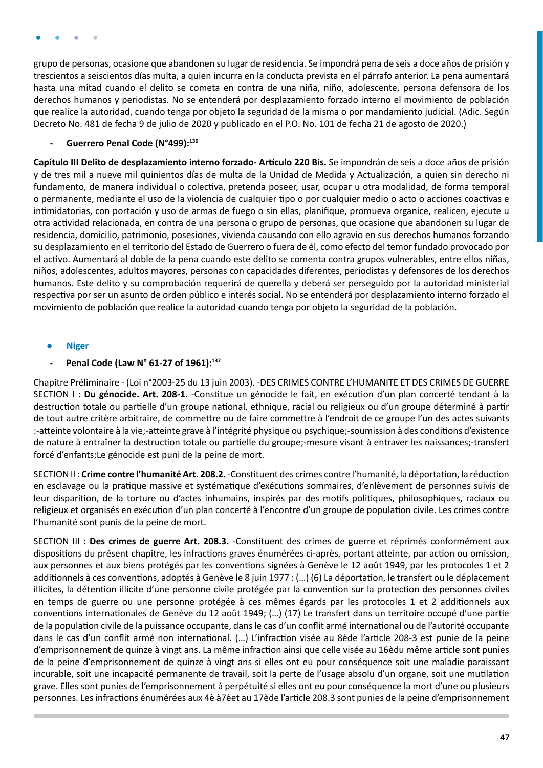<span id="page-46-0"></span>grupo de personas, ocasione que abandonen su lugar de residencia. Se impondrá pena de seis a doce años de prisión y trescientos a seiscientos días multa, a quien incurra en la conducta prevista en el párrafo anterior. La pena aumentará hasta una mitad cuando el delito se cometa en contra de una niña, niño, adolescente, persona defensora de los derechos humanos y periodistas. No se entenderá por desplazamiento forzado interno el movimiento de población que realice la autoridad, cuando tenga por objeto la seguridad de la misma o por mandamiento judicial. (Adic. Según Decreto No. 481 de fecha 9 de julio de 2020 y publicado en el P.O. No. 101 de fecha 21 de agosto de 2020.)

#### **- Guerrero Penal Code (N°499):136**

**Capítulo III Delito de desplazamiento interno forzado- Artículo 220 Bis.** Se impondrán de seis a doce años de prisión y de tres mil a nueve mil quinientos días de multa de la Unidad de Medida y Actualización, a quien sin derecho ni fundamento, de manera individual o colectiva, pretenda poseer, usar, ocupar u otra modalidad, de forma temporal o permanente, mediante el uso de la violencia de cualquier tipo o por cualquier medio o acto o acciones coactivas e intimidatorias, con portación y uso de armas de fuego o sin ellas, planifique, promueva organice, realicen, ejecute u otra actividad relacionada, en contra de una persona o grupo de personas, que ocasione que abandonen su lugar de residencia, domicilio, patrimonio, posesiones, vivienda causando con ello agravio en sus derechos humanos forzando su desplazamiento en el territorio del Estado de Guerrero o fuera de él, como efecto del temor fundado provocado por el activo. Aumentará al doble de la pena cuando este delito se comenta contra grupos vulnerables, entre ellos niñas, niños, adolescentes, adultos mayores, personas con capacidades diferentes, periodistas y defensores de los derechos humanos. Este delito y su comprobación requerirá de querella y deberá ser perseguido por la autoridad ministerial respectiva por ser un asunto de orden público e interés social. No se entenderá por desplazamiento interno forzado el movimiento de población que realice la autoridad cuando tenga por objeto la seguridad de la población.

#### **● Niger**

#### **- Penal Code (Law N° 61-27 of 1961):137**

Chapitre Préliminaire - (Loi n°2003-25 du 13 juin 2003). -DES CRIMES CONTRE L'HUMANITE ET DES CRIMES DE GUERRE SECTION I : **Du génocide. Art. 208-1.** -Constitue un génocide le fait, en exécution d'un plan concerté tendant à la destruction totale ou partielle d'un groupe national, ethnique, racial ou religieux ou d'un groupe déterminé à partir de tout autre critère arbitraire, de commettre ou de faire commettre à l'endroit de ce groupe l'un des actes suivants :-atteinte volontaire à la vie;-atteinte grave à l'intégrité physique ou psychique;-soumission à des conditions d'existence de nature à entraîner la destruction totale ou partielle du groupe;-mesure visant à entraver les naissances;-transfert forcé d'enfants;Le génocide est puni de la peine de mort.

SECTION II : **Crime contre l'humanité Art. 208.2.** -Constituent des crimes contre l'humanité, la déportation, la réduction en esclavage ou la pratique massive et systématique d'exécutions sommaires, d'enlèvement de personnes suivis de leur disparition, de la torture ou d'actes inhumains, inspirés par des motifs politiques, philosophiques, raciaux ou religieux et organisés en exécution d'un plan concerté à l'encontre d'un groupe de population civile. Les crimes contre l'humanité sont punis de la peine de mort.

SECTION III : **Des crimes de guerre Art. 208.3.** -Constituent des crimes de guerre et réprimés conformément aux dispositions du présent chapitre, les infractions graves énumérées ci-après, portant atteinte, par action ou omission, aux personnes et aux biens protégés par les conventions signées à Genève le 12 août 1949, par les protocoles 1 et 2 additionnels à ces conventions, adoptés à Genève le 8 juin 1977 : (…) (6) La déportation, le transfert ou le déplacement illicites, la détention illicite d'une personne civile protégée par la convention sur la protection des personnes civiles en temps de guerre ou une personne protégée à ces mêmes égards par les protocoles 1 et 2 additionnels aux conventions internationales de Genève du 12 août 1949; (…) (17) Le transfert dans un territoire occupé d'une partie de la population civile de la puissance occupante, dans le cas d'un conflit armé international ou de l'autorité occupante dans le cas d'un conflit armé non international. (…) L'infraction visée au 8ède l'article 208-3 est punie de la peine d'emprisonnement de quinze à vingt ans. La même infraction ainsi que celle visée au 16èdu même article sont punies de la peine d'emprisonnement de quinze à vingt ans si elles ont eu pour conséquence soit une maladie paraissant incurable, soit une incapacité permanente de travail, soit la perte de l'usage absolu d'un organe, soit une mutilation grave. Elles sont punies de l'emprisonnement à perpétuité si elles ont eu pour conséquence la mort d'une ou plusieurs personnes. Les infractions énumérées aux 4è à7èet au 17ède l'article 208.3 sont punies de la peine d'emprisonnement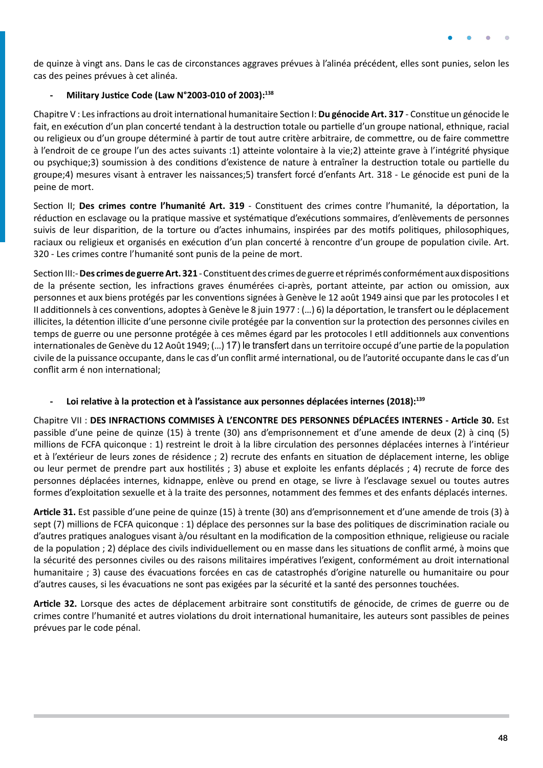

de quinze à vingt ans. Dans le cas de circonstances aggraves prévues à l'alinéa précédent, elles sont punies, selon les cas des peines prévues à cet alinéa.

#### **- Military Justice Code (Law N°2003-010 of 2003):138**

Chapitre V : Les infractions au droit international humanitaire Section I: **Du génocide Art. 317** - Constitue un génocide le fait, en exécution d'un plan concerté tendant à la destruction totale ou partielle d'un groupe national, ethnique, racial ou religieux ou d'un groupe déterminé à partir de tout autre critère arbitraire, de commettre, ou de faire commettre à l'endroit de ce groupe l'un des actes suivants :1) atteinte volontaire à la vie;2) atteinte grave à l'intégrité physique ou psychique;3) soumission à des conditions d'existence de nature à entraîner la destruction totale ou partielle du groupe;4) mesures visant à entraver les naissances;5) transfert forcé d'enfants Art. 318 - Le génocide est puni de la peine de mort.

Section II; **Des crimes contre l'humanité Art. 319** - Constituent des crimes contre l'humanité, la déportation, la réduction en esclavage ou la pratique massive et systématique d'exécutions sommaires, d'enlèvements de personnes suivis de leur disparition, de la torture ou d'actes inhumains, inspirées par des motifs politiques, philosophiques, raciaux ou religieux et organisés en exécution d'un plan concerté à rencontre d'un groupe de population civile. Art. 320 - Les crimes contre l'humanité sont punis de la peine de mort.

Section III:- **Des crimes de guerre Art. 321** - Constituent des crimes de guerre et réprimés conformément aux dispositions de la présente section, les infractions graves énumérées ci-après, portant atteinte, par action ou omission, aux personnes et aux biens protégés par les conventions signées à Genève le 12 août 1949 ainsi que par les protocoles I et II additionnels à ces conventions, adoptes à Genève le 8 juin 1977 : (…) 6) la déportation, le transfert ou le déplacement illicites, la détention illicite d'une personne civile protégée par la convention sur la protection des personnes civiles en temps de guerre ou une personne protégée à ces mêmes égard par les protocoles I etII additionnels aux conventions internationales de Genève du 12 Août 1949; (…) 17) le transfert dans un territoire occupé d'une partie de la population civile de la puissance occupante, dans le cas d'un conflit armé international, ou de l'autorité occupante dans le cas d'un conflit arm é non international;

### **- Loi relative à la protection et à l'assistance aux personnes déplacées internes (2018):139**

Chapitre VII : **DES INFRACTIONS COMMISES À L'ENCONTRE DES PERSONNES DÉPLACÉES INTERNES - Article 30.** Est passible d'une peine de quinze (15) à trente (30) ans d'emprisonnement et d'une amende de deux (2) à cinq (5) millions de FCFA quiconque : 1) restreint le droit à la libre circulation des personnes déplacées internes à l'intérieur et à l'extérieur de leurs zones de résidence ; 2) recrute des enfants en situation de déplacement interne, les oblige ou leur permet de prendre part aux hostilités ; 3) abuse et exploite les enfants déplacés ; 4) recrute de force des personnes déplacées internes, kidnappe, enlève ou prend en otage, se livre à l'esclavage sexuel ou toutes autres formes d'exploitation sexuelle et à la traite des personnes, notamment des femmes et des enfants déplacés internes.

**Article 31.** Est passible d'une peine de quinze (15) à trente (30) ans d'emprisonnement et d'une amende de trois (3) à sept (7) millions de FCFA quiconque : 1) déplace des personnes sur la base des politiques de discrimination raciale ou d'autres pratiques analogues visant à/ou résultant en la modification de la composition ethnique, religieuse ou raciale de la population ; 2) déplace des civils individuellement ou en masse dans les situations de conflit armé, à moins que la sécurité des personnes civiles ou des raisons militaires impératives l'exigent, conformément au droit international humanitaire ; 3) cause des évacuations forcées en cas de catastrophés d'origine naturelle ou humanitaire ou pour d'autres causes, si les évacuations ne sont pas exigées par la sécurité et la santé des personnes touchées.

**Article 32.** Lorsque des actes de déplacement arbitraire sont constitutifs de génocide, de crimes de guerre ou de crimes contre l'humanité et autres violations du droit international humanitaire, les auteurs sont passibles de peines prévues par le code pénal.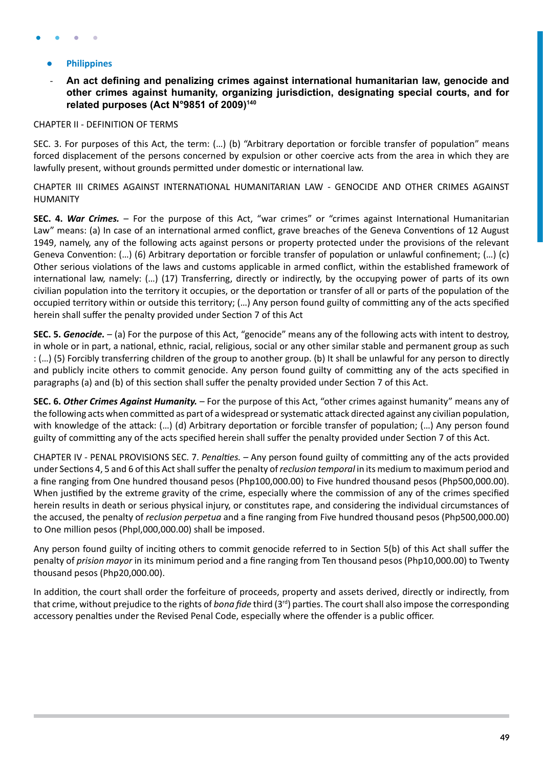#### <span id="page-48-0"></span>**● Philippines**

### - **An act defining and penalizing crimes against international humanitarian law, genocide and other crimes against humanity, organizing jurisdiction, designating special courts, and for related purposes (Act N°9851 of 2009)140**

#### CHAPTER II - DEFINITION OF TERMS

SEC. 3. For purposes of this Act, the term: (…) (b) "Arbitrary deportation or forcible transfer of population" means forced displacement of the persons concerned by expulsion or other coercive acts from the area in which they are lawfully present, without grounds permitted under domestic or international law.

CHAPTER III CRIMES AGAINST INTERNATIONAL HUMANITARIAN LAW - GENOCIDE AND OTHER CRIMES AGAINST HUMANITY

**SEC. 4.** *War Crimes. –* For the purpose of this Act, "war crimes" or "crimes against International Humanitarian Law" means: (a) In case of an international armed conflict, grave breaches of the Geneva Conventions of 12 August 1949, namely, any of the following acts against persons or property protected under the provisions of the relevant Geneva Convention: (…) (6) Arbitrary deportation or forcible transfer of population or unlawful confinement; (…) (c) Other serious violations of the laws and customs applicable in armed conflict, within the established framework of international law, namely: (…) (17) Transferring, directly or indirectly, by the occupying power of parts of its own civilian population into the territory it occupies, or the deportation or transfer of all or parts of the population of the occupied territory within or outside this territory; (…) Any person found guilty of committing any of the acts specified herein shall suffer the penalty provided under Section 7 of this Act

**SEC. 5.** *Genocide. –* (a) For the purpose of this Act, "genocide" means any of the following acts with intent to destroy, in whole or in part, a national, ethnic, racial, religious, social or any other similar stable and permanent group as such : (…) (5) Forcibly transferring children of the group to another group. (b) It shall be unlawful for any person to directly and publicly incite others to commit genocide. Any person found guilty of committing any of the acts specified in paragraphs (a) and (b) of this section shall suffer the penalty provided under Section 7 of this Act.

**SEC. 6.** *Other Crimes Against Humanity. –* For the purpose of this Act, "other crimes against humanity" means any of the following acts when committed as part of a widespread or systematic attack directed against any civilian population, with knowledge of the attack: (…) (d) Arbitrary deportation or forcible transfer of population; (…) Any person found guilty of committing any of the acts specified herein shall suffer the penalty provided under Section 7 of this Act.

CHAPTER IV - PENAL PROVISIONS SEC. 7. *Penalties. –* Any person found guilty of committing any of the acts provided under Sections 4, 5 and 6 of this Act shall suffer the penalty of *reclusion temporal* in its medium to maximum period and a fine ranging from One hundred thousand pesos (Php100,000.00) to Five hundred thousand pesos (Php500,000.00). When justified by the extreme gravity of the crime, especially where the commission of any of the crimes specified herein results in death or serious physical injury, or constitutes rape, and considering the individual circumstances of the accused, the penalty of *reclusion perpetua* and a fine ranging from Five hundred thousand pesos (Php500,000.00) to One million pesos (Phpl,000,000.00) shall be imposed.

Any person found guilty of inciting others to commit genocide referred to in Section 5(b) of this Act shall suffer the penalty of *prision mayor* in its minimum period and a fine ranging from Ten thousand pesos (Php10,000.00) to Twenty thousand pesos (Php20,000.00).

In addition, the court shall order the forfeiture of proceeds, property and assets derived, directly or indirectly, from that crime, without prejudice to the rights of *bona fide* third (3rd) parties. The court shall also impose the corresponding accessory penalties under the Revised Penal Code, especially where the offender is a public officer.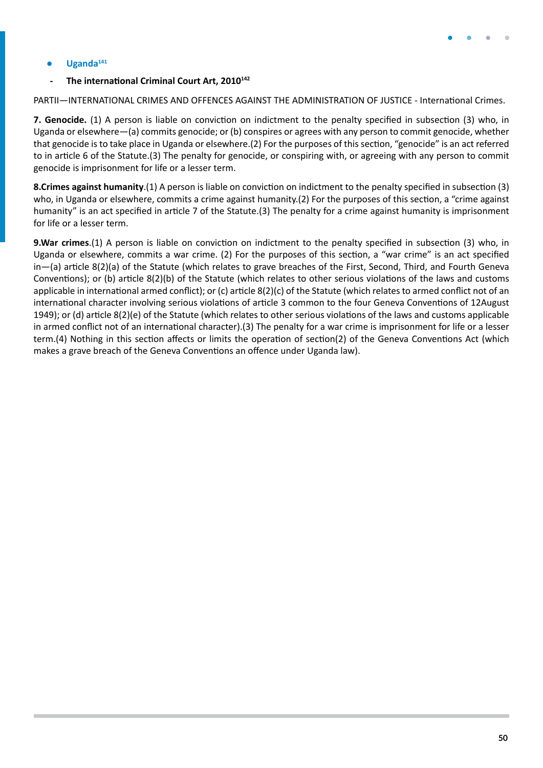

#### <span id="page-49-0"></span>**● Uganda<sup>141</sup>**

#### **- The international Criminal Court Art, 2010142**

PARTII—INTERNATIONAL CRIMES AND OFFENCES AGAINST THE ADMINISTRATION OF JUSTICE - International Crimes.

**7. Genocide.** (1) A person is liable on conviction on indictment to the penalty specified in subsection (3) who, in Uganda or elsewhere—(a) commits genocide; or (b) conspires or agrees with any person to commit genocide, whether that genocide is to take place in Uganda or elsewhere.(2) For the purposes of this section, "genocide" is an act referred to in article 6 of the Statute.(3) The penalty for genocide, or conspiring with, or agreeing with any person to commit genocide is imprisonment for life or a lesser term.

**8.Crimes against humanity**.(1) A person is liable on conviction on indictment to the penalty specified in subsection (3) who, in Uganda or elsewhere, commits a crime against humanity.(2) For the purposes of this section, a "crime against humanity" is an act specified in article 7 of the Statute.(3) The penalty for a crime against humanity is imprisonment for life or a lesser term.

**9.War crimes**.(1) A person is liable on conviction on indictment to the penalty specified in subsection (3) who, in Uganda or elsewhere, commits a war crime. (2) For the purposes of this section, a "war crime" is an act specified in—(a) article 8(2)(a) of the Statute (which relates to grave breaches of the First, Second, Third, and Fourth Geneva Conventions); or (b) article 8(2)(b) of the Statute (which relates to other serious violations of the laws and customs applicable in international armed conflict); or (c) article 8(2)(c) of the Statute (which relates to armed conflict not of an international character involving serious violations of article 3 common to the four Geneva Conventions of 12August 1949); or (d) article 8(2)(e) of the Statute (which relates to other serious violations of the laws and customs applicable in armed conflict not of an international character).(3) The penalty for a war crime is imprisonment for life or a lesser term.(4) Nothing in this section affects or limits the operation of section(2) of the Geneva Conventions Act (which makes a grave breach of the Geneva Conventions an offence under Uganda law).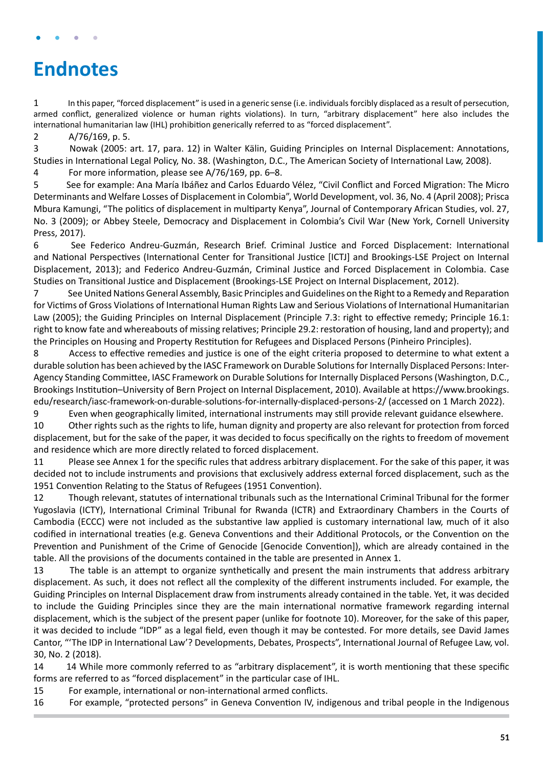## <span id="page-50-0"></span>**Endnotes**

1 In this paper, "forced displacement" is used in a generic sense (i.e. individuals forcibly displaced as a result of persecution, armed conflict, generalized violence or human rights violations). In turn, "arbitrary displacement" here also includes the international humanitarian law (IHL) prohibition generically referred to as "forced displacement".

2 A/76/169, p. 5.

3 Nowak (2005: art. 17, para. 12) in Walter Kälin, Guiding Principles on Internal Displacement: Annotations, Studies in International Legal Policy, No. 38. (Washington, D.C., The American Society of International Law, 2008). 4 For more information, please see A/76/169, pp. 6–8.

5 See for example: Ana María Ibáñez and Carlos Eduardo Vélez, "Civil Conflict and Forced Migration: The Micro Determinants and Welfare Losses of Displacement in Colombia", World Development, vol. 36, No. 4 (April 2008); Prisca Mbura Kamungi, "The politics of displacement in multiparty Kenya", Journal of Contemporary African Studies, vol. 27, No. 3 (2009); or Abbey Steele, Democracy and Displacement in Colombia's Civil War (New York, Cornell University Press, 2017).

6 See Federico Andreu-Guzmán, Research Brief. Criminal Justice and Forced Displacement: International and National Perspectives (International Center for Transitional Justice [ICTJ] and Brookings-LSE Project on Internal Displacement, 2013); and Federico Andreu-Guzmán, Criminal Justice and Forced Displacement in Colombia. Case Studies on Transitional Justice and Displacement (Brookings-LSE Project on Internal Displacement, 2012).

7 See United Nations General Assembly, Basic Principles and Guidelines on the Right to a Remedy and Reparation for Victims of Gross Violations of International Human Rights Law and Serious Violations of International Humanitarian Law (2005); the Guiding Principles on Internal Displacement (Principle 7.3: right to effective remedy; Principle 16.1: right to know fate and whereabouts of missing relatives; Principle 29.2: restoration of housing, land and property); and the Principles on Housing and Property Restitution for Refugees and Displaced Persons (Pinheiro Principles).

8 Access to effective remedies and justice is one of the eight criteria proposed to determine to what extent a durable solution has been achieved by the IASC Framework on Durable Solutions for Internally Displaced Persons: Inter-Agency Standing Committee, IASC Framework on Durable Solutions for Internally Displaced Persons (Washington, D.C., Brookings Institution–University of Bern Project on Internal Displacement, 2010). Available at [https://www.brookings.](https://www.brookings.edu/research/iasc-framework-on-durable-solutions-for-internally-displaced-persons-2/) [edu/research/iasc-framework-on-durable-solutions-for-internally-displaced-persons-2/](https://www.brookings.edu/research/iasc-framework-on-durable-solutions-for-internally-displaced-persons-2/) (accessed on 1 March 2022).

9 Even when geographically limited, international instruments may still provide relevant guidance elsewhere.

10 Other rights such as the rights to life, human dignity and property are also relevant for protection from forced displacement, but for the sake of the paper, it was decided to focus specifically on the rights to freedom of movement and residence which are more directly related to forced displacement.

11 Please see Annex 1 for the specific rules that address arbitrary displacement. For the sake of this paper, it was decided not to include instruments and provisions that exclusively address external forced displacement, such as the 1951 Convention Relating to the Status of Refugees (1951 Convention).

12 Though relevant, statutes of international tribunals such as the International Criminal Tribunal for the former Yugoslavia (ICTY), International Criminal Tribunal for Rwanda (ICTR) and Extraordinary Chambers in the Courts of Cambodia (ECCC) were not included as the substantive law applied is customary international law, much of it also codified in international treaties (e.g. Geneva Conventions and their Additional Protocols, or the Convention on the Prevention and Punishment of the Crime of Genocide [Genocide Convention]), which are already contained in the table. All the provisions of the documents contained in the table are presented in Annex 1.

13 The table is an attempt to organize synthetically and present the main instruments that address arbitrary displacement. As such, it does not reflect all the complexity of the different instruments included. For example, the Guiding Principles on Internal Displacement draw from instruments already contained in the table. Yet, it was decided to include the Guiding Principles since they are the main international normative framework regarding internal displacement, which is the subject of the present paper (unlike for footnote 10). Moreover, for the sake of this paper, it was decided to include "IDP" as a legal field, even though it may be contested. For more details, see David James Cantor, "'The IDP in International Law'? Developments, Debates, Prospects", International Journal of Refugee Law, vol. 30, No. 2 (2018).

14 14 While more commonly referred to as "arbitrary displacement", it is worth mentioning that these specific forms are referred to as "forced displacement" in the particular case of IHL.

15 For example, international or non-international armed conflicts.

16 For example, "protected persons" in Geneva Convention IV, indigenous and tribal people in the Indigenous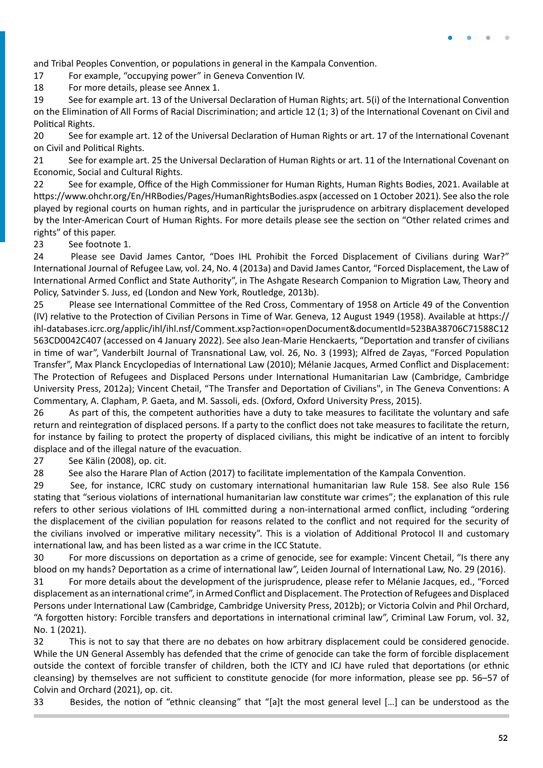

and Tribal Peoples Convention, or populations in general in the Kampala Convention.

17 For example, "occupying power" in Geneva Convention IV.

18 For more details, please see Annex 1.

19 See for example art. 13 of the Universal Declaration of Human Rights; art. 5(i) of the International Convention on the Elimination of All Forms of Racial Discrimination; and article 12 (1; 3) of the International Covenant on Civil and Political Rights.

20 See for example art. 12 of the Universal Declaration of Human Rights or art. 17 of the International Covenant on Civil and Political Rights.

21 See for example art. 25 the Universal Declaration of Human Rights or art. 11 of the International Covenant on Economic, Social and Cultural Rights.

22 See for example, Office of the High Commissioner for Human Rights, Human Rights Bodies, 2021. Available at <https://www.ohchr.org/En/HRBodies/Pages/HumanRightsBodies.aspx> (accessed on 1 October 2021). See also the role played by regional courts on human rights, and in particular the jurisprudence on arbitrary displacement developed by the Inter-American Court of Human Rights. For more details please see the section on "Other related crimes and rights" of this paper.

23 See footnote 1.

24 Please see David James Cantor, "Does IHL Prohibit the Forced Displacement of Civilians during War?" International Journal of Refugee Law, vol. 24, No. 4 (2013a) and David James Cantor, "Forced Displacement, the Law of International Armed Conflict and State Authority", in The Ashgate Research Companion to Migration Law, Theory and Policy, Satvinder S. Juss, ed (London and New York, Routledge, 2013b).

25 Please see International Committee of the Red Cross, Commentary of 1958 on Article 49 of the Convention (IV) relative to the Protection of Civilian Persons in Time of War. Geneva, 12 August 1949 (1958). Available at [https://](https://ihl-databases.icrc.org/applic/ihl/ihl.nsf/Comment.xsp?action=openDocument&documentId=523BA38706C71588C12563CD0042C407) [ihl-databases.icrc.org/applic/ihl/ihl.nsf/Comment.xsp?action=openDocument&documentId=523BA38706C71588C12](https://ihl-databases.icrc.org/applic/ihl/ihl.nsf/Comment.xsp?action=openDocument&documentId=523BA38706C71588C12563CD0042C407) [563CD0042C407](https://ihl-databases.icrc.org/applic/ihl/ihl.nsf/Comment.xsp?action=openDocument&documentId=523BA38706C71588C12563CD0042C407) (accessed on 4 January 2022). See also Jean-Marie Henckaerts, "Deportation and transfer of civilians in time of war", Vanderbilt Journal of Transnational Law, vol. 26, No. 3 (1993); Alfred de Zayas, "Forced Population Transfer", Max Planck Encyclopedias of International Law (2010); Mélanie Jacques, Armed Conflict and Displacement: The Protection of Refugees and Displaced Persons under International Humanitarian Law (Cambridge, Cambridge University Press, 2012a); Vincent Chetail, "The Transfer and Deportation of Civilians", in The Geneva Conventions: A Commentary, A. Clapham, P. Gaeta, and M. Sassoli, eds. (Oxford, Oxford University Press, 2015).

26 As part of this, the competent authorities have a duty to take measures to facilitate the voluntary and safe return and reintegration of displaced persons. If a party to the conflict does not take measures to facilitate the return, for instance by failing to protect the property of displaced civilians, this might be indicative of an intent to forcibly displace and of the illegal nature of the evacuation.

27 See Kälin (2008), op. cit.

28 See also the Harare Plan of Action (2017) to facilitate implementation of the Kampala Convention.

29 See, for instance, ICRC study on customary international humanitarian law Rule 158. See also Rule 156 stating that "serious violations of international humanitarian law constitute war crimes"; the explanation of this rule refers to other serious violations of IHL committed during a non-international armed conflict, including "ordering the displacement of the civilian population for reasons related to the conflict and not required for the security of the civilians involved or imperative military necessity". This is a violation of Additional Protocol II and customary international law, and has been listed as a war crime in the ICC Statute.

30 For more discussions on deportation as a crime of genocide, see for example: Vincent Chetail, "Is there any blood on my hands? Deportation as a crime of international law", Leiden Journal of International Law, No. 29 (2016).

31 For more details about the development of the jurisprudence, please refer to Mélanie Jacques, ed., "Forced displacement as an international crime", in Armed Conflict and Displacement. The Protection of Refugees and Displaced Persons under International Law (Cambridge, Cambridge University Press, 2012b); or Victoria Colvin and Phil Orchard, "A forgotten history: Forcible transfers and deportations in international criminal law", Criminal Law Forum, vol. 32, No. 1 (2021).

32 This is not to say that there are no debates on how arbitrary displacement could be considered genocide. While the UN General Assembly has defended that the crime of genocide can take the form of forcible displacement outside the context of forcible transfer of children, both the ICTY and ICJ have ruled that deportations (or ethnic cleansing) by themselves are not sufficient to constitute genocide (for more information, please see pp. 56–57 of Colvin and Orchard (2021), op. cit.

33 Besides, the notion of "ethnic cleansing" that "[a]t the most general level […] can be understood as the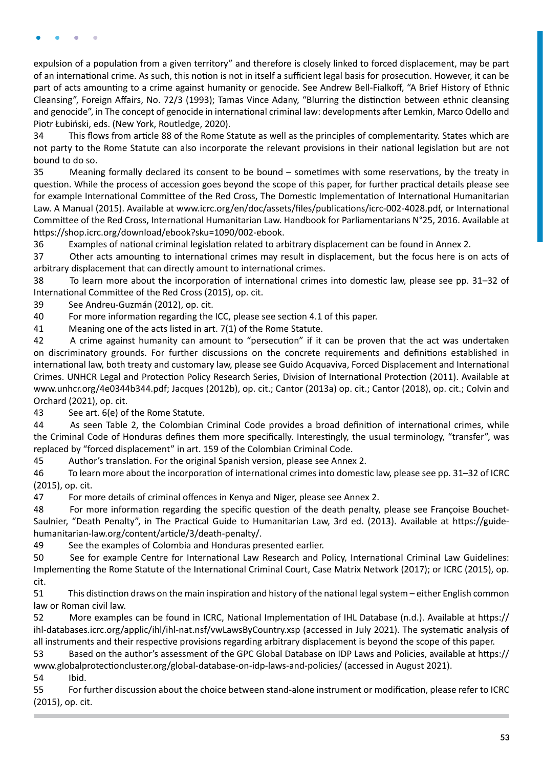expulsion of a population from a given territory" and therefore is closely linked to forced displacement, may be part of an international crime. As such, this notion is not in itself a sufficient legal basis for prosecution. However, it can be part of acts amounting to a crime against humanity or genocide. See Andrew Bell-Fialkoff, "A Brief History of Ethnic Cleansing", Foreign Affairs, No. 72/3 (1993); Tamas Vince Adany, "Blurring the distinction between ethnic cleansing and genocide", in The concept of genocide in international criminal law: developments after Lemkin, Marco Odello and Piotr Łubiński, eds. (New York, Routledge, 2020).

34 This flows from article 88 of the Rome Statute as well as the principles of complementarity. States which are not party to the Rome Statute can also incorporate the relevant provisions in their national legislation but are not bound to do so.

35 Meaning formally declared its consent to be bound – sometimes with some reservations, by the treaty in question. While the process of accession goes beyond the scope of this paper, for further practical details please see for example International Committee of the Red Cross, The Domestic Implementation of International Humanitarian Law. A Manual (2015). Available at [www.icrc.org/en/doc/assets/files/publications/icrc-002-4028.pdf](https://www.icrc.org/en/doc/assets/files/publications/icrc-002-4028.pdf), or International Committee of the Red Cross, International Humanitarian Law. Handbook for Parliamentarians N°25, 2016. Available at <https://shop.icrc.org/download/ebook?sku=1090/002-ebook>.

36 Examples of national criminal legislation related to arbitrary displacement can be found in Annex 2.

37 Other acts amounting to international crimes may result in displacement, but the focus here is on acts of arbitrary displacement that can directly amount to international crimes.

38 To learn more about the incorporation of international crimes into domestic law, please see pp. 31–32 of International Committee of the Red Cross (2015), op. cit.

39 See Andreu-Guzmán (2012), op. cit.

40 For more information regarding the ICC, please see section 4.1 of this paper.

41 Meaning one of the acts listed in art. 7(1) of the Rome Statute.

42 A crime against humanity can amount to "persecution" if it can be proven that the act was undertaken on discriminatory grounds. For further discussions on the concrete requirements and definitions established in international law, both treaty and customary law, please see Guido Acquaviva, Forced Displacement and International Crimes. UNHCR Legal and Protection Policy Research Series, Division of International Protection (2011). Available at [www.unhcr.org/4e0344b344.pdf;](https://www.unhcr.org/4e0344b344.pdf) Jacques (2012b), op. cit.; Cantor (2013a) op. cit.; Cantor (2018), op. cit.; Colvin and Orchard (2021), op. cit.

43 See art. 6(e) of the Rome Statute.

44 As seen Table 2, the Colombian Criminal Code provides a broad definition of international crimes, while the Criminal Code of Honduras defines them more specifically. Interestingly, the usual terminology, "transfer", was replaced by "forced displacement" in art. 159 of the Colombian Criminal Code.

45 Author's translation. For the original Spanish version, please see Annex 2.

46 To learn more about the incorporation of international crimes into domestic law, please see pp. 31–32 of ICRC (2015), op. cit.

47 For more details of criminal offences in Kenya and Niger, please see Annex 2.

48 For more information regarding the specific question of the death penalty, please see Françoise Bouchet-Saulnier, "Death Penalty", in The Practical Guide to Humanitarian Law, 3rd ed. (2013). Available at [https://guide](https://guide-humanitarian-law.org/content/article/3/death-penalty/)[humanitarian-law.org/content/article/3/death-penalty/.](https://guide-humanitarian-law.org/content/article/3/death-penalty/)

49 See the examples of Colombia and Honduras presented earlier.

50 See for example Centre for International Law Research and Policy, International Criminal Law Guidelines: Implementing the Rome Statute of the International Criminal Court, Case Matrix Network (2017); or ICRC (2015), op. cit.

51 This distinction draws on the main inspiration and history of the national legal system – either English common law or Roman civil law.

52 More examples can be found in ICRC, National Implementation of IHL Database (n.d.). Available at [https://](https://ihl-databases.icrc.org/applic/ihl/ihl-nat.nsf/vwLawsByCountry.xsp) [ihl-databases.icrc.org/applic/ihl/ihl-nat.nsf/vwLawsByCountry.xsp](https://ihl-databases.icrc.org/applic/ihl/ihl-nat.nsf/vwLawsByCountry.xsp) (accessed in July 2021). The systematic analysis of all instruments and their respective provisions regarding arbitrary displacement is beyond the scope of this paper.

53 Based on the author's assessment of the GPC Global Database on IDP Laws and Policies, available at [https://](https://www.globalprotectioncluster.org/global-database-on-idp-laws-and-policies/) [www.globalprotectioncluster.org/global-database-on-idp-laws-and-policies/](https://www.globalprotectioncluster.org/global-database-on-idp-laws-and-policies/) (accessed in August 2021).

54 Ibid.

55 For further discussion about the choice between stand-alone instrument or modification, please refer to ICRC (2015), op. cit.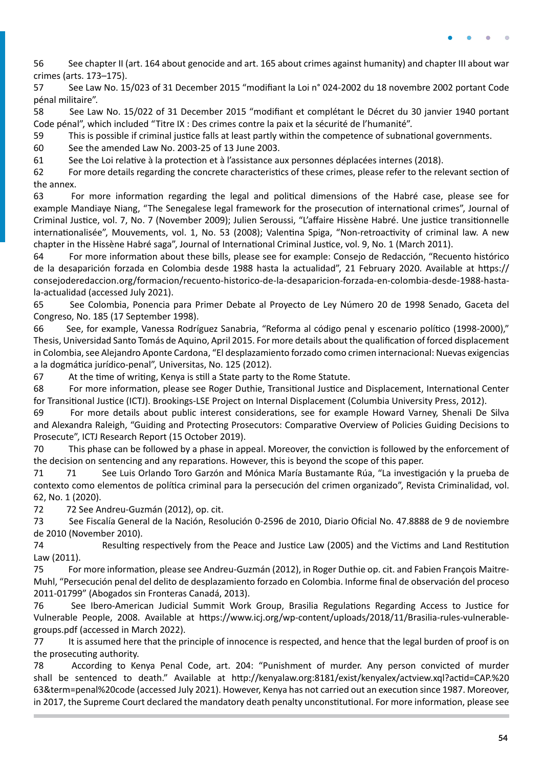56 See chapter II (art. 164 about genocide and art. 165 about crimes against humanity) and chapter III about war crimes (arts. 173–175).

57 See Law No. 15/023 of 31 December 2015 "modifiant la Loi n° 024-2002 du 18 novembre 2002 portant Code pénal militaire".

58 See Law No. 15/022 of 31 December 2015 "modifiant et complétant le Décret du 30 janvier 1940 portant Code pénal", which included "Titre IX : Des crimes contre la paix et la sécurité de l'humanité".

59 This is possible if criminal justice falls at least partly within the competence of subnational governments.

60 See the amended Law No. 2003-25 of 13 June 2003.

61 See the Loi relative à la protection et à l'assistance aux personnes déplacées internes (2018).

62 For more details regarding the concrete characteristics of these crimes, please refer to the relevant section of the annex.

63 For more information regarding the legal and political dimensions of the Habré case, please see for example Mandiaye Niang, "The Senegalese legal framework for the prosecution of international crimes", Journal of Criminal Justice, vol. 7, No. 7 (November 2009); Julien Seroussi, "L'affaire Hissène Habré. Une justice transitionnelle internationalisée", Mouvements, vol. 1, No. 53 (2008); Valentina Spiga, "Non-retroactivity of criminal law. A new chapter in the Hissène Habré saga", Journal of International Criminal Justice, vol. 9, No. 1 (March 2011).

64 For more information about these bills, please see for example: Consejo de Redacción, "Recuento histórico de la desaparición forzada en Colombia desde 1988 hasta la actualidad", 21 February 2020. Available at [https://](https://consejoderedaccion.org/formacion/recuento-historico-de-la-desaparicion-forzada-en-colombia-desde-1988-hasta-la-actualidad) [consejoderedaccion.org/formacion/recuento-historico-de-la-desaparicion-forzada-en-colombia-desde-1988-hasta](https://consejoderedaccion.org/formacion/recuento-historico-de-la-desaparicion-forzada-en-colombia-desde-1988-hasta-la-actualidad)[la-actualidad](https://consejoderedaccion.org/formacion/recuento-historico-de-la-desaparicion-forzada-en-colombia-desde-1988-hasta-la-actualidad) (accessed July 2021).

65 See Colombia, Ponencia para Primer Debate al Proyecto de Ley Número 20 de 1998 Senado, Gaceta del Congreso, No. 185 (17 September 1998).

66 See, for example, Vanessa Rodríguez Sanabria, "Reforma al código penal y escenario político (1998-2000)," Thesis, Universidad Santo Tomás de Aquino, April 2015. For more details about the qualification of forced displacement in Colombia, see Alejandro Aponte Cardona, "El desplazamiento forzado como crimen internacional: Nuevas exigencias a la dogmática jurídico-penal", Universitas, No. 125 (2012).

67 At the time of writing, Kenya is still a State party to the Rome Statute.

68 For more information, please see Roger Duthie, Transitional Justice and Displacement, International Center for Transitional Justice (ICTJ). Brookings-LSE Project on Internal Displacement (Columbia University Press, 2012).

69 For more details about public interest considerations, see for example Howard Varney, Shenali De Silva and Alexandra Raleigh, "Guiding and Protecting Prosecutors: Comparative Overview of Policies Guiding Decisions to Prosecute", ICTJ Research Report (15 October 2019).

70 This phase can be followed by a phase in appeal. Moreover, the conviction is followed by the enforcement of the decision on sentencing and any reparations. However, this is beyond the scope of this paper.

71 71 See Luis Orlando Toro Garzón and Mónica María Bustamante Rúa, "La investigación y la prueba de contexto como elementos de política criminal para la persecución del crimen organizado", Revista Criminalidad, vol. 62, No. 1 (2020).

72 72 See Andreu-Guzmán (2012), op. cit.

73 See Fiscalía General de la Nación, Resolución 0-2596 de 2010, Diario Oficial No. 47.8888 de 9 de noviembre de 2010 (November 2010).

74 Resulting respectively from the Peace and Justice Law (2005) and the Victims and Land Restitution Law (2011).

75 For more information, please see Andreu-Guzmán (2012), in Roger Duthie op. cit. and Fabien François Maitre-Muhl, "Persecución penal del delito de desplazamiento forzado en Colombia. Informe final de observación del proceso 2011-01799" (Abogados sin Fronteras Canadá, 2013).

76 See Ibero-American Judicial Summit Work Group, Brasilia Regulations Regarding Access to Justice for Vulnerable People, 2008. Available at [https://www.icj.org/wp-content/uploads/2018/11/Brasilia-rules-vulnerable](https://www.icj.org/wp-content/uploads/2018/11/Brasilia-rules-vulnerable-groups.pdf)[groups.pdf](https://www.icj.org/wp-content/uploads/2018/11/Brasilia-rules-vulnerable-groups.pdf) (accessed in March 2022).

77 It is assumed here that the principle of innocence is respected, and hence that the legal burden of proof is on the prosecuting authority.

78 According to Kenya Penal Code, art. 204: "Punishment of murder. Any person convicted of murder shall be sentenced to death." Available at [http://kenyalaw.org:8181/exist/kenyalex/actview.xql?actid=CAP.%20](http://kenyalaw.org:8181/exist/kenyalex/actview.xql?actid=CAP. 63&term=penal code) [63&term=penal%20code](http://kenyalaw.org:8181/exist/kenyalex/actview.xql?actid=CAP. 63&term=penal code) (accessed July 2021). However, Kenya has not carried out an execution since 1987. Moreover, in 2017, the Supreme Court declared the mandatory death penalty unconstitutional. For more information, please see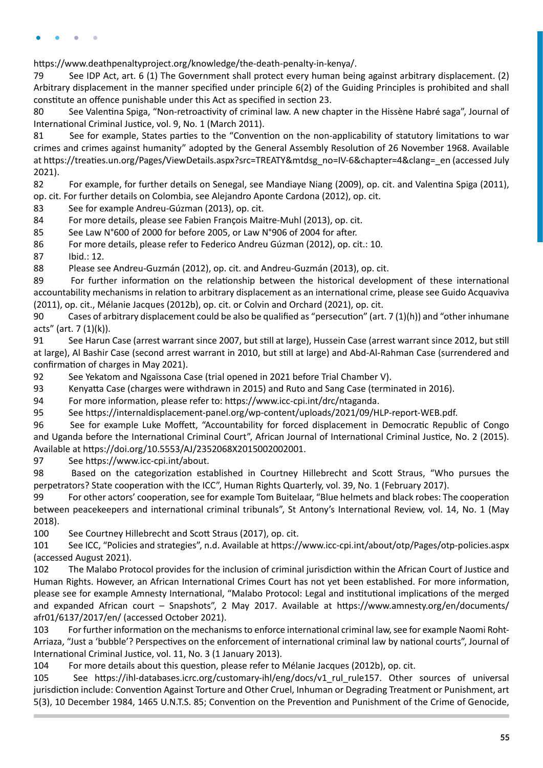[https://www.deathpenaltyproject.org/knowledge/the-death-penalty-in-kenya/.](https://www.deathpenaltyproject.org/knowledge/the-death-penalty-in-kenya/)

79 See IDP Act, art. 6 (1) The Government shall protect every human being against arbitrary displacement. (2) Arbitrary displacement in the manner specified under principle 6(2) of the Guiding Principles is prohibited and shall constitute an offence punishable under this Act as specified in section 23.

80 See Valentina Spiga, "Non-retroactivity of criminal law. A new chapter in the Hissène Habré saga", Journal of International Criminal Justice, vol. 9, No. 1 (March 2011).

81 See for example, States parties to the "Convention on the non-applicability of statutory limitations to war crimes and crimes against humanity" adopted by the General Assembly Resolution of 26 November 1968. Available at [https://treaties.un.org/Pages/ViewDetails.aspx?src=TREATY&mtdsg\\_no=IV-6&chapter=4&clang=\\_en](https://treaties.un.org/Pages/ViewDetails.aspx?src=TREATY&mtdsg_no=IV-6&chapter=4&clang=_en) (accessed July 2021).

82 For example, for further details on Senegal, see Mandiaye Niang (2009), op. cit. and Valentina Spiga (2011), op. cit. For further details on Colombia, see Alejandro Aponte Cardona (2012), op. cit.

83 See for example Andreu-Gúzman (2013), op. cit.

84 For more details, please see Fabien François Maitre-Muhl (2013), op. cit.

85 See Law N°600 of 2000 for before 2005, or Law N°906 of 2004 for after.

86 For more details, please refer to Federico Andreu Gúzman (2012), op. cit.: 10.

87 Ibid.: 12.

88 Please see Andreu-Guzmán (2012), op. cit. and Andreu-Guzmán (2013), op. cit.

89 For further information on the relationship between the historical development of these international accountability mechanisms in relation to arbitrary displacement as an international crime, please see Guido Acquaviva (2011), op. cit., Mélanie Jacques (2012b), op. cit. or Colvin and Orchard (2021), op. cit.

90 Cases of arbitrary displacement could be also be qualified as "persecution" (art. 7 (1)(h)) and "other inhumane  $acts'' (art. 7 (1)(k)).$ 

91 See Harun Case (arrest warrant since 2007, but still at large), Hussein Case (arrest warrant since 2012, but still at large), Al Bashir Case (second arrest warrant in 2010, but still at large) and Abd-Al-Rahman Case (surrendered and confirmation of charges in May 2021).

92 See Yekatom and Ngaïssona Case (trial opened in 2021 before Trial Chamber V).

93 Kenyatta Case (charges were withdrawn in 2015) and Ruto and Sang Case (terminated in 2016).

94 For more information, please refer to: https://www.icc-cpi.int/drc/ntaganda.

95 See <https://internaldisplacement-panel.org/wp-content/uploads/2021/09/HLP-report-WEB.pdf>.

96 See for example Luke Moffett, "Accountability for forced displacement in Democratic Republic of Congo and Uganda before the International Criminal Court", African Journal of International Criminal Justice, No. 2 (2015). Available at [https://doi.org/10.5553/AJ/2352068X2015002002001.](https://doi.org/10.5553/AJ/2352068X2015002002001)

97 See [https://www.icc-cpi.int/about.](https://www.icc-cpi.int/about)

98 Based on the categorization established in Courtney Hillebrecht and Scott Straus, "Who pursues the perpetrators? State cooperation with the ICC", Human Rights Quarterly, vol. 39, No. 1 (February 2017).

99 For other actors' cooperation, see for example Tom Buitelaar, "Blue helmets and black robes: The cooperation between peacekeepers and international criminal tribunals", St Antony's International Review, vol. 14, No. 1 (May 2018).

100 See Courtney Hillebrecht and Scott Straus (2017), op. cit.

101 See ICC, "Policies and strategies", n.d. Available at<https://www.icc-cpi.int/about/otp/Pages/otp-policies.aspx> (accessed August 2021).

102 The Malabo Protocol provides for the inclusion of criminal jurisdiction within the African Court of Justice and Human Rights. However, an African International Crimes Court has not yet been established. For more information, please see for example Amnesty International, "Malabo Protocol: Legal and institutional implications of the merged and expanded African court – Snapshots", 2 May 2017. Available at [https://www.amnesty.org/en/documents/](https://www.amnesty.org/en/documents/afr01/6137/2017/en/) [afr01/6137/2017/en/](https://www.amnesty.org/en/documents/afr01/6137/2017/en/) (accessed October 2021).

103 For further information on the mechanisms to enforce international criminal law, see for example Naomi Roht-Arriaza, "Just a 'bubble'? Perspectives on the enforcement of international criminal law by national courts", Journal of International Criminal Justice, vol. 11, No. 3 (1 January 2013).

104 For more details about this question, please refer to Mélanie Jacques (2012b), op. cit.

105 See [https://ihl-databases.icrc.org/customary-ihl/eng/docs/v1\\_rul\\_rule157](https://ihl-databases.icrc.org/customary-ihl/eng/docs/v1_rul_rule157). Other sources of universal jurisdiction include: Convention Against Torture and Other Cruel, Inhuman or Degrading Treatment or Punishment, art 5(3), 10 December 1984, 1465 U.N.T.S. 85; Convention on the Prevention and Punishment of the Crime of Genocide,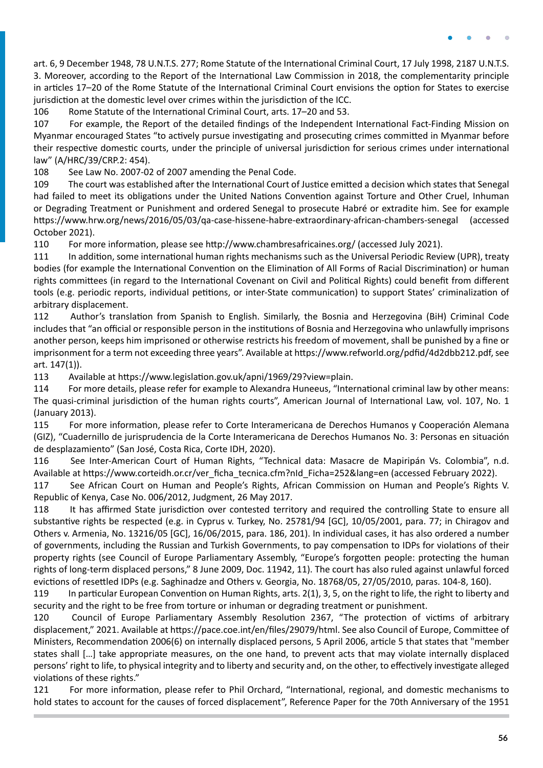art. 6, 9 December 1948, 78 U.N.T.S. 277; Rome Statute of the International Criminal Court, 17 July 1998, 2187 U.N.T.S. 3. Moreover, according to the Report of the International Law Commission in 2018, the complementarity principle in articles 17–20 of the Rome Statute of the International Criminal Court envisions the option for States to exercise jurisdiction at the domestic level over crimes within the jurisdiction of the ICC.

106 Rome Statute of the International Criminal Court, arts. 17–20 and 53.

107 For example, the Report of the detailed findings of the Independent International Fact-Finding Mission on Myanmar encouraged States "to actively pursue investigating and prosecuting crimes committed in Myanmar before their respective domestic courts, under the principle of universal jurisdiction for serious crimes under international law" (A/HRC/39/CRP.2: 454).

108 See Law No. 2007-02 of 2007 amending the Penal Code.

109 The court was established after the International Court of Justice emitted a decision which states that Senegal had failed to meet its obligations under the United Nations Convention against Torture and Other Cruel, Inhuman or Degrading Treatment or Punishment and ordered Senegal to prosecute Habré or extradite him. See for example <https://www.hrw.org/news/2016/05/03/qa-case-hissene-habre-extraordinary-african-chambers-senegal> (accessed October 2021).

110 For more information, please see <http://www.chambresafricaines.org/>(accessed July 2021).

111 In addition, some international human rights mechanisms such as the Universal Periodic Review (UPR), treaty bodies (for example the International Convention on the Elimination of All Forms of Racial Discrimination) or human rights committees (in regard to the International Covenant on Civil and Political Rights) could benefit from different tools (e.g. periodic reports, individual petitions, or inter-State communication) to support States' criminalization of arbitrary displacement.

112 Author's translation from Spanish to English. Similarly, the Bosnia and Herzegovina (BiH) Criminal Code includes that "an official or responsible person in the institutions of Bosnia and Herzegovina who unlawfully imprisons another person, keeps him imprisoned or otherwise restricts his freedom of movement, shall be punished by a fine or imprisonment for a term not exceeding three years". Available at<https://www.refworld.org/pdfid/4d2dbb212.pdf>, see art. 147(1)).

113 Available at [https://www.legislation.gov.uk/apni/1969/29?view=plain.](https://www.legislation.gov.uk/apni/1969/29?view=plain)

114 For more details, please refer for example to Alexandra Huneeus, "International criminal law by other means: The quasi-criminal jurisdiction of the human rights courts", American Journal of International Law, vol. 107, No. 1 (January 2013).

115 For more information, please refer to Corte Interamericana de Derechos Humanos y Cooperación Alemana (GIZ), "Cuadernillo de jurisprudencia de la Corte Interamericana de Derechos Humanos No. 3: Personas en situación de desplazamiento" (San José, Costa Rica, Corte IDH, 2020).

116 See Inter-American Court of Human Rights, "Technical data: Masacre de Mapiripán Vs. Colombia", n.d. Available at [https://www.corteidh.or.cr/ver\\_ficha\\_tecnica.cfm?nId\\_Ficha=252&lang=en](https://www.corteidh.or.cr/ver_ficha_tecnica.cfm?nId_Ficha=252&lang=en) (accessed February 2022).

117 See African Court on Human and People's Rights, African Commission on Human and People's Rights V. Republic of Kenya, Case No. 006/2012, Judgment, 26 May 2017.

118 It has affirmed State jurisdiction over contested territory and required the controlling State to ensure all substantive rights be respected (e.g. in Cyprus v. Turkey, No. 25781/94 [GC], 10/05/2001, para. 77; in Chiragov and Others v. Armenia, No. 13216/05 [GC], 16/06/2015, para. 186, 201). In individual cases, it has also ordered a number of governments, including the Russian and Turkish Governments, to pay compensation to IDPs for violations of their property rights (see Council of Europe Parliamentary Assembly, "Europe's forgotten people: protecting the human rights of long-term displaced persons," 8 June 2009, Doc. 11942, 11). The court has also ruled against unlawful forced evictions of resettled IDPs (e.g. Saghinadze and Others v. Georgia, No. 18768/05, 27/05/2010, paras. 104-8, 160).

119 In particular European Convention on Human Rights, arts. 2(1), 3, 5, on the right to life, the right to liberty and security and the right to be free from torture or inhuman or degrading treatment or punishment.

120 Council of Europe Parliamentary Assembly Resolution 2367, "The protection of victims of arbitrary displacement," 2021. Available at<https://pace.coe.int/en/files/29079/html>. See also Council of Europe, Committee of Ministers, Recommendation 2006(6) on internally displaced persons, 5 April 2006, article 5 that states that "member states shall […] take appropriate measures, on the one hand, to prevent acts that may violate internally displaced persons' right to life, to physical integrity and to liberty and security and, on the other, to effectively investigate alleged violations of these rights."

121 For more information, please refer to Phil Orchard, "International, regional, and domestic mechanisms to hold states to account for the causes of forced displacement", Reference Paper for the 70th Anniversary of the 1951